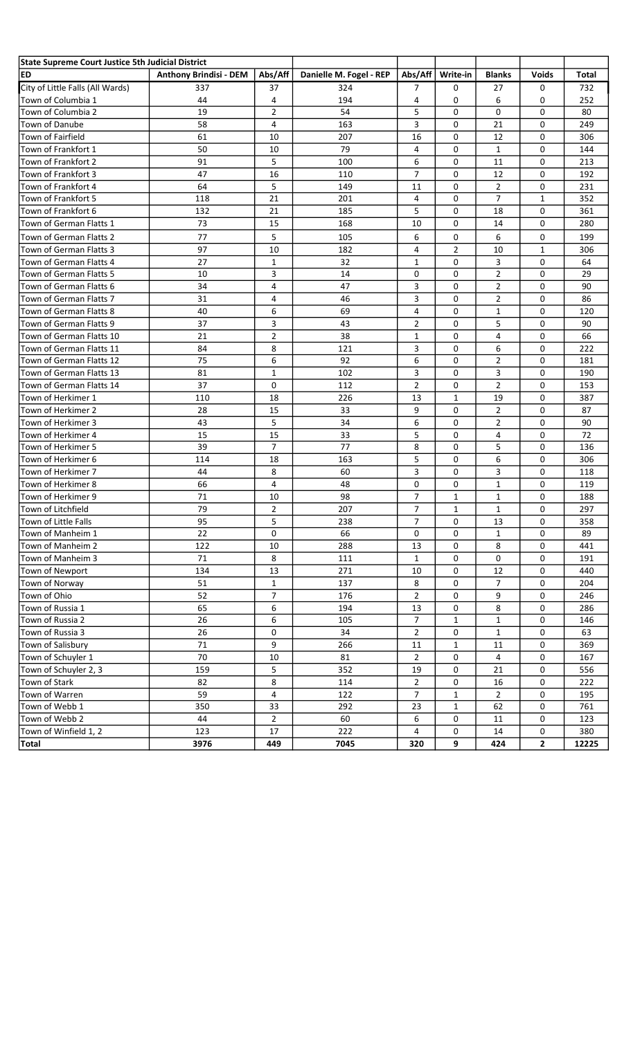| State Supreme Court Justice 5th Judicial District |                               |                |                         |                |                |                |              |       |
|---------------------------------------------------|-------------------------------|----------------|-------------------------|----------------|----------------|----------------|--------------|-------|
| ED                                                | <b>Anthony Brindisi - DEM</b> | Abs/Aff        | Danielle M. Fogel - REP | Abs/Aff        | Write-in       | <b>Blanks</b>  | <b>Voids</b> | Total |
| City of Little Falls (All Wards)                  | 337                           | 37             | 324                     | 7              | 0              | 27             | 0            | 732   |
| Town of Columbia 1                                | 44                            | 4              | 194                     | 4              | 0              | 6              | 0            | 252   |
| Town of Columbia 2                                | 19                            | $\overline{2}$ | 54                      | 5              | $\Omega$       | $\mathbf{0}$   | 0            | 80    |
| Town of Danube                                    | 58                            | 4              | 163                     | 3              | $\Omega$       | 21             | 0            | 249   |
| Town of Fairfield                                 | 61                            | 10             | 207                     | 16             | $\Omega$       | 12             | 0            | 306   |
| Town of Frankfort 1                               | 50                            | 10             | 79                      | 4              | 0              | 1              | 0            | 144   |
| Town of Frankfort 2                               | 91                            | 5              | 100                     | 6              | 0              | 11             | 0            | 213   |
| Town of Frankfort 3                               | 47                            | 16             | 110                     | 7              | $\Omega$       | 12             | 0            | 192   |
| Town of Frankfort 4                               | 64                            | 5              | 149                     | 11             | 0              | $\overline{2}$ | 0            | 231   |
| Town of Frankfort 5                               | 118                           | 21             | 201                     | 4              | 0              | $\overline{7}$ | 1            | 352   |
| Town of Frankfort 6                               | 132                           | 21             | 185                     | 5              | 0              | 18             | 0            | 361   |
| Town of German Flatts 1                           | 73                            | 15             | 168                     | 10             | $\Omega$       | 14             | 0            | 280   |
| Town of German Flatts 2                           | 77                            | 5              | 105                     | 6              | 0              | 6              | 0            | 199   |
| Town of German Flatts 3                           | 97                            | 10             | 182                     | 4              | $\overline{2}$ | 10             | 1            | 306   |
| Town of German Flatts 4                           | 27                            | $\mathbf{1}$   | 32                      | $\mathbf{1}$   | 0              | 3              | 0            | 64    |
| Town of German Flatts 5                           | 10                            | 3              | 14                      | 0              | 0              | $\overline{2}$ | 0            | 29    |
| Town of German Flatts 6                           | 34                            | 4              | 47                      | 3              | 0              | $\overline{2}$ | 0            | 90    |
| Town of German Flatts 7                           | 31                            | 4              | 46                      | 3              | 0              | $\overline{2}$ | 0            | 86    |
| Town of German Flatts 8                           | 40                            | 6              | 69                      | 4              | 0              | 1              | 0            | 120   |
| Town of German Flatts 9                           | 37                            | 3              | 43                      | 2              | 0              | 5              | 0            | 90    |
| Town of German Flatts 10                          | 21                            | $\overline{2}$ | 38                      | $\mathbf{1}$   | 0              | 4              | 0            | 66    |
| Town of German Flatts 11                          | 84                            | 8              | 121                     | 3              | 0              | 6              | 0            | 222   |
| Town of German Flatts 12                          | 75                            | 6              | 92                      | 6              | 0              | $\overline{2}$ | 0            | 181   |
| Town of German Flatts 13                          | 81                            | $\mathbf{1}$   | 102                     | 3              | 0              | 3              | 0            | 190   |
| Town of German Flatts 14                          | 37                            | 0              | 112                     | $\overline{2}$ | 0              | $\overline{2}$ | 0            | 153   |
| Town of Herkimer 1                                | 110                           | 18             | 226                     | 13             | 1              | 19             | 0            | 387   |
| Town of Herkimer 2                                | 28                            | 15             | 33                      | 9              | 0              | $\overline{2}$ | 0            | 87    |
| Town of Herkimer 3                                | 43                            | 5              | 34                      | 6              | 0              | $\overline{2}$ | 0            | 90    |
| Town of Herkimer 4                                | 15                            | 15             | 33                      | 5              | 0              | 4              | 0            | 72    |
| Town of Herkimer 5                                | 39                            | $\overline{7}$ | 77                      | 8              | 0              | 5              | 0            | 136   |
| Town of Herkimer 6                                | 114                           | 18             | 163                     | 5              | 0              | 6              | 0            | 306   |
| Town of Herkimer 7                                | 44                            | 8              | 60                      | 3              | 0              | 3              | 0            | 118   |
| Town of Herkimer 8                                | 66                            | 4              | 48                      | 0              | 0              | $\mathbf{1}$   | 0            | 119   |
| Town of Herkimer 9                                | 71                            | 10             | 98                      | $\overline{7}$ | 1              | $\mathbf{1}$   | 0            | 188   |
| lTown of Litchfield                               | 79                            | $\overline{2}$ | 207                     | $\overline{7}$ | $\mathbf{1}$   | $\mathbf{1}$   | 0            | 297   |
| Town of Little Falls                              | 95                            | 5              | 238                     | 7              | 0              | 13             | 0            | 358   |
| Town of Manheim 1                                 | 22                            | 0              | 66                      | 0              | 0              | $\mathbf{1}$   | 0            | 89    |
| Town of Manheim 2                                 | 122                           | 10             | 288                     | 13             | 0              | 8              | 0            | 441   |
| Town of Manheim 3                                 | 71                            | 8              | 111                     | $\mathbf{1}$   | 0              | 0              | 0            | 191   |
| Town of Newport                                   | 134                           | 13             | 271                     | 10             | 0              | 12             | 0            | 440   |
| Town of Norway                                    | 51                            | $\mathbf 1$    | 137                     | 8              | 0              | $\overline{7}$ | 0            | 204   |
| Town of Ohio                                      | 52                            | 7              | 176                     | 2              | 0              | 9              | 0            | 246   |
| Town of Russia 1                                  | 65                            | 6              | 194                     | 13             | 0              | 8              | 0            | 286   |
| Town of Russia 2                                  | 26                            | 6              | 105                     | 7              | 1              | $\mathbf{1}$   | 0            | 146   |
| Town of Russia 3                                  | 26                            | 0              | 34                      | $\overline{2}$ | 0              | $\mathbf{1}$   | 0            | 63    |
| Town of Salisbury                                 | 71                            | 9              | 266                     | $11\,$         | $\mathbf 1$    | 11             | 0            | 369   |
| Town of Schuyler 1                                | 70                            | 10             | 81                      | $\overline{2}$ | 0              | 4              | 0            | 167   |
| Town of Schuyler 2, 3                             | 159                           | 5              | 352                     | 19             | 0              | 21             | 0            | 556   |
| Town of Stark                                     | 82                            | 8              | 114                     | $\overline{2}$ | 0              | 16             | 0            | 222   |
| Town of Warren                                    | 59                            | 4              | 122                     | $\overline{7}$ | 1              | $\overline{2}$ | 0            | 195   |
| Town of Webb 1                                    | 350                           | 33             | 292                     | 23             | 1              | 62             | 0            | 761   |
| Town of Webb 2                                    | 44                            | $\overline{2}$ | 60                      | 6              | 0              | 11             | 0            | 123   |
| Town of Winfield 1, 2                             | 123                           | 17             | 222                     | 4              | 0              | 14             | 0            | 380   |
| Total                                             | 3976                          | 449            | 7045                    | 320            | 9              | 424            | $\mathbf{2}$ | 12225 |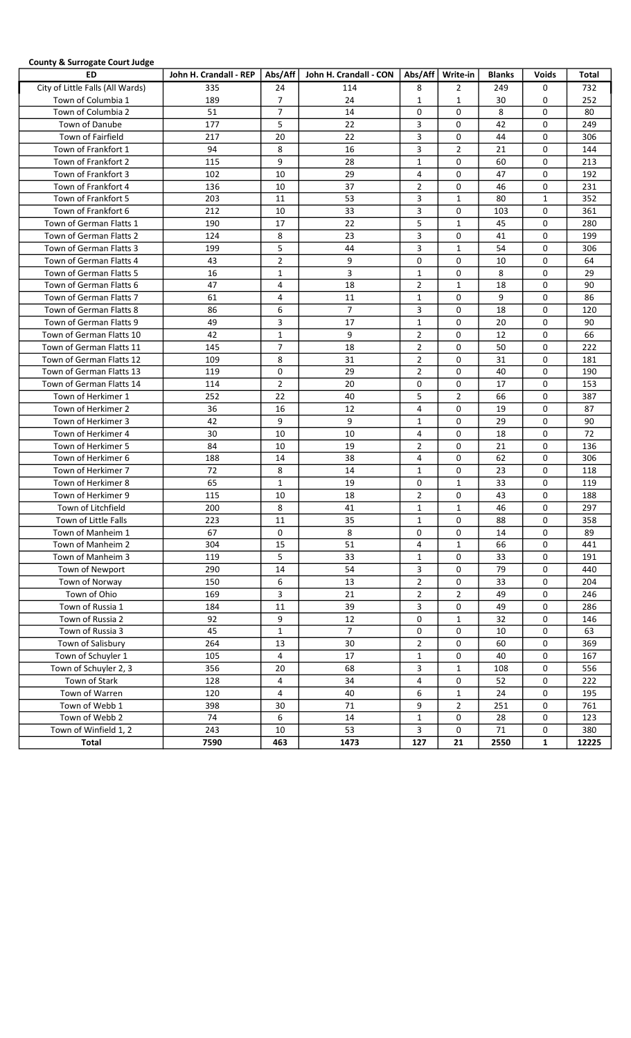# County & Surrogate Court Judge

| $100$ and $100$ and $100$ and $100$ and $100$<br>ED | John H. Crandall - REP |                | Abs/Aff   John H. Crandall - CON |                     | Abs/Aff   Write-in | <b>Blanks</b> | <b>Voids</b> | Total      |
|-----------------------------------------------------|------------------------|----------------|----------------------------------|---------------------|--------------------|---------------|--------------|------------|
| City of Little Falls (All Wards)                    | 335                    | 24             | 114                              | 8                   | $\overline{2}$     | 249           | 0            | 732        |
| Town of Columbia 1                                  | 189                    | $\overline{7}$ | 24                               | 1                   | 1                  | 30            | 0            | 252        |
| Town of Columbia 2                                  | 51                     | $\overline{7}$ | 14                               | 0                   | $\Omega$           | 8             | 0            | 80         |
| Town of Danube                                      | 177                    | 5              | 22                               | 3                   | 0                  | 42            | 0            | 249        |
| Town of Fairfield                                   | 217                    | 20             | 22                               | 3                   | 0                  | 44            | 0            | 306        |
| Town of Frankfort 1                                 | 94                     | 8              | 16                               | 3                   | 2                  | 21            | 0            | 144        |
| Town of Frankfort 2                                 | 115                    | 9              | 28                               | $\mathbf{1}$        | 0                  | 60            | 0            | 213        |
| Town of Frankfort 3                                 | 102                    | 10             | 29                               | 4                   | 0                  | 47            | 0            | 192        |
| Town of Frankfort 4                                 | 136                    | 10             | 37                               | 2                   | 0                  | 46            | 0            | 231        |
| Town of Frankfort 5                                 | 203                    | 11             | 53                               | 3                   | $\mathbf{1}$       | 80            | 1            | 352        |
| Town of Frankfort 6                                 | 212                    | 10             | 33                               | 3                   | 0                  | 103           | 0            | 361        |
| Town of German Flatts 1                             | 190                    | 17             | 22                               | 5                   | $\mathbf{1}$       | 45            | 0            | 280        |
| Town of German Flatts 2                             | 124                    | 8              | 23                               | 3                   | 0                  | 41            | 0            | 199        |
| Town of German Flatts 3                             | 199                    | 5              | 44                               | 3                   | $\mathbf{1}$       | 54            | 0            | 306        |
| Town of German Flatts 4                             | 43                     | $\overline{2}$ | 9                                | 0                   | 0                  | 10            | 0            | 64         |
| Town of German Flatts 5                             | 16                     | $\mathbf{1}$   | 3                                | $\mathbf{1}$        | 0                  | 8             | 0            | 29         |
| Town of German Flatts 6                             | 47                     | 4              | 18                               | 2                   | $\mathbf{1}$       | 18            | 0            | 90         |
| Town of German Flatts 7                             | 61                     | 4              | 11                               | $\mathbf{1}$        | 0                  | 9             | 0            | 86         |
| Town of German Flatts 8                             | 86                     | 6              | $\overline{7}$                   | 3                   | 0                  | 18            | 0            | 120        |
| Town of German Flatts 9                             | 49                     | 3              | 17                               | $\mathbf{1}$        | 0                  | 20            | 0            | 90         |
| Town of German Flatts 10                            | 42                     | $\mathbf{1}$   | 9                                | $\overline{2}$      | 0                  | 12            | 0            | 66         |
| Town of German Flatts 11                            | 145                    | $\overline{7}$ | 18                               | 2                   | 0                  | 50            | 0            | 222        |
| Town of German Flatts 12                            | 109                    | 8              | 31                               | $\overline{2}$      | 0                  | 31            | 0            | 181        |
| Town of German Flatts 13                            | 119                    | 0              | 29                               | $\overline{2}$      | 0                  | 40            | 0            | 190        |
| Town of German Flatts 14                            | 114                    | $\overline{2}$ | 20                               | 0                   | 0                  | 17            | 0            | 153        |
| Town of Herkimer 1                                  | 252                    | 22             | 40                               | 5                   | 2                  | 66            | 0            | 387        |
| Town of Herkimer 2                                  | 36                     | 16             | 12                               | 4                   | 0                  | 19            | 0            | 87         |
| Town of Herkimer 3                                  | 42                     | 9              | 9                                | $\mathbf{1}$        | 0                  | 29            | 0            | 90         |
| Town of Herkimer 4                                  | 30                     | 10             | 10                               | 4                   | 0                  | 18            | 0            | 72         |
| Town of Herkimer 5                                  | 84                     | 10             | 19                               | $\overline{2}$      | 0                  | 21            | 0            | 136        |
| Town of Herkimer 6                                  | 188                    | 14             | 38                               | 4                   | 0                  | 62            | 0            | 306        |
| Town of Herkimer 7                                  | 72                     | 8              | 14                               | 1                   | 0                  | 23            | 0            | 118        |
| Town of Herkimer 8                                  | 65                     | $\mathbf{1}$   | 19                               | 0                   | $\mathbf{1}$       | 33            | 0            | 119        |
| Town of Herkimer 9                                  | 115                    | 10             | 18                               | $\overline{2}$      | 0                  | 43            | 0            | 188        |
| Town of Litchfield                                  | 200                    | 8              | 41                               | 1                   | $\mathbf{1}$       | 46            | 0            | 297        |
| Town of Little Falls                                | 223                    | 11             | 35                               | $\mathbf{1}$        | $\mathbf 0$        | 88            | 0            | 358        |
| Town of Manheim 1                                   | 67                     | 0              | 8                                | 0                   | 0                  | 14            | 0            | 89         |
| Town of Manheim 2                                   | 304                    | 15             | 51                               | 4                   | $\mathbf{1}$       | 66            | 0            | 441        |
| Town of Manheim 3                                   | 119                    | 5              | 33                               | $\mathbf{1}$        | 0                  | 33            | 0            | 191        |
| Town of Newport                                     | 290                    | 14<br>6        | 54<br>13                         | 3<br>$\overline{2}$ | 0<br>0             | 79<br>33      | 0<br>0       | 440<br>204 |
| Town of Norway<br>Town of Ohio                      | 150<br>169             | 3              | 21                               | $\overline{2}$      | $\overline{2}$     | 49            | 0            |            |
|                                                     |                        |                | 39                               | 3                   | 0                  | 49            | 0            | 246        |
| Town of Russia 1<br>Town of Russia 2                | 184<br>92              | 11<br>9        | 12                               | 0                   | $\mathbf{1}$       | 32            | 0            | 286<br>146 |
| Town of Russia 3                                    | 45                     | $\mathbf{1}$   | $\overline{7}$                   | 0                   | 0                  | 10            | 0            | 63         |
| Town of Salisbury                                   | 264                    | 13             | 30                               | $\overline{2}$      | 0                  | 60            | 0            | 369        |
| Town of Schuyler 1                                  | 105                    | 4              | $17\,$                           | $1\,$               | 0                  | 40            | 0            | 167        |
| Town of Schuyler 2, 3                               | 356                    | 20             | 68                               | 3                   | $\mathbf{1}$       | 108           | 0            | 556        |
| Town of Stark                                       | 128                    | 4              | 34                               | 4                   | 0                  | 52            | 0            | 222        |
| Town of Warren                                      | 120                    | 4              | 40                               | 6                   | $\mathbf{1}$       | 24            | 0            | 195        |
| Town of Webb 1                                      | 398                    | 30             | $71\,$                           | 9                   | $\overline{2}$     | 251           | 0            | 761        |
| Town of Webb 2                                      | 74                     | 6              | 14                               | $1\,$               | 0                  | 28            | 0            | 123        |
| Town of Winfield 1, 2                               | 243                    | 10             | 53                               | 3                   | 0                  | 71            | 0            | 380        |
| Total                                               | 7590                   | 463            | 1473                             | 127                 | 21                 | 2550          | 1            | 12225      |
|                                                     |                        |                |                                  |                     |                    |               |              |            |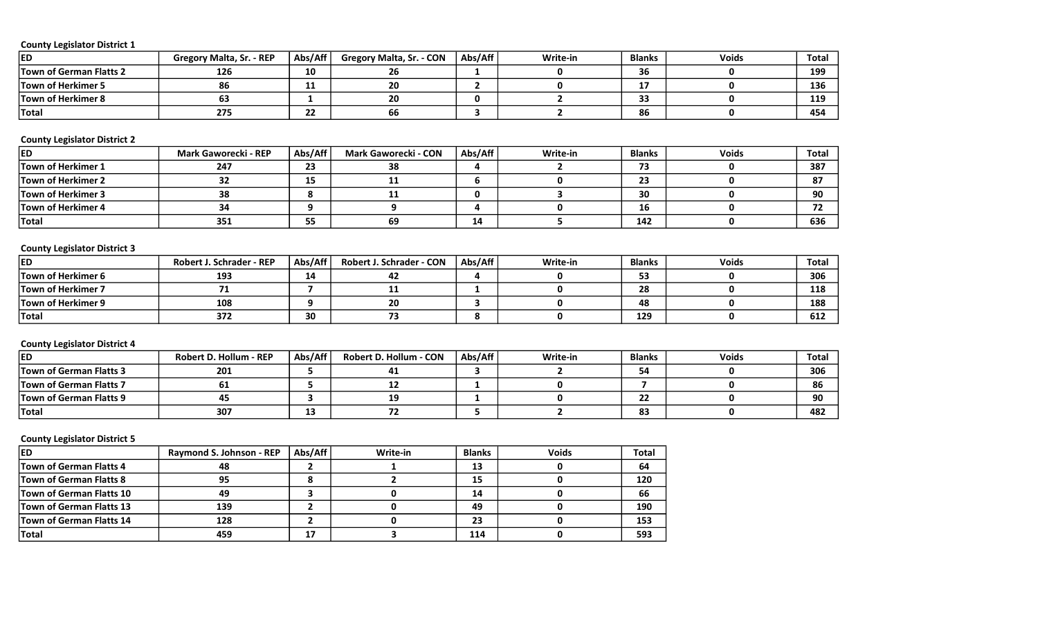| <b>ED</b>                      | $. - REP$<br>Gregory Malta, Sr. | Abs/Aff  | <b>Gregory Malta, Sr. - CON</b> | Abs/Aff | Write-in | <b>Blanks</b> | <b>Voids</b> | Total |
|--------------------------------|---------------------------------|----------|---------------------------------|---------|----------|---------------|--------------|-------|
| <b>Town of German Flatts 2</b> | 126                             | 10       | 26                              |         |          | $\sim$        |              | 199   |
| Town of Herkimer 5             | 86                              | . .      | 20                              |         |          |               |              | 136   |
| <b>Town of Herkimer 8</b>      | ๒ฮ                              |          | 20                              | o       |          |               |              | 119   |
| <b>Total</b>                   | 275                             | - -<br>" | 66                              |         |          | 86            |              | 454   |

# County Legislator District 2

| <b>IED</b>                | <b>Mark Gaworecki - REP</b> | Abs/Aff | <b>Mark Gaworecki - CON</b> | Abs/Aff | Write-in | <b>Blanks</b> | <b>Voids</b> | Total |
|---------------------------|-----------------------------|---------|-----------------------------|---------|----------|---------------|--------------|-------|
| <b>Town of Herkimer 1</b> | 247                         | 23      | 38                          |         |          | 70            |              | 387   |
| <b>Town of Herkimer 2</b> | つつ<br>∍∠                    | 15      | --                          | n       |          | כר            |              | 87    |
| <b>Town of Herkimer 3</b> | 38                          |         | ᅭ                           | O.      |          | 30            |              | 90    |
| <b>Town of Herkimer 4</b> | 34                          |         |                             |         |          | 16            |              | --    |
| <b>Total</b>              | 351                         | 55      | 69                          | 14      |          | 142           |              | 636   |

# County Legislator District 3

| <b>ED</b>                 | <b>Robert J. Schrader - REP</b> | Abs/Aff | <b>Robert J. Schrader - CON</b> | Abs/Aff | Write-in | <b>Blanks</b> | <b>Voids</b> | <b>Total</b> |
|---------------------------|---------------------------------|---------|---------------------------------|---------|----------|---------------|--------------|--------------|
| <b>Town of Herkimer 6</b> | 193                             | 14      | л -<br>42                       |         |          | --            |              | 306          |
| <b>Town of Herkimer 7</b> |                                 |         | ᅩ                               |         |          | 28            |              | 118          |
| <b>Town of Herkimer 9</b> | 108                             |         | 20                              |         |          | 48            |              | 188          |
| <b>Total</b>              | 372                             | 30      |                                 |         |          | 129           |              | 612          |

# County Legislator District 4

| ied                            | <b>Robert D. Hollum - REP</b> | Abs/Aff | <b>Robert D. Hollum - CON</b> | Abs/Aff | Write-in | <b>Blanks</b>       | <b>Voids</b> | Total |
|--------------------------------|-------------------------------|---------|-------------------------------|---------|----------|---------------------|--------------|-------|
| <b>Town of German Flatts 3</b> | 201                           |         | 41                            |         |          |                     |              | 306   |
| <b>Town of German Flatts 7</b> | OT.                           |         | --                            |         |          |                     |              | 86    |
| <b>Town of German Flatts 9</b> | 45                            |         | 19                            |         |          | $\sim$<br>--        |              | 90    |
| <b>Total</b>                   | 307                           | ᆦ       | 74                            |         |          | o <sub>3</sub><br>൦ |              | 482   |

| <b>IED</b>                      | <b>Raymond S. Johnson - REP</b> | Abs/Aff | Write-in | <b>Blanks</b> | <b>Voids</b> | <b>Total</b> |
|---------------------------------|---------------------------------|---------|----------|---------------|--------------|--------------|
| <b>Town of German Flatts 4</b>  | 48                              |         |          | 13            |              | 64           |
| <b>Town of German Flatts 8</b>  | 95                              |         |          | 15            |              | 120          |
| <b>Town of German Flatts 10</b> | 49                              |         |          | 14            |              | 66           |
| <b>Town of German Flatts 13</b> | 139                             |         |          | 49            |              | 190          |
| <b>Town of German Flatts 14</b> | 128                             |         |          | 23            |              | 153          |
| <b>Total</b>                    | 459                             | 17      |          | 114           |              | 593          |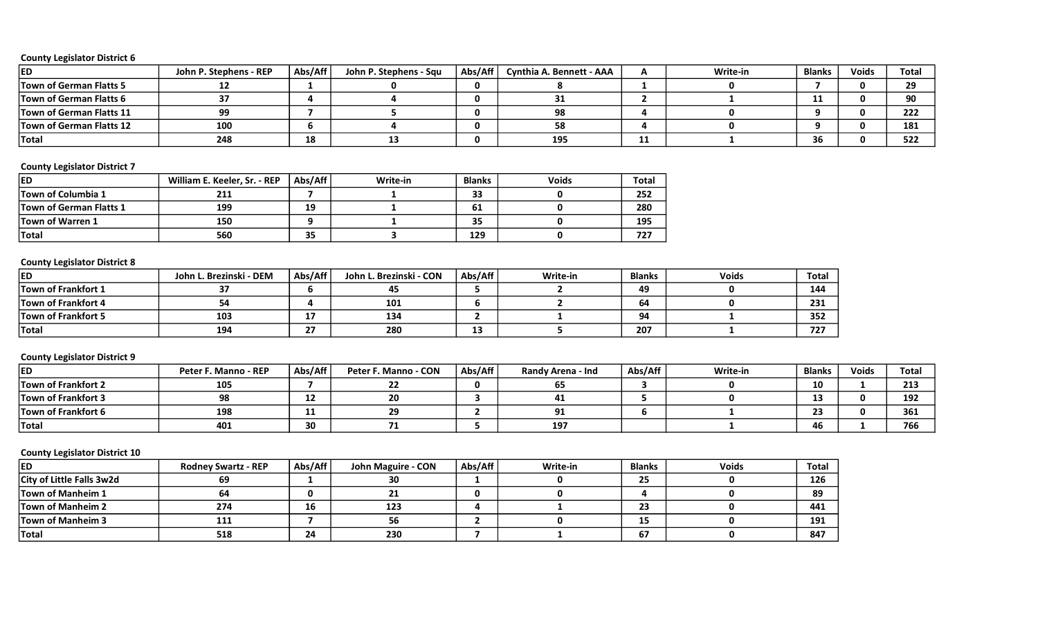| ED                              | John P. Stephens - REP | Abs/Aff | John P. Stephens - Squ | Abs/Aff | Cynthia A. Bennett - AAA |            | Write-in | <b>Blanks</b> | <b>Voids</b> | Total |
|---------------------------------|------------------------|---------|------------------------|---------|--------------------------|------------|----------|---------------|--------------|-------|
| <b>Town of German Flatts 5</b>  |                        |         |                        |         |                          |            |          |               |              | 20.   |
| <b>Town of German Flatts 6</b>  | э,                     |         |                        |         |                          |            |          | 11            |              | 90    |
| <b>Town of German Flatts 11</b> | 99                     |         |                        |         | 98                       |            |          |               |              | 222   |
| <b>Town of German Flatts 12</b> | 100                    |         |                        |         | 58                       |            |          |               |              | 181   |
| <b>Total</b>                    | 248                    | 18      |                        |         | 195                      | <b>. .</b> |          | 36            |              | 522   |

# County Legislator District 7

| <b>IED</b>                     | William E. Keeler, Sr. - REP | Abs/Aff | Write-in | <b>Blanks</b> | <b>Voids</b> | <b>Total</b> |
|--------------------------------|------------------------------|---------|----------|---------------|--------------|--------------|
| <b>Town of Columbia 1</b>      | 211                          |         |          | 33            |              | 252          |
| <b>Town of German Flatts 1</b> | 199                          | 19      |          | 61            |              | 280          |
| <b>Town of Warren 1</b>        | 150                          |         |          | 35            |              | 195          |
| <b>Total</b>                   | 560                          | 35      |          | 129           |              | 727          |

# County Legislator District 8

| <b>ED</b>                  | John L. Brezinski - DEM | Abs/Aff   | John L. Brezinski - CON | Abs/Aff | Write-in | <b>Blanks</b> | <b>Voids</b> | Total |
|----------------------------|-------------------------|-----------|-------------------------|---------|----------|---------------|--------------|-------|
| <b>Town of Frankfort 1</b> | $\sim$                  |           | 45                      |         |          | 49            |              | 144   |
| <b>Town of Frankfort 4</b> | 54                      |           | 101                     |         |          | 64            |              | 231   |
| <b>Town of Frankfort 5</b> | 103                     | --<br>. . | 134                     |         |          | 94            |              | 352   |
| <b>Total</b>               | 194                     | דר<br>"   | 280                     | ∸       |          | 207           |              | 727   |

#### County Legislator District 9

| <b>ED</b>                  | Peter F. Manno - REP | Abs/Aff | Peter F. Manno - CON | Abs/Aff | Randy Arena - Ind | Abs/Aff | Write-in | <b>Blanks</b>        | <b>Voids</b> | <b>Total</b> |
|----------------------------|----------------------|---------|----------------------|---------|-------------------|---------|----------|----------------------|--------------|--------------|
| <b>Town of Frankfort 2</b> | 105                  |         |                      |         |                   |         |          | 10                   |              | 213          |
| <b>Town of Frankfort 3</b> | 98                   | ∸∸      | 20                   |         |                   |         |          | $\ddot{\phantom{1}}$ |              | 192          |
| <b>Town of Frankfort 6</b> | 198                  | . .     | $\sim$<br>49         |         |                   |         |          |                      |              | 361          |
| <b>Total</b>               | 401                  | 30      |                      |         | 197               |         |          |                      |              | 766          |

| ied                              | <b>Rodney Swartz - REP</b> | Abs/Aff | John Maguire - CON | Abs/Aff | Write-in | <b>Blanks</b> | <b>Voids</b> | <b>Total</b> |
|----------------------------------|----------------------------|---------|--------------------|---------|----------|---------------|--------------|--------------|
| <b>City of Little Falls 3w2d</b> | 69                         |         | 30                 |         |          | 25            |              | 126          |
| <b>Town of Manheim 1</b>         | 64                         |         |                    | O       |          |               |              | 89           |
| <b>Town of Manheim 2</b>         | 274                        | 16      | 123                |         |          | 23            |              | 441          |
| <b>Town of Manheim 3</b>         | 111                        |         | 56                 |         |          | 15            |              | 191          |
| <b>Total</b>                     | 518                        | 24      | 230                |         |          | 67            |              | 847          |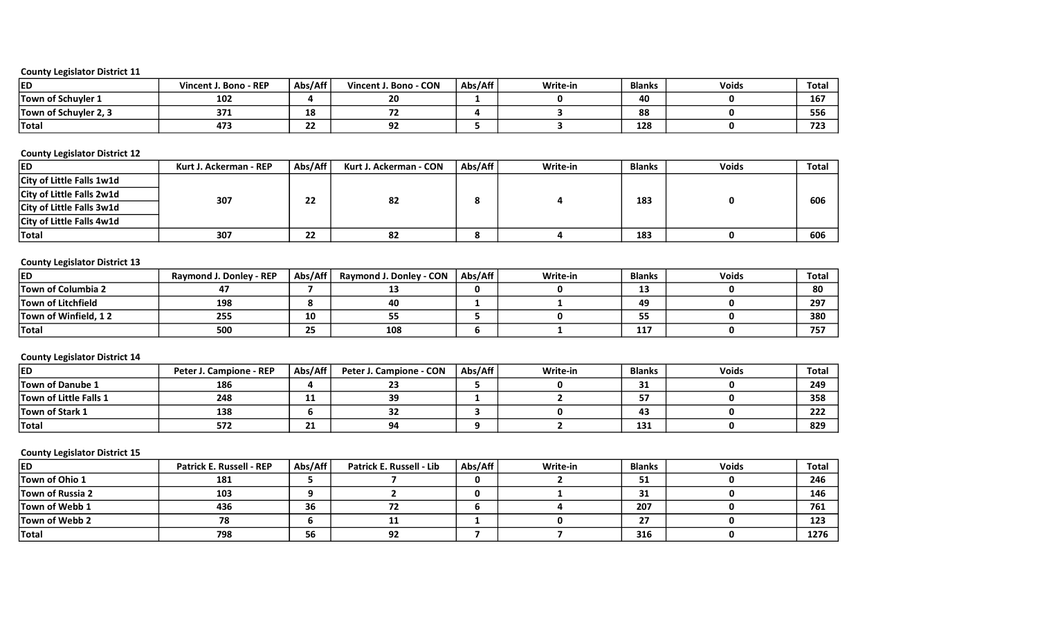| ED                    | Vincent J. Bono - REP | Abs/Aff      | Bono - CON<br>Vincent J. | Abs/Aff | Write-in | <b>Blanks</b> | <b>Voids</b> | Total |
|-----------------------|-----------------------|--------------|--------------------------|---------|----------|---------------|--------------|-------|
| Town of Schuyler 1    | 102                   |              | 20                       |         |          | 40            |              | 167   |
| Town of Schuyler 2, 3 | 371                   | 18           |                          |         |          | 88            |              | 556   |
| <b>Total</b>          | 473                   | $\sim$<br>22 | $\sim$<br>--             |         |          | 128           |              | 723   |

#### County Legislator District 12

| <b>IED</b>                       | Kurt J. Ackerman - REP | Abs/Aff | Kurt J. Ackerman - CON | Abs/Aff                | Write-in | <b>Blanks</b> | <b>Voids</b> | <b>Total</b> |
|----------------------------------|------------------------|---------|------------------------|------------------------|----------|---------------|--------------|--------------|
| City of Little Falls 1w1d        |                        |         |                        |                        |          |               |              |              |
| City of Little Falls 2w1d        | 307                    | 22      | 82                     | 0                      |          | 183           |              | 606          |
| City of Little Falls 3w1d        |                        |         |                        |                        |          |               |              |              |
| <b>City of Little Falls 4w1d</b> |                        |         |                        |                        |          |               |              |              |
| <b>Total</b>                     | 307                    | 22      | 82                     | $\bullet$<br>$\bullet$ |          | 183           |              | 606          |

# County Legislator District 13

| <b>IED</b>                | $-$ REP<br>Raymond J. Donley | Abs/Aff  | Raymond J. Donley - CON | Abs/Aff | Write-in | <b>Blanks</b> | <b>Voids</b> | Total      |
|---------------------------|------------------------------|----------|-------------------------|---------|----------|---------------|--------------|------------|
| <b>Town of Columbia 2</b> |                              |          | --                      |         |          |               |              | 80         |
| <b>Town of Litchfield</b> | 198                          |          | 40                      |         |          | 49            |              | 297        |
| Town of Winfield, 12      | 255                          | 10       | --<br>ככ                |         |          |               |              | 380        |
| <b>Total</b>              | 500                          | ~~<br>25 | 108                     |         |          | 117           |              | ---<br>75. |

# County Legislator District 14

| <b>IED</b>                    | <b>Peter J. Campione - REP</b> | Abs/Aff   | Peter J. Campione - CON | Abs/Aff | Write-in | <b>Blanks</b> | <b>Voids</b> | Total |
|-------------------------------|--------------------------------|-----------|-------------------------|---------|----------|---------------|--------------|-------|
| <b>Town of Danube 1</b>       | 186                            |           | 23                      |         |          |               |              | 249   |
| <b>Town of Little Falls 1</b> | 248                            | --        | 39                      |         |          |               |              | 358   |
| <b>Town of Stark 1</b>        | 138                            |           | 32                      |         |          | 43            |              | 222   |
| <b>Total</b>                  | 572                            | -14<br>41 | 94                      |         |          | 131           |              | 829   |

| <b>ED</b>               | <b>Patrick E. Russell - REP</b> | Abs/Aff | Patrick E. Russell - Lib | Abs/Aff | Write-in | <b>Blanks</b> | <b>Voids</b> | Total |
|-------------------------|---------------------------------|---------|--------------------------|---------|----------|---------------|--------------|-------|
| Town of Ohio 1          | 181                             |         |                          | O.      |          | ◡             |              | 246   |
| <b>Town of Russia 2</b> | 103                             | o       |                          | 0       |          |               |              | 146   |
| Town of Webb 1          | 436                             | 36      | 1 L                      |         |          | 207           |              | 761   |
| Town of Webb 2          | 78                              | O       | ᅭ                        |         |          | 57            |              | 123   |
| Total                   | 798                             | 56      | 92                       |         |          | 316           |              | 1276  |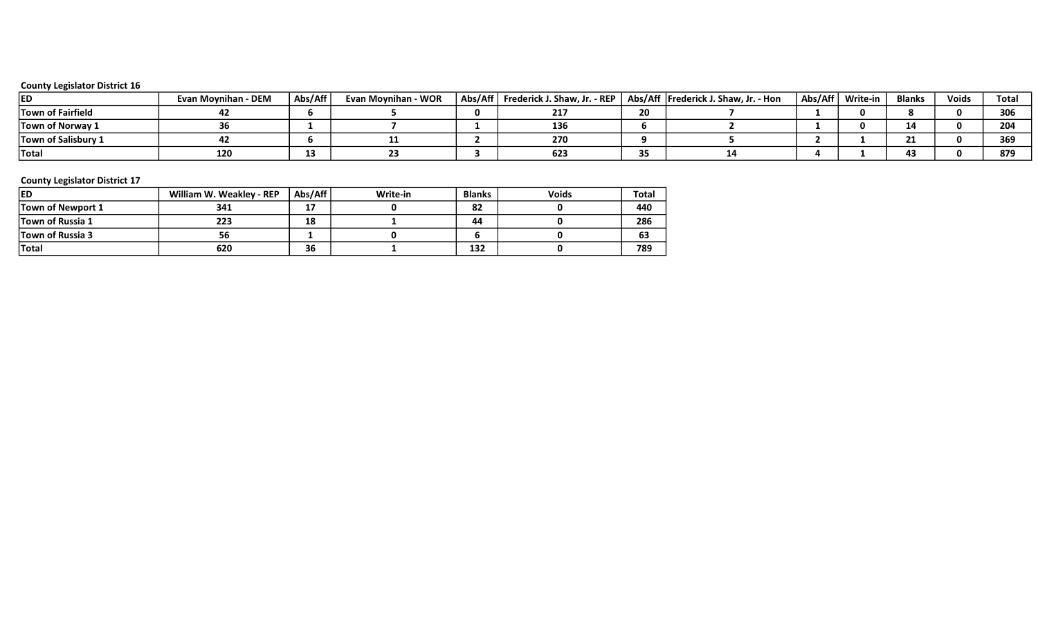| ied                        | <b>Evan Movnihan - DEM</b> | Abs/Aff | Evan Movnihan - WOR | Abs/Aff   Frederick J. Shaw, Jr. - REP |    | Abs/Aff   Frederick J. Shaw, Jr. - Hon | Abs/Aff   Write-in | <b>Blanks</b> | <b>Voids</b> | Tota  |
|----------------------------|----------------------------|---------|---------------------|----------------------------------------|----|----------------------------------------|--------------------|---------------|--------------|-------|
| <b>Town of Fairfield</b>   |                            |         |                     | 44                                     | 20 |                                        |                    |               |              | 306   |
| <b>Town of Norway 1</b>    |                            |         |                     | 136                                    |    |                                        |                    | 14            |              | 204   |
| <b>Town of Salisbury 1</b> |                            |         |                     | 270                                    |    |                                        |                    |               |              | 369   |
| <b>Total</b>               | 120                        |         |                     | 623                                    |    |                                        |                    |               |              | - 076 |

| <b>IED</b>              | William W. Weakley - REP | Abs/Aff | Write-in | <b>Blanks</b> | <b>Voids</b> | Total |
|-------------------------|--------------------------|---------|----------|---------------|--------------|-------|
| Town of Newport 1       | 341                      | 17      |          | 82            |              | 440   |
| <b>Town of Russia 1</b> | 223                      | 18      |          | 44            |              | 286   |
| <b>Town of Russia 3</b> | 56                       |         |          |               |              | 63    |
| <b>Total</b>            | 620                      | 36      |          | 132           |              | 789   |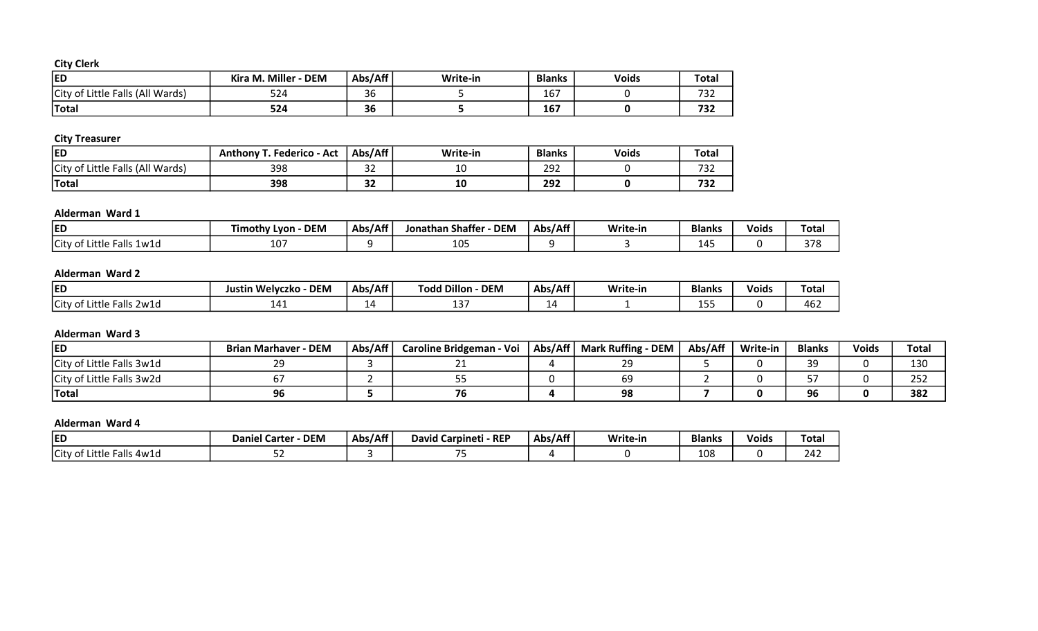# City Clerk

| <b>ED</b>                        | Kira M. Miller<br><b>DEM</b> | Abs/Aff | Write-in | <b>Blanks</b> | <b>Voids</b> | <b>Total</b> |
|----------------------------------|------------------------------|---------|----------|---------------|--------------|--------------|
| City of Little Falls (All Wards) | $E \Omega$<br>-22            | 36      |          | 167           |              | 722<br>2د ا  |
| Total                            | 524                          | 36      |          | 167           |              | 723<br>232   |

# City Treasurer

| <b>ED</b>                             | <b>Anthony T. Federico - Act</b> | Abs/Aff       | Write-in | <b>Blanks</b> | <b>Voids</b> | Total                           |
|---------------------------------------|----------------------------------|---------------|----------|---------------|--------------|---------------------------------|
| f Little Falls (All Wards)<br>City of | 398                              | $\sim$<br>ັ   | --       | 292           |              | $\overline{\phantom{a}}$<br>ے ر |
| <b>Total</b>                          | 398                              | $\sim$<br>ے ت | ᅩV       | 292           |              | 732                             |

# Alderman Ward 1

| <b>ED</b>                       | <b>DEM</b><br>imothy<br>Lvon | Abs/Aff | <b>DEN</b><br><b>Shaffer</b><br>Jonathan | Abs/Aff | Write-in | <b>Blanks</b>      | <b>Voids</b> | Tota.               |
|---------------------------------|------------------------------|---------|------------------------------------------|---------|----------|--------------------|--------------|---------------------|
| Little Falls<br>City of<br>1w1d | $\sim$<br>⊥∪                 |         | $1 \cap E$<br>⊥∪⊸                        |         |          | $\Lambda^r$<br>--- |              | 27c<br><b>D</b> / C |

### Alderman Ward 2

| <b>IED</b>                                       | <b>DEM</b><br><b>Welvczko</b><br>- -<br>Justin | Abs/Aff | <b>HDillon</b><br>_<br><b>DEM</b><br>rodd | Abs/Aff                | Write-in | <b>Blanks</b> | . .<br><b>Voids</b> | Total |
|--------------------------------------------------|------------------------------------------------|---------|-------------------------------------------|------------------------|----------|---------------|---------------------|-------|
| City of<br>ittle<br>-2w1d<br>$\sim$ $\sim$<br>-4 |                                                | --      | $\ddot{\phantom{1}}$<br>--                | ے ا<br><u>. на стр</u> |          | .             |                     | 462   |

# Alderman Ward 3

| <b>ED</b>                 | <b>Brian Marhaver - DEM</b> | Abs/Aff | <b>Caroline Bridgeman - Voi</b> | Abs/Aff | <b>Mark Ruffing - DEM</b> | Abs/Aff | Write-in | <b>Blanks</b>      | <b>Voids</b> | Total           |
|---------------------------|-----------------------------|---------|---------------------------------|---------|---------------------------|---------|----------|--------------------|--------------|-----------------|
| City of Little Falls 3w1d | าก                          |         |                                 |         |                           |         |          | $\sim$<br>≺ч<br>-- |              | 13 <sub>C</sub> |
| City of Little Falls 3w2d |                             |         | --                              |         | ხყ                        |         |          |                    |              | 252             |
| Total                     | 96                          |         | 76                              |         | 98                        |         |          | 96                 |              | 382             |

# Alderman Ward 4

| <b>ED</b>                    | <b>DEM</b><br><b>Daniel Carter</b> | Abs/Aff | $-$ REP<br>l Carpineti<br>David | Abs/Aff | Write-in | <b>Blanks</b> | <b>Voids</b> | <b>Total</b>  |
|------------------------------|------------------------------------|---------|---------------------------------|---------|----------|---------------|--------------|---------------|
| City of<br>Little Falls 4w1d | --                                 |         | $- -$                           |         |          | 108           |              | $\sim$<br>242 |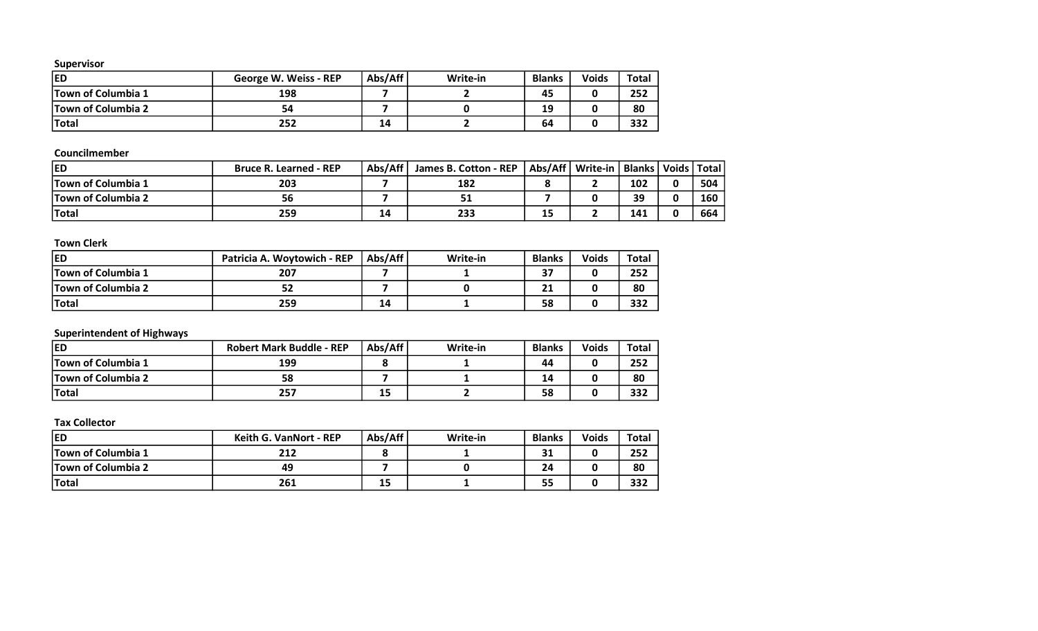| IED                       | George W. Weiss - REP | Abs/Aff | Write-in | <b>Blanks</b> | <b>Voids</b> | Total |
|---------------------------|-----------------------|---------|----------|---------------|--------------|-------|
| <b>Town of Columbia 1</b> | 198                   |         |          | 45            |              | 252   |
| <b>Town of Columbia 2</b> | 54                    |         |          | 19            |              | 80    |
| <b>Total</b>              | 252                   | 14      |          | 64            |              | 332   |

# Councilmember

| <b>ED</b>                 | <b>Bruce R. Learned - REP</b> | Abs/Aff | James B. Cotton - REP |    | Abs/Aff   Write-in   Blanks   Voids   Total |     |     |
|---------------------------|-------------------------------|---------|-----------------------|----|---------------------------------------------|-----|-----|
| <b>Town of Columbia 1</b> | 203                           |         | 182                   |    |                                             | 102 | 504 |
| <b>Town of Columbia 2</b> | 56                            |         | 51                    |    |                                             | 39  | 160 |
| <b>Total</b>              | 259                           | 14      | 233                   | -- |                                             | 141 | 664 |

# Town Clerk

| led                       | Patricia A. Woytowich - REP | Abs/Aff | Write-in | <b>Blanks</b> | <b>Voids</b> | Total |
|---------------------------|-----------------------------|---------|----------|---------------|--------------|-------|
| <b>Town of Columbia 1</b> | 207                         |         |          |               |              | 252   |
| <b>Town of Columbia 2</b> |                             |         |          | 41            |              | 80    |
| <b>Total</b>              | 259                         | 14      |          | 58            |              | 332   |

# Superintendent of Highways

| led                       | <b>Robert Mark Buddle - REP</b> | Abs/Aff | Write-in | <b>Blanks</b> | <b>Voids</b> | Total |
|---------------------------|---------------------------------|---------|----------|---------------|--------------|-------|
| <b>Town of Columbia 1</b> | 199                             |         |          | 44            |              | 252   |
| <b>Town of Columbia 2</b> |                                 |         |          | 14            |              | 80    |
| <b>Total</b>              | 257                             | 15      |          | 58            |              | 332   |

| <b>IED</b>                | <b>Keith G. VanNort - REP</b> | Abs/Aff | Write-in | <b>Blanks</b> | <b>Voids</b> | <b>Total</b> |
|---------------------------|-------------------------------|---------|----------|---------------|--------------|--------------|
| <b>Town of Columbia 1</b> | 212                           |         |          | 31            |              | 252          |
| <b>Town of Columbia 2</b> | 49                            |         |          | 24            |              | 80           |
| <b>Total</b>              | 261                           | 15      |          | 55            |              | 332          |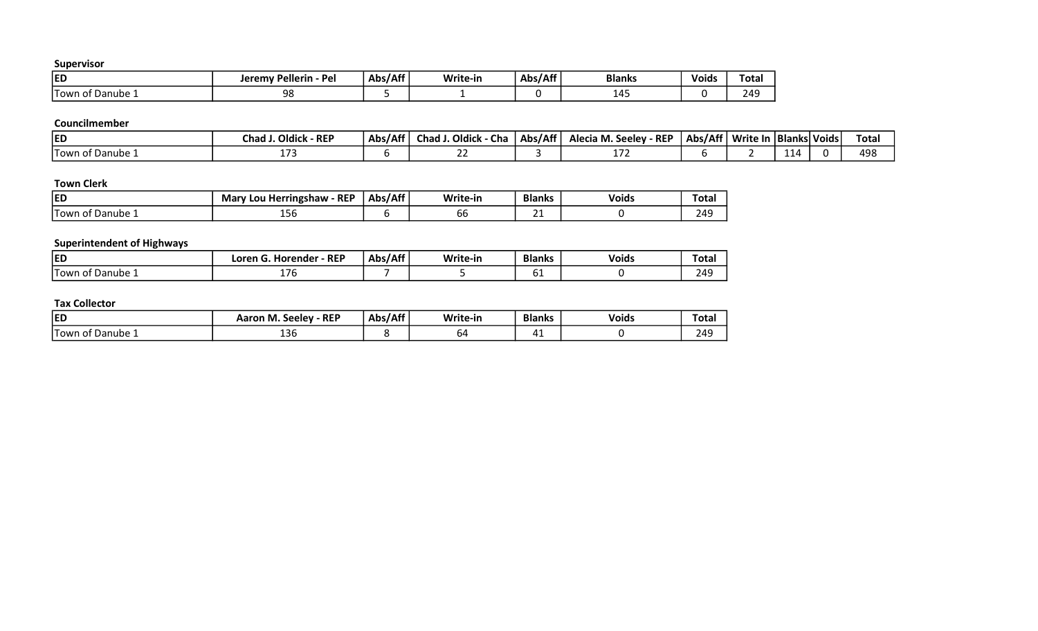| ED                                      | / Pellerin - Pel<br>Jeremy | Abs/Aff | Write-in | Abs/Aff | <b>Blanks</b>                        | .<br>Voids | Total               |
|-----------------------------------------|----------------------------|---------|----------|---------|--------------------------------------|------------|---------------------|
| t Danube ⊥<br>Town<br>$\sim$ $+$ $\sim$ | QR<br>J U                  |         |          |         | 1 <sub>1</sub><br>. .<br><u>д</u> т. |            | 249<br>— т <i>у</i> |

# Councilmember

| <b>IED</b>                             | · REP<br>' Oldick<br>Chad | Abs/Aff | Chad J. Oldick<br>- Cha | Abs/Aff | Alecia M. Seeley - REP | Abs/Aff | Write In   Blanks  Voids |            | Total |
|----------------------------------------|---------------------------|---------|-------------------------|---------|------------------------|---------|--------------------------|------------|-------|
| <sup>F</sup> Danube 1<br><b>Town o</b> |                           |         | $\sim$ $\sim$<br>--     |         | .                      |         |                          | <b>для</b> | 498   |

# Town Clerk

| <b>ED</b>                       | <b>REP</b><br>Mary !<br>, Lou Herringshaw | Abs/Aff | Write-in | <b>Blanks</b> | <b>Voids</b> | Tota |
|---------------------------------|-------------------------------------------|---------|----------|---------------|--------------|------|
| . .<br>-<br>of Danube<br>i lown | TOD                                       |         | oo       | --            |              | 249  |

# Superintendent of Highways

| ED                           | $-$ REP<br>render<br>_oren<br>Hor <sup>,</sup> | ./Aff<br>Abs/ | Write-in | <b>Blanks</b> | <b>Voids</b> | Total |
|------------------------------|------------------------------------------------|---------------|----------|---------------|--------------|-------|
| <b>Town</b> √<br>of Danube 1 | $\sim$<br>- 1 U                                |               |          | ັ             |              | 249   |

| <b>ED</b>                     | $\cdot$ REP<br>$\sim$<br>Aaron M.<br><b>Seelev</b> | ,/Aff<br>Abs, | Write-in | <b>Blanks</b> | <b>Voids</b> | Tota. |
|-------------------------------|----------------------------------------------------|---------------|----------|---------------|--------------|-------|
| . .<br>Danube<br>⊥l ∩wr<br>Λt | $\sim$<br>120                                      |               | 64       |               |              | 249   |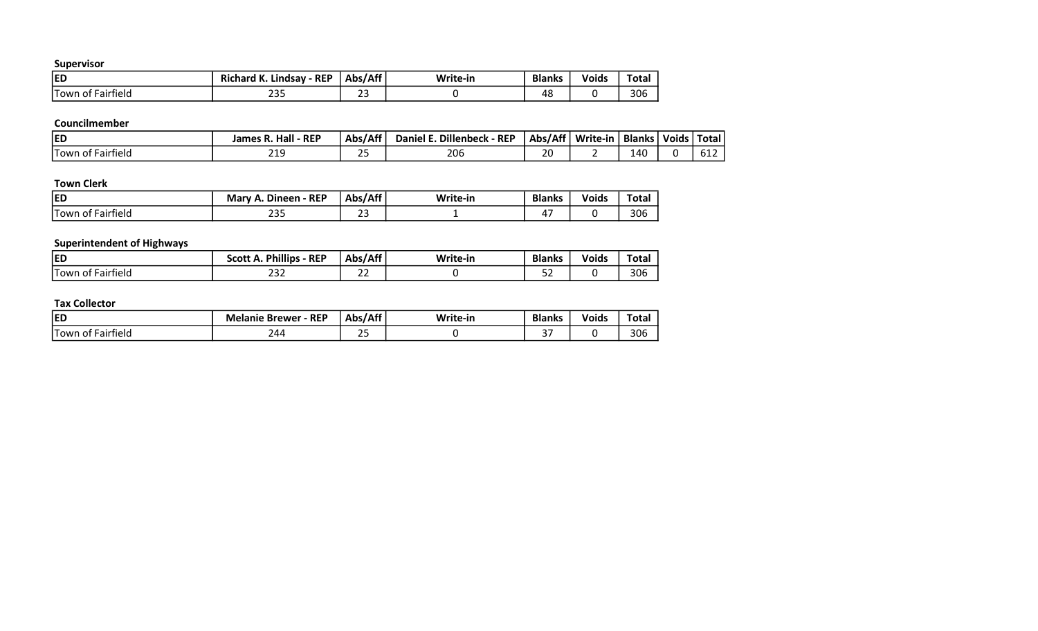| <b>ED</b>                             | <b>REP</b><br><b>Richard K.</b><br>Lindsav | Abs/Aff | Write-in | <b>Blanks</b> | <b>Voids</b> | <b>Total</b> |
|---------------------------------------|--------------------------------------------|---------|----------|---------------|--------------|--------------|
| <b>Town</b><br>. .<br>-airfield<br>O1 | $\sim$ $\sim$ $\sim$<br>ر ب                | $\sim$  |          | 4১            |              | 306          |

#### Councilmember

| <b>IED</b>                   | James R. Hall<br><b>REP</b> | Abs/Aff  | . Dillenbeck<br>$\cdot$ - REP<br>Daniel I | Abs/Aff  | Write-in | <b>Blanks</b> | Voids | Total |
|------------------------------|-----------------------------|----------|-------------------------------------------|----------|----------|---------------|-------|-------|
| .<br>'Town ∈<br>of Fairfield | ን10<br>∠⊥こ                  | าย<br>-- | 206                                       | า٢<br>ᅀᄔ |          | 140           |       | 61Z   |

# Town Clerk

| <b>ED</b>              | Dineen - REP<br>- -<br><b>Mary</b><br>$\mathbf{r}$ | Abs/Aff | Write-in | <b>Blanks</b> | .<br>Voids | ota: |
|------------------------|----------------------------------------------------|---------|----------|---------------|------------|------|
| Town of .<br>Fairfield | $\sim$ $\sim$ $\sim$<br>ررے                        | $\sim$  |          | <u>. </u>     |            | 306  |

# Superintendent of Highways

| <b>ED</b>                             | <b>Phillips</b><br><b>REP</b><br>Scott A. | Abs/Aff             | Write-in | <b>Blanks</b>                   | <b>Voids</b> | <b>Total</b> |
|---------------------------------------|-------------------------------------------|---------------------|----------|---------------------------------|--------------|--------------|
| .<br>. –<br>Fairfield<br>Town<br>. OT | $\sim$ $\sim$<br>ےرے                      | $\sim$ $\sim$<br>__ |          | $ \overline{\phantom{a}}$<br>-- |              | 306          |

| <b>ED</b>                                | - REP<br>Me<br><b>Brewer</b><br>elanie. | $J$ $\Lambda$ ff<br>. .<br><b>Ahe</b> | $M = 1 + 1$<br>-in<br>w. | <b>Blanks</b>   | Voids | Tota. |
|------------------------------------------|-----------------------------------------|---------------------------------------|--------------------------|-----------------|-------|-------|
| . .<br>'-<br>tield<br>∙airt<br>Town<br>ി | 244                                     | $\sim$ $-$                            |                          | $\sim$ $-$<br>້ |       | 306   |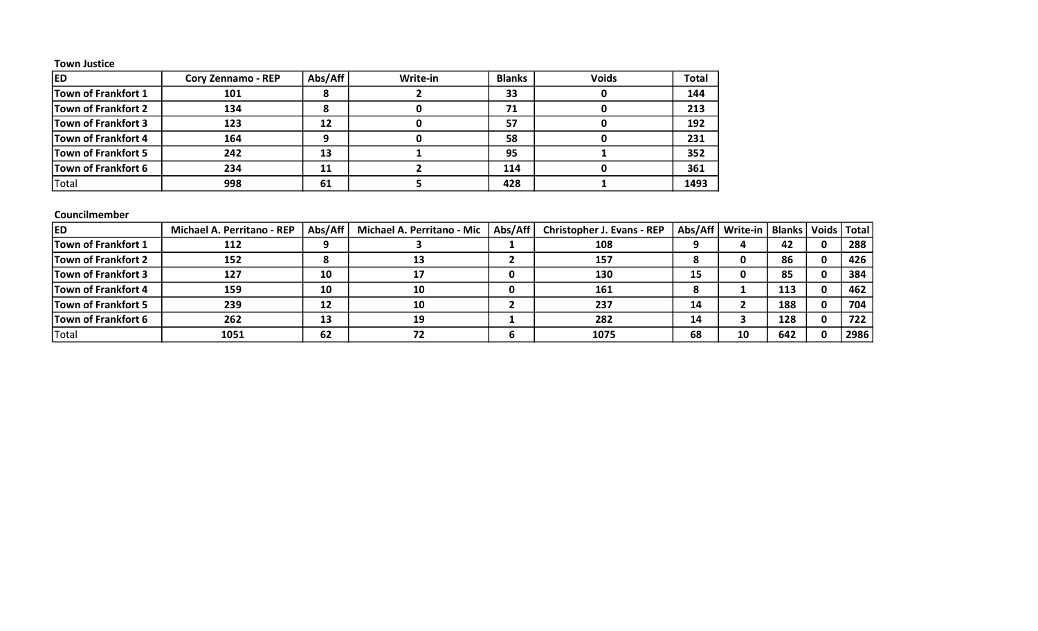#### Town Justice

| <b>ED</b>                  | Cory Zennamo - REP | Abs/Aff | Write-in | <b>Blanks</b> | <b>Voids</b> | <b>Total</b> |
|----------------------------|--------------------|---------|----------|---------------|--------------|--------------|
| Town of Frankfort 1        | 101                |         |          | 33            |              | 144          |
| Town of Frankfort 2        | 134                |         |          | 71            |              | 213          |
| Town of Frankfort 3        | 123                | 12      |          | 57            |              | 192          |
| Town of Frankfort 4        | 164                |         |          | 58            |              | 231          |
| <b>Town of Frankfort 5</b> | 242                | 13      |          | 95            |              | 352          |
| Town of Frankfort 6        | 234                | 11      |          | 114           |              | 361          |
| Total                      | 998                | 61      |          | 428           |              | 1493         |

# Councilmember

| <b>IED</b>                 | <b>Michael A. Perritano - REP</b> | Abs/Aff | <b>Michael A. Perritano - Mic</b> | Abs/Aff | <b>Christopher J. Evans - REP</b> |    | Abs/Aff   Write-in   Blanks |     | Voids   Total |      |
|----------------------------|-----------------------------------|---------|-----------------------------------|---------|-----------------------------------|----|-----------------------------|-----|---------------|------|
| <b>Town of Frankfort 1</b> | 112                               |         |                                   |         | 108                               |    |                             | 42  | 0             | 288  |
| Town of Frankfort 2        | 152                               |         |                                   |         | 157                               |    |                             | 86  | 0             | 426  |
| Town of Frankfort 3        | 127                               | 10      |                                   |         | 130                               | 15 |                             | 85  | 0             | 384  |
| <b>Town of Frankfort 4</b> | 159                               | 10      | 10                                |         | 161                               |    |                             | 113 | $\mathbf{0}$  | 462  |
| Town of Frankfort 5        | 239                               | 12      | 10                                |         | 237                               | 14 |                             | 188 | $\mathbf{0}$  | 704  |
| <b>Town of Frankfort 6</b> | 262                               | 13      | 19                                |         | 282                               | 14 |                             | 128 | 0             | 722  |
| Total                      | 1051                              | 62      | 72                                |         | 1075                              | 68 | 10                          | 642 | $\mathbf{0}$  | 2986 |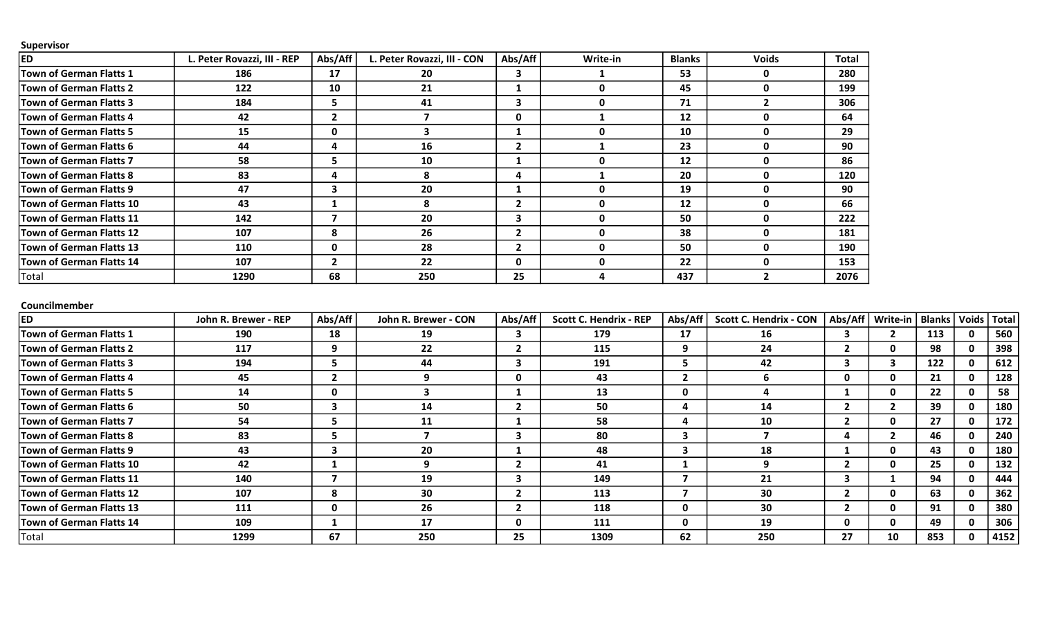| Supervisor                      |                             |             |                             |              |              |               |              |              |
|---------------------------------|-----------------------------|-------------|-----------------------------|--------------|--------------|---------------|--------------|--------------|
| <b>ED</b>                       | L. Peter Rovazzi, III - REP | Abs/Aff     | L. Peter Rovazzi, III - CON | Abs/Aff      | Write-in     | <b>Blanks</b> | <b>Voids</b> | <b>Total</b> |
| <b>Town of German Flatts 1</b>  | 186                         | 17          | 20                          |              |              | 53            | 0            | 280          |
| <b>Town of German Flatts 2</b>  | 122                         | 10          | 21                          |              | $\mathbf{0}$ | 45            | O            | 199          |
| <b>Town of German Flatts 3</b>  | 184                         | 5.          | 41                          |              | $\mathbf{0}$ | 71            | 2            | 306          |
| <b>Town of German Flatts 4</b>  | 42                          | $2^{\circ}$ |                             | 0            |              | 12            | O            | 64           |
| <b>Town of German Flatts 5</b>  | 15                          | 0           |                             |              | $\bf{0}$     | 10            | O            | 29           |
| <b>Town of German Flatts 6</b>  | 44                          | 4           | 16                          | $\mathbf{2}$ |              | 23            | O            | 90           |
| <b>Town of German Flatts 7</b>  | 58                          | 5.          | 10                          |              | $\Omega$     | 12            | ŋ            | 86           |
| <b>Town of German Flatts 8</b>  | 83                          | 4           | 8                           | 4            |              | 20            | O            | 120          |
| <b>Town of German Flatts 9</b>  | 47                          | 3           | 20                          |              | $\mathbf{0}$ | 19            | 0            | 90           |
| <b>Town of German Flatts 10</b> | 43                          |             | я                           | $\mathbf{z}$ | $\mathbf{0}$ | 12            | O            | 66           |
| <b>Town of German Flatts 11</b> | 142                         |             | 20                          | 3            | $\mathbf{0}$ | 50            | ŋ            | 222          |
| <b>Town of German Flatts 12</b> | 107                         | 8           | 26                          |              | $\mathbf 0$  | 38            | 0            | 181          |
| <b>Town of German Flatts 13</b> | 110                         | 0           | 28                          | $\mathbf{2}$ | $\mathbf{0}$ | 50            | ŋ            | 190          |
| <b>Town of German Flatts 14</b> | 107                         | 2           | 22                          | 0            | $\mathbf{0}$ | 22            | O            | 153          |
| Total                           | 1290                        | 68          | 250                         | 25           |              | 437           |              | 2076         |

#### Councilmember

| <b>ED</b>                      | John R. Brewer - REP | Abs/Aff | John R. Brewer - CON | Abs/Aff      | <b>Scott C. Hendrix - REP</b> | Abs/Aff      | <b>Scott C. Hendrix - CON</b> | Abs/Aff | Write-in | <b>Blanks</b> | Voids | <b>Total</b> |
|--------------------------------|----------------------|---------|----------------------|--------------|-------------------------------|--------------|-------------------------------|---------|----------|---------------|-------|--------------|
| Town of German Flatts 1        | 190                  | 18      | 19                   |              | 179                           | 17           | 16                            |         |          | 113           |       | 560          |
| <b>Town of German Flatts 2</b> | 117                  | 9       | 22                   |              | 115                           | q            | 24                            |         | 0        | 98            | U     | 398          |
| <b>Town of German Flatts 3</b> | 194                  | 5       | 44                   | 3            | 191                           |              | 42                            | З       |          | 122           |       | 612          |
| Town of German Flatts 4        | 45                   |         | Q                    | $\mathbf{0}$ | 43                            |              |                               | 0       |          | 21            |       | 128          |
| <b>Town of German Flatts 5</b> | 14                   | 0       |                      |              | 13                            | 0            |                               |         | 0        | 22            |       | 58           |
| Town of German Flatts 6        | 50                   | з       | 14                   |              | 50                            | - 4          | 14                            |         |          | 39            |       | 180          |
| Town of German Flatts 7        | 54                   | כ       | 11                   |              | 58                            | д            | 10                            |         | 0        | 27            |       | 172          |
| Town of German Flatts 8        | 83                   | 5       |                      | З            | 80                            | - 5          |                               |         |          | 46            |       | 240          |
| Town of German Flatts 9        | 43                   | 3       | 20                   |              | 48                            | -5           | 18                            |         | 0        | 43            |       | 180          |
| Town of German Flatts 10       | 42                   |         | q                    |              | 41                            |              | q                             |         |          | 25            |       | 132          |
| Town of German Flatts 11       | 140                  |         | 19                   |              | 149                           |              | 21                            | з       |          | 94            |       | 444          |
| Town of German Flatts 12       | 107                  | 8       | 30                   |              | 113                           |              | 30                            |         | 0        | 63            | o     | 362          |
| Town of German Flatts 13       | 111                  | 0       | 26                   |              | 118                           | $\mathbf{0}$ | 30                            |         |          | 91            |       | 380          |
| Town of German Flatts 14       | 109                  |         | 17                   | 0            | 111                           | 0            | 19                            | 0       |          | 49            |       | 306          |
| Total                          | 1299                 | 67      | 250                  | 25           | 1309                          | 62           | 250                           | 27      | 10       | 853           |       | 4152         |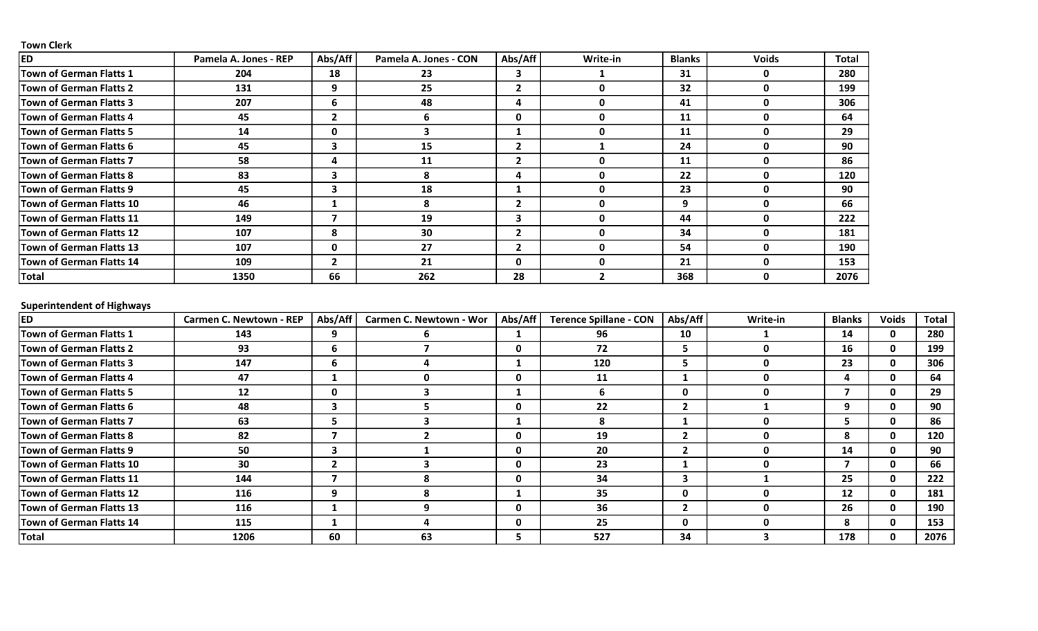### Town Clerk

| <b>ED</b>                       | Pamela A. Jones - REP | Abs/Aff        | Pamela A. Jones - CON | Abs/Aff      | Write-in | <b>Blanks</b> | <b>Voids</b> | <b>Total</b> |
|---------------------------------|-----------------------|----------------|-----------------------|--------------|----------|---------------|--------------|--------------|
| Town of German Flatts 1         | 204                   | 18             | 23                    |              |          | 31            | 0            | 280          |
| <b>Town of German Flatts 2</b>  | 131                   | 9              | 25                    | $\mathbf{2}$ |          | 32            | 0            | 199          |
| Town of German Flatts 3         | 207                   | 6              | 48                    | 4            | O        | 41            | 0            | 306          |
| <b>Town of German Flatts 4</b>  | 45                    |                | 6                     | $\mathbf 0$  |          | 11            | 0            | 64           |
| Town of German Flatts 5         | 14                    | 0              |                       |              |          | 11            | 0            | 29           |
| Town of German Flatts 6         | 45                    | 3              | 15                    |              |          | 24            | 0            | 90           |
| <b>Town of German Flatts 7</b>  | 58                    | 4              | 11                    | $\mathbf{2}$ |          | 11            | 0            | 86           |
| <b>Town of German Flatts 8</b>  | 83                    | 3              | 8                     | 4            |          | 22            | 0            | 120          |
| Town of German Flatts 9         | 45                    | 3              | 18                    |              | 0        | 23            | 0            | 90           |
| Town of German Flatts 10        | 46                    |                | 8                     | $\mathbf{2}$ |          | 9             | 0            | 66           |
| Town of German Flatts 11        | 149                   |                | 19                    | 3            |          | 44            | <sup>0</sup> | 222          |
| <b>Town of German Flatts 12</b> | 107                   | 8              | 30                    |              |          | 34            | 0            | 181          |
| <b>Town of German Flatts 13</b> | 107                   | $\mathbf 0$    | 27                    |              |          | 54            | 0            | 190          |
| Town of German Flatts 14        | 109                   | $\overline{2}$ | 21                    | $\Omega$     |          | 21            | <sup>0</sup> | 153          |
| Total                           | 1350                  | 66             | 262                   | 28           |          | 368           | ŋ            | 2076         |

# Superintendent of Highways

| <b>ED</b>                       | Carmen C. Newtown - REP | Abs/Aff                 | Carmen C. Newtown - Wor | Abs/Aff      | <b>Terence Spillane - CON</b> | Abs/Aff | Write-in | <b>Blanks</b> | <b>Voids</b> | Total |
|---------------------------------|-------------------------|-------------------------|-------------------------|--------------|-------------------------------|---------|----------|---------------|--------------|-------|
| Town of German Flatts 1         | 143                     | 9                       | b                       |              | 96                            | 10      |          | 14            | 0            | 280   |
| Town of German Flatts 2         | 93                      | ь                       |                         | 0            | 72                            |         |          | 16            | 0            | 199   |
| Town of German Flatts 3         | 147                     | ь                       |                         |              | 120                           |         | Ω        | 23            | 0            | 306   |
| <b>Town of German Flatts 4</b>  | 47                      |                         |                         | 0            | 11                            |         |          | 4             | 0            | 64    |
| Town of German Flatts 5         | $12 \overline{ }$       | $\mathbf{0}$            |                         |              | 6                             | 0       | n        |               | $\mathbf{0}$ | 29    |
| <b>Town of German Flatts 6</b>  | 48                      | 3                       |                         | 0            | 22                            |         |          | 9             | $\mathbf{0}$ | 90    |
| Town of German Flatts 7         | 63                      | 5                       |                         |              | 8                             |         |          |               | 0            | 86    |
| Town of German Flatts 8         | 82                      |                         |                         | 0            | 19                            |         | Ω        | 8             | $\mathbf{0}$ | 120   |
| Town of German Flatts 9         | 50                      | 3                       |                         | 0            | 20                            |         |          | 14            | 0            | 90    |
| Town of German Flatts 10        | 30                      | $\overline{\mathbf{z}}$ |                         | 0            | 23                            |         |          |               | $\mathbf{0}$ | 66    |
| Town of German Flatts 11        | 144                     |                         |                         | 0            | 34                            |         |          | 25            | $\mathbf{0}$ | 222   |
| Town of German Flatts 12        | 116                     | 9                       |                         |              | 35                            | 0       |          | 12            | 0            | 181   |
| <b>Town of German Flatts 13</b> | 116                     |                         |                         | 0            | 36                            |         |          | 26            | $\mathbf{0}$ | 190   |
| Town of German Flatts 14        | 115                     |                         |                         | $\mathbf{0}$ | 25                            | 0       |          | 8             | 0            | 153   |
| Total                           | 1206                    | 60                      | 63                      | э.           | 527                           | 34      |          | 178           | 0            | 2076  |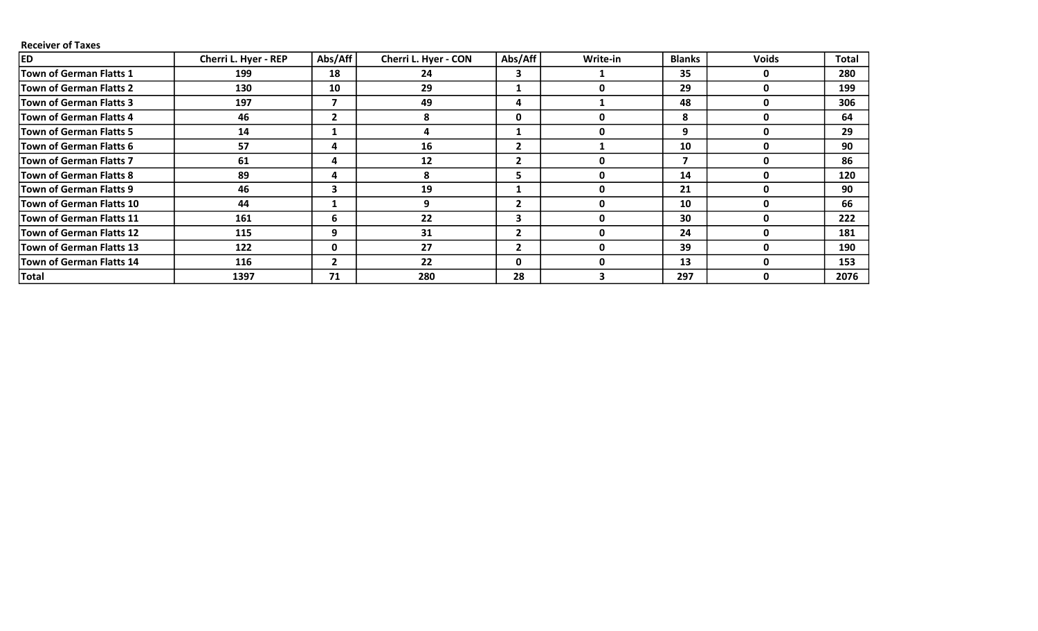### Receiver of Taxes

| <b>ED</b>                       | Cherri L. Hyer - REP | Abs/Aff        | Cherri L. Hyer - CON | Abs/Aff      | Write-in | <b>Blanks</b> | <b>Voids</b> | <b>Total</b> |
|---------------------------------|----------------------|----------------|----------------------|--------------|----------|---------------|--------------|--------------|
| <b>Town of German Flatts 1</b>  | 199                  | 18             | 24                   | 3            |          | 35            | 0            | 280          |
| Town of German Flatts 2         | 130                  | 10             | 29                   |              |          | 29            | 0            | 199          |
| Town of German Flatts 3         | 197                  | 7              | 49                   | 4            |          | 48            | 0            | 306          |
| Town of German Flatts 4         | 46                   | $\overline{2}$ | 8                    | 0            |          | 8             | 0            | 64           |
| Town of German Flatts 5         | 14                   |                |                      |              |          | 9             | 0            | 29           |
| Town of German Flatts 6         | 57                   | 4              | 16                   | $\mathbf{2}$ |          | 10            | 0            | 90           |
| Town of German Flatts 7         | 61                   | 4              | 12                   | $\mathbf{2}$ |          |               | 0            | 86           |
| Town of German Flatts 8         | 89                   | 4              | 8                    | 5.           |          | 14            | 0            | 120          |
| Town of German Flatts 9         | 46                   | 3              | 19                   | 1            |          | 21            | <sup>0</sup> | 90           |
| Town of German Flatts 10        | 44                   |                | 9                    | $\mathbf{2}$ |          | 10            | 0            | 66           |
| Town of German Flatts 11        | 161                  | 6              | 22                   | 3            |          | 30            | 0            | 222          |
| Town of German Flatts 12        | 115                  | 9              | 31                   | $\mathbf{2}$ |          | 24            | $\mathbf{0}$ | 181          |
| Town of German Flatts 13        | 122                  | 0              | 27                   | $\mathbf{2}$ |          | 39            | 0            | 190          |
| <b>Town of German Flatts 14</b> | 116                  | $\overline{2}$ | 22                   | $\mathbf{0}$ |          | 13            | 0            | 153          |
| Total                           | 1397                 | 71             | 280                  | 28           |          | 297           | 0            | 2076         |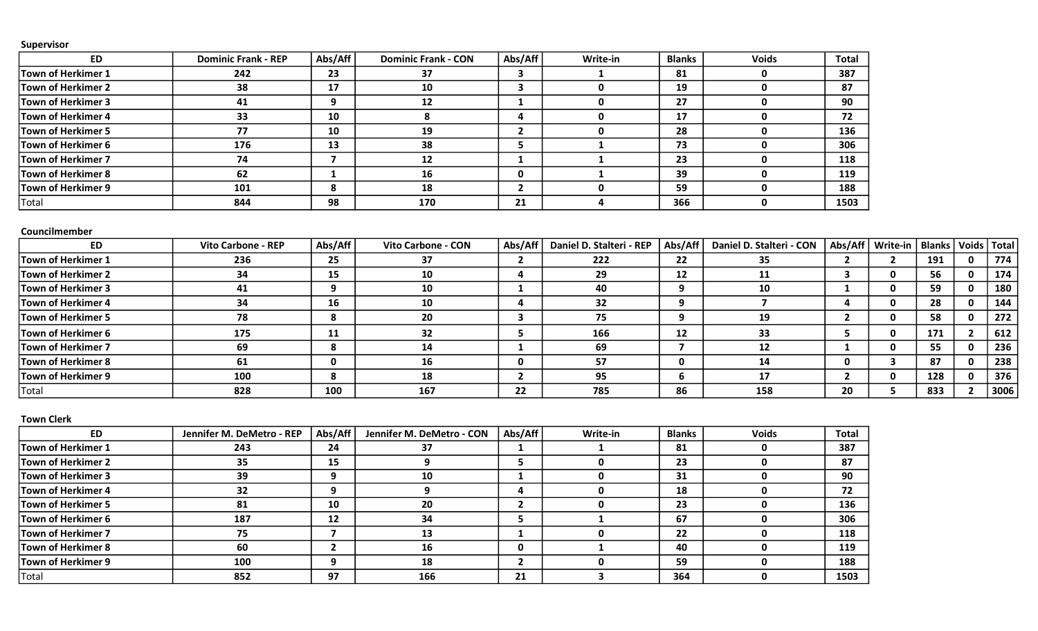| <b>ED</b>          | <b>Dominic Frank - REP</b> | Abs/Aff | <b>Dominic Frank - CON</b> | Abs/Aff | Write-in | <b>Blanks</b> | <b>Voids</b> | <b>Total</b> |
|--------------------|----------------------------|---------|----------------------------|---------|----------|---------------|--------------|--------------|
| Town of Herkimer 1 | 242                        | 23      | 37                         |         |          | 81            |              | 387          |
| Town of Herkimer 2 | 38                         | 17      | 10                         |         |          | 19            |              | 87           |
| Town of Herkimer 3 | 41                         | 9       | 12                         |         |          | 27            |              | 90           |
| Town of Herkimer 4 | 33                         | 10      |                            |         |          | 17            |              | 72           |
| Town of Herkimer 5 | 77                         | 10      | 19                         |         |          | 28            |              | 136          |
| Town of Herkimer 6 | 176                        | 13      | 38                         |         |          | 73            |              | 306          |
| Town of Herkimer 7 | 74                         |         | 12                         |         |          | 23            |              | 118          |
| Town of Herkimer 8 | 62                         |         | 16                         | 0       |          | 39            |              | 119          |
| Town of Herkimer 9 | 101                        | 8       | 18                         |         |          | 59            |              | 188          |
| Total              | 844                        | 98      | 170                        | 21      |          | 366           |              | 1503         |

#### Councilmember

| <b>ED</b>                 | <b>Vito Carbone - REP</b> | Abs/Aff | Vito Carbone - CON | Abs/Aff | Daniel D. Stalteri - REP | Abs/Aff | Daniel D. Stalteri - CON | Abs/Aff | Write-in | Blanks   Voids   Total |       |
|---------------------------|---------------------------|---------|--------------------|---------|--------------------------|---------|--------------------------|---------|----------|------------------------|-------|
| Town of Herkimer 1        | 236                       | 25      | 37                 |         | 222                      | 22      | 35                       |         |          | 191                    | 774 I |
| <b>Town of Herkimer 2</b> | 34                        | 15      | 10                 |         | 29                       | 12      | 11                       |         |          | 56                     | 174   |
| Town of Herkimer 3        | 41                        |         | 10                 |         | 40                       |         | 10                       |         |          | 59                     | 180   |
| Town of Herkimer 4        | 34                        | 16      | 10                 |         | 32                       |         |                          |         |          | 28                     | 144   |
| Town of Herkimer 5        | 78                        | 8       | 20                 |         | 75                       |         | 19                       |         |          | 58                     | 272   |
| Town of Herkimer 6        | 175                       | 11      | 32                 |         | 166                      | 12      | 33                       |         |          | 171                    | 612   |
| Town of Herkimer 7        | 69                        | 8       | 14                 |         | 69                       |         | 12                       |         |          | 55                     | 236   |
| <b>Town of Herkimer 8</b> | 61                        | 0       | 16                 | 0       | 57                       |         | 14                       |         |          | 87                     | 238   |
| Town of Herkimer 9        | 100                       | 8       | 18                 |         | 95                       |         | 17                       |         |          | 128                    | 376   |
| Total                     | 828                       | 100     | 167                | 22      | 785                      | 86      | 158                      | 20      |          | 833                    | 3006  |

#### Town Clerk

| <b>ED</b>          | Jennifer M. DeMetro - REP | Abs/Aff | Jennifer M. DeMetro - CON | Abs/Aff | Write-in | <b>Blanks</b> | <b>Voids</b> | <b>Total</b> |
|--------------------|---------------------------|---------|---------------------------|---------|----------|---------------|--------------|--------------|
| Town of Herkimer 1 | 243                       | 24      | 37                        |         |          | 81            |              | 387          |
| Town of Herkimer 2 | 35                        | 15      |                           |         |          | 23            |              | 87           |
| Town of Herkimer 3 | 39                        |         | 10                        |         |          | 31            |              | 90           |
| Town of Herkimer 4 | 32                        | o       |                           | 4       |          | 18            |              | 72           |
| Town of Herkimer 5 | 81                        | 10      | 20                        |         |          | 23            |              | 136          |
| Town of Herkimer 6 | 187                       | 12      | 34                        |         |          | 67            |              | 306          |
| Town of Herkimer 7 | 75                        |         | 13                        |         |          | 22            |              | 118          |
| Town of Herkimer 8 | 60                        |         | 16                        | 0       |          | 40            |              | 119          |
| Town of Herkimer 9 | 100                       | q       | 18                        |         |          | 59            |              | 188          |
| Total              | 852                       | 97      | 166                       | 21      |          | 364           |              | 1503         |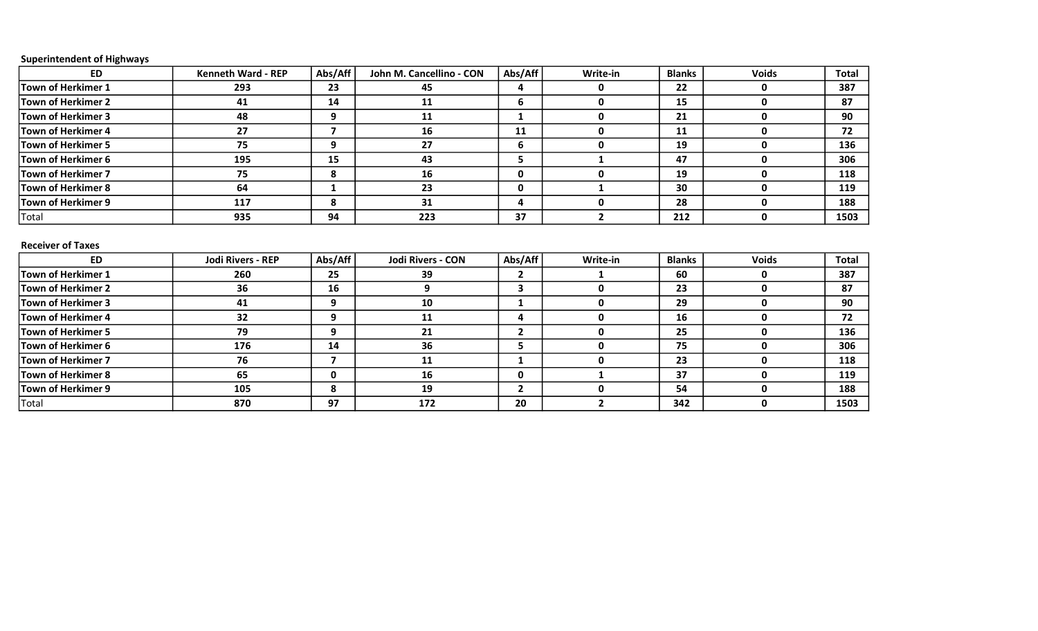# Superintendent of Highways

| <b>ED</b>                 | <b>Kenneth Ward - REP</b> | Abs/Aff                 | John M. Cancellino - CON | Abs/Aff      | Write-in       | <b>Blanks</b> | <b>Voids</b> | <b>Total</b> |
|---------------------------|---------------------------|-------------------------|--------------------------|--------------|----------------|---------------|--------------|--------------|
| <b>Town of Herkimer 1</b> | 293                       | 23                      | 45                       | 4            | 0              | 22            | $\mathbf 0$  | 387          |
| <b>Town of Herkimer 2</b> | 41                        | 14                      | 11                       | 6            | 0              | 15            | $\pmb{0}$    | 87           |
| <b>Town of Herkimer 3</b> | 48                        | 9                       | 11                       | 1            | 0              | 21            | 0            | 90           |
| <b>Town of Herkimer 4</b> | 27                        | $\overline{\mathbf{z}}$ | 16                       | 11           | 0              | 11            | $\mathbf 0$  | 72           |
| <b>Town of Herkimer 5</b> | 75                        | 9                       | 27                       | 6            | 0              | 19            | $\mathbf 0$  | 136          |
| <b>Town of Herkimer 6</b> | 195                       | 15                      | 43                       | 5            | 1              | 47            | $\mathbf 0$  | 306          |
| <b>Town of Herkimer 7</b> | 75                        | 8                       | 16                       | 0            | 0              | 19            | $\mathbf{0}$ | 118          |
| <b>Town of Herkimer 8</b> | 64                        | 1                       | 23                       | 0            | 1              | 30            | $\mathbf 0$  | 119          |
| Town of Herkimer 9        | 117                       | 8                       | 31                       | 4            | 0              | 28            | $\mathbf 0$  | 188          |
| Total                     | 935                       | 94                      | 223                      | 37           | $\overline{2}$ | 212           | 0            | 1503         |
| <b>Receiver of Taxes</b>  |                           |                         |                          |              |                |               |              |              |
| <b>ED</b>                 | <b>Jodi Rivers - REP</b>  | Abs/Aff                 | <b>Jodi Rivers - CON</b> | Abs/Aff      | Write-in       | <b>Blanks</b> | <b>Voids</b> | <b>Total</b> |
| <b>Town of Herkimer 1</b> | 260                       | 25                      | 39                       | 2            | 1              | 60            | 0            | 387          |
| <b>Town of Herkimer 2</b> | 36                        | 16                      | 9                        | 3            | 0              | 23            | 0            | 87           |
| <b>Town of Herkimer 3</b> | 41                        | 9                       | 10                       | 1            | 0              | 29            | $\mathbf 0$  | 90           |
| <b>Town of Herkimer 4</b> | 32                        | 9                       | 11                       | 4            | 0              | 16            | $\mathbf 0$  | 72           |
| <b>Town of Herkimer 5</b> | 79                        | 9                       | 21                       | $\mathbf{2}$ | 0              | 25            | $\mathbf 0$  | 136          |
| Town of Herkimer 6        | 176                       | 14                      | 36                       | 5            | 0              | 75            | $\mathbf 0$  | 306          |
| <b>Town of Herkimer 7</b> | 76                        | $\overline{\mathbf{z}}$ | 11                       | 1            | 0              | 23            | $\mathbf 0$  | 118          |
| <b>Town of Herkimer 8</b> | 65                        | 0                       | 16                       | 0            | $\mathbf{1}$   | 37            | 0            | 119          |
| <b>Town of Herkimer 9</b> | 105                       | 8                       | 19                       | $\mathbf{2}$ | $\mathbf 0$    | 54            | $\mathbf 0$  | 188          |
| Total                     | 870                       | 97                      | 172                      | 20           | $\mathbf{2}$   | 342           | $\mathbf 0$  | 1503         |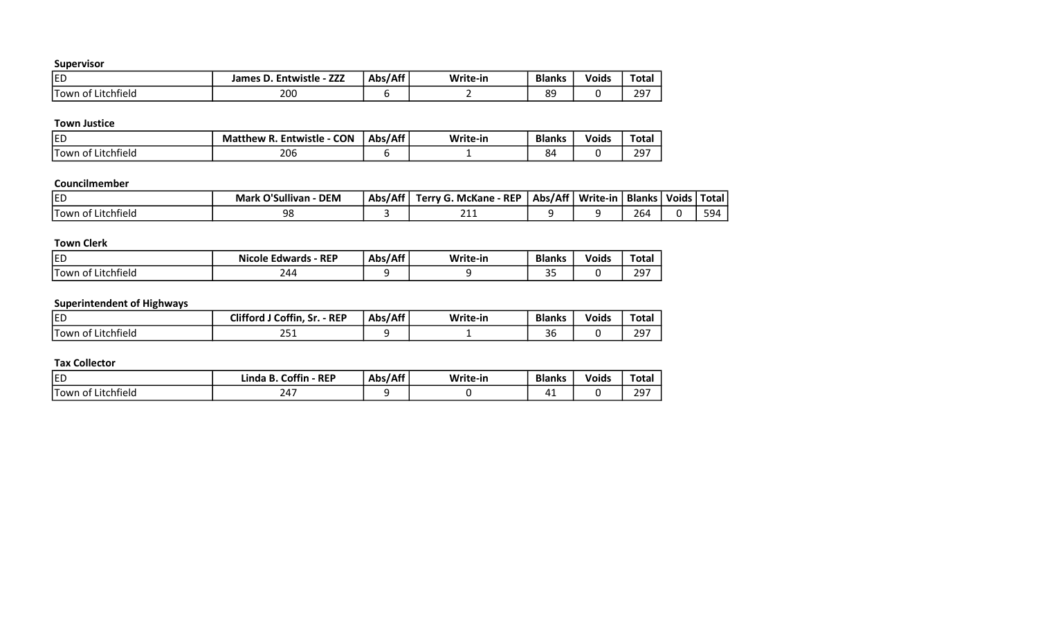| ED                                | ——<br>Entwistle - .<br>James D<br>LLL | Abs/Aff | Write-in | <b>Blanks</b> | <b>Voids</b> | <b>Total</b> |
|-----------------------------------|---------------------------------------|---------|----------|---------------|--------------|--------------|
| .<br>Litchfield<br>. Town<br>. ot | 200                                   |         |          | ΩO<br>ပေ      |              | דמר<br>رے    |

### Town Justice

| <b>ED</b>                       | Entwistle - CON<br><b>Matthew R</b><br>n. | Abs/Aff | Write-in | <b>Blanks</b> | <b>Voids</b> | Tota <sub>1</sub> |
|---------------------------------|-------------------------------------------|---------|----------|---------------|--------------|-------------------|
| <b>Town</b><br>Litchfield<br>0T | 206                                       |         |          | 84            |              | ־סמ<br>23         |

#### Councilmember

| <b>IED</b>         | Mark O'Sullivan<br><b>DEM</b> | Abs/Aff | Terry G. McKane - REP | Abs/Aff | Write-in | Blanks | Voids   Total |     |
|--------------------|-------------------------------|---------|-----------------------|---------|----------|--------|---------------|-----|
| Town of Litchfield | 98                            |         | าง<br><u>_ _ _</u>    |         |          | 264    |               | 594 |

# Town Clerk

| <b>IED</b>                      | $\cdot$ REP<br><b>Nicole</b><br>Edwards - | Abs/Aff | Write-in | <b>Blanks</b> | <b>Voids</b> | <b>Total</b> |
|---------------------------------|-------------------------------------------|---------|----------|---------------|--------------|--------------|
| .<br>.<br>Litchfield<br>Hown of | 244                                       |         |          | $\cap$<br>J - |              | 297          |

# Superintendent of Highways

| <b>ED</b>                       | 'J Coffin, Sr.<br><b>Clifford</b><br><b>REP</b> | Abs/Aff | Write-in | <b>Blanks</b>                  | <b>Voids</b> | Tota      |
|---------------------------------|-------------------------------------------------|---------|----------|--------------------------------|--------------|-----------|
| <b>Town</b><br>Litchfield<br>0T | $\sim$ $-$<br>2 J J<br>$ -$                     |         |          | $\overline{\phantom{a}}$<br>36 |              | 297<br>رے |

| <b>IED</b>                                     | Coffin<br>- REP<br>Ð<br>∟inda<br>D. | Abs/Aff | Write-in | <b>Blanks</b> | <b>Voids</b> | ota:     |
|------------------------------------------------|-------------------------------------|---------|----------|---------------|--------------|----------|
| . .<br>. –<br>.<br>: Litchfield<br>Town<br>.ot | - --                                |         |          | . .           |              | $29^{-}$ |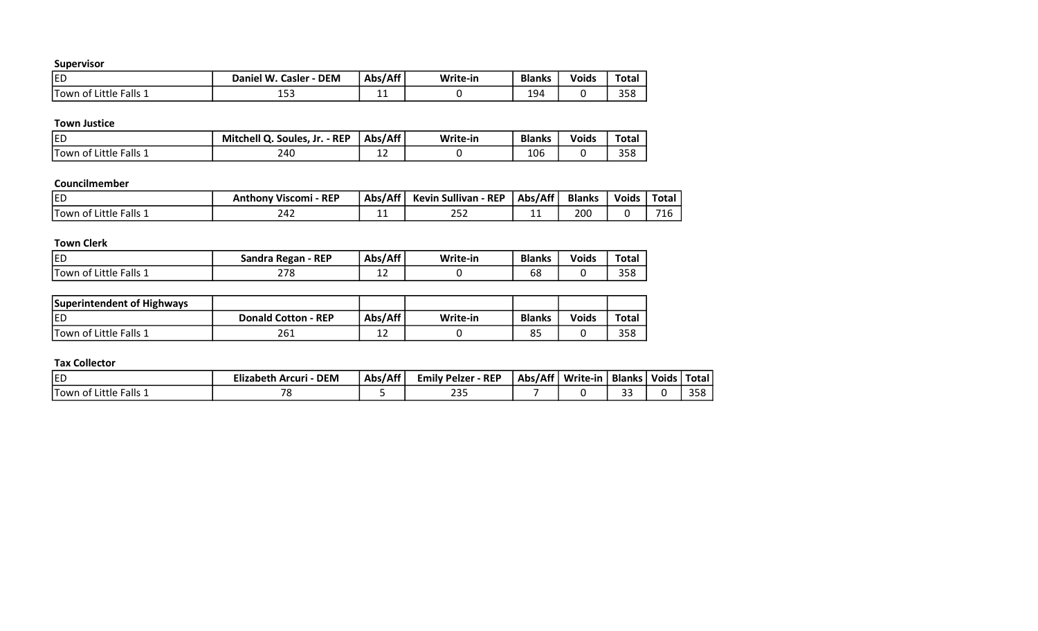| <b>IED</b>                                | Daniel W.<br><b>DEM</b><br><b>Casler</b> | Abs/Aff | Write-in | <b>Blanks</b> | <b>Voids</b> | Tota.      |
|-------------------------------------------|------------------------------------------|---------|----------|---------------|--------------|------------|
| Falls<br>. .<br>`Little .<br>Town<br>. of | 1 r n<br>⊥ບບ                             | . .     |          | 194           |              | 200<br>358 |

#### Town Justice

| <b>IED</b>                     | <b>Mitchell Q</b><br>$-$ REP<br>Soules, Jr.<br>. u. | -Aff/ة<br>Abs | Write-in | <b>Blanks</b> | <b>Voids</b> | <b>Total</b>            |
|--------------------------------|-----------------------------------------------------|---------------|----------|---------------|--------------|-------------------------|
| Little Falls 1<br>'Town<br>-01 | 240                                                 | ∸∸            |          | 106           |              | <b>OFO</b><br><b>bo</b> |

#### Councilmember

| ED                                         | <b>REP</b><br><b>Anthony Viscomi</b> | Abs/Aff | <b>Kevin Sullivan - REP</b> | Abs/Aff | <b>Blanks</b> | <b>Voids</b> | Total     |
|--------------------------------------------|--------------------------------------|---------|-----------------------------|---------|---------------|--------------|-----------|
| $\lceil$ Falls $\lceil$<br>lTown of Little | 242                                  | --      | $\sim$ $\sim$ $\sim$<br>ےرے | --      | 200           |              | 74<br>. . |

# Town Clerk

| <b>IED</b>                 | Sandra Regan - REP | Abs/Aff | Write-in | <b>Blanks</b> | Voids | <b>Total</b> |
|----------------------------|--------------------|---------|----------|---------------|-------|--------------|
| Falls 1<br>'Town of Little | 278                | --      |          | 68            |       | 358          |

| Superintendent of Highways |                            |         |          |               |              |              |
|----------------------------|----------------------------|---------|----------|---------------|--------------|--------------|
| <b>IED</b>                 | <b>Donald Cotton - REP</b> | Abs/Aff | Write-in | <b>Blanks</b> | <b>Voids</b> | <b>Total</b> |
| Town of Little Falls 1     | 261                        | ᆠ       |          | 85            |              | 358          |

| <b>ED</b>                                 | <b>DEM</b><br>Elizabeth Arcuri - | Abs/Aff | <b>Emily Pelzer - REP</b> | Abs/Aff | Write-in | <b>Blanks</b> | Voids, | Total             |
|-------------------------------------------|----------------------------------|---------|---------------------------|---------|----------|---------------|--------|-------------------|
| Falls 1<br><b>ITown</b><br>Little<br>. ot | $\overline{\phantom{a}}$         |         | ח רר<br>دے                |         |          | $\sim$        |        | <b>OFO</b><br>ەככ |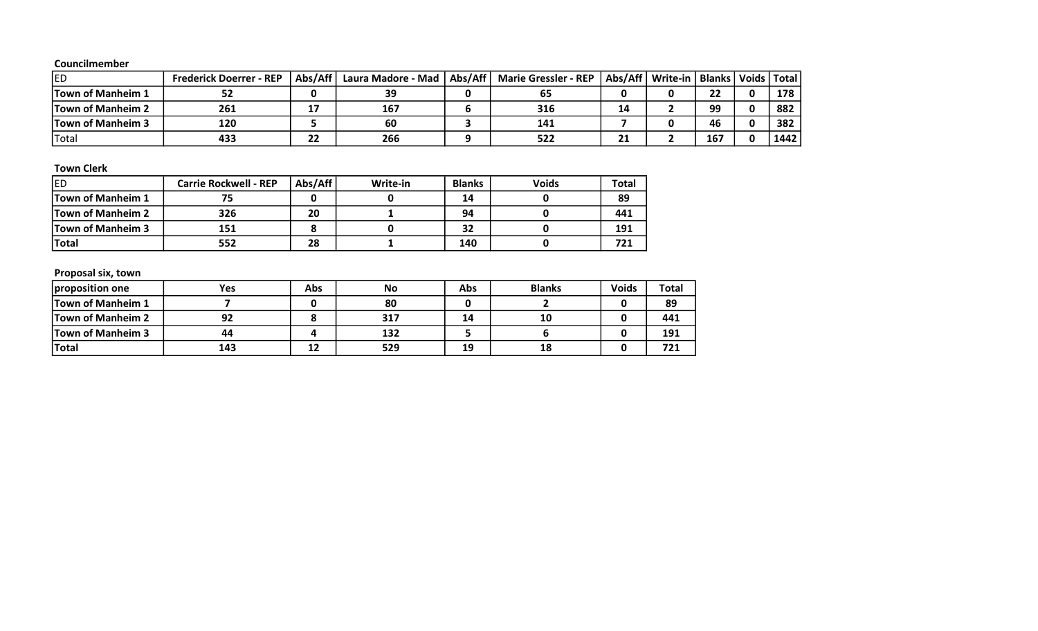#### Councilmember

| <b>IED</b>               | <b>Frederick Doerrer - REP</b> | Abs/Aff'     | Laura Madore - Mad | Abs/Aff | <b>Marie Gressler - REP</b> | Abs/Aff | Write-in | <b>Blanks</b> | Voids | Total |
|--------------------------|--------------------------------|--------------|--------------------|---------|-----------------------------|---------|----------|---------------|-------|-------|
| <b>Town of Manheim 1</b> | ЭZ                             |              | 39                 |         | 65                          |         |          | 22            |       | 178   |
| <b>Town of Manheim 2</b> | 261                            | 17           | 167                |         | 316                         | 14      |          | 99            |       | 882   |
| <b>Town of Manheim 3</b> | 120                            |              | 60                 |         | 141                         |         |          | 46            |       | 382   |
| 'Total                   | 433                            | $\sim$<br>22 | 266                |         | 522                         | 21      |          | 167           |       | 1442  |

# Town Clerk

| <b>IED</b>               | <b>Carrie Rockwell - REP</b> | Abs/Aff | Write-in | <b>Blanks</b> | <b>Voids</b> | Total |
|--------------------------|------------------------------|---------|----------|---------------|--------------|-------|
| <b>Town of Manheim 1</b> |                              |         |          | 14            |              | 89    |
| <b>Town of Manheim 2</b> | 326                          | 20      |          | 94            |              | 441   |
| Town of Manheim 3        | 151                          |         |          | 32            |              | 191   |
| <b>Total</b>             | 552                          | 28      |          | 140           |              | 721   |

# Proposal six, town

| proposition one          | Yes | Abs | No  | Abs | <b>Blanks</b> | <b>Voids</b> | <b>Total</b> |
|--------------------------|-----|-----|-----|-----|---------------|--------------|--------------|
| <b>Town of Manheim 1</b> |     |     | 80  |     |               |              | 89           |
| <b>Town of Manheim 2</b> | 92  |     | 317 | 14  | 10            |              | 441          |
| <b>Town of Manheim 3</b> | 44  |     | 132 |     |               |              | 191          |
| <b>Total</b>             | 143 | 12  | 529 | 19  | 18            |              | 721          |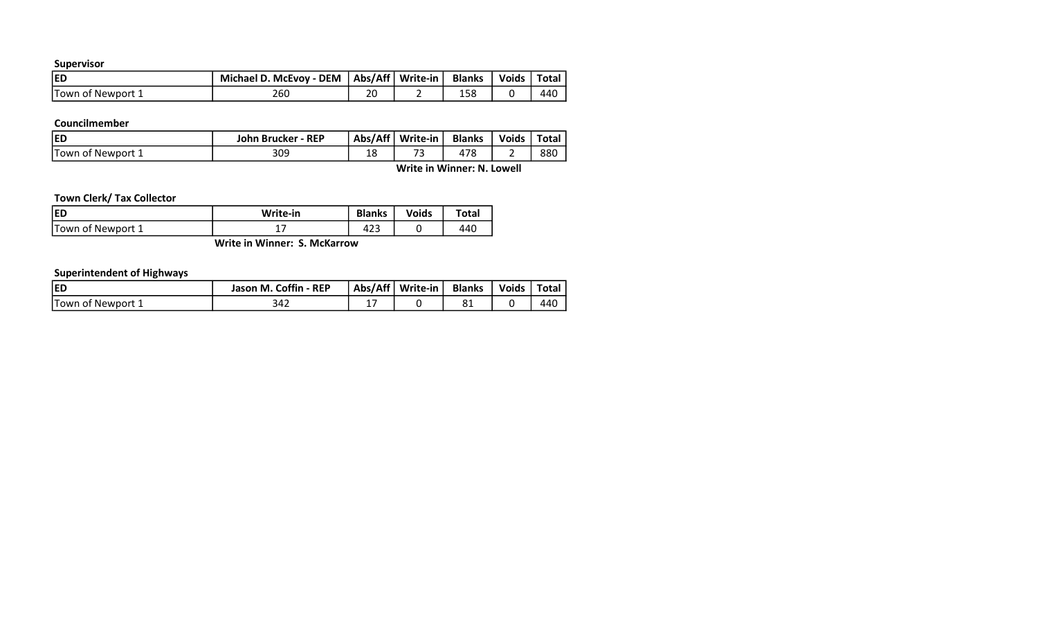| IED               | Michael D. McEvoy - DEM   Abs/Aff   Write-in |    | <b>Blanks</b> | Voids   Total |     |
|-------------------|----------------------------------------------|----|---------------|---------------|-----|
| Town of Newport 1 | 260                                          | 20 | 158           |               | 440 |

# Councilmember

| <b>IED</b>         | John Brucker - REP | Abs/Aff   | Write-in   | <b>Blanks</b> | <b>Voids</b> | Total |
|--------------------|--------------------|-----------|------------|---------------|--------------|-------|
| lTown of Newport 1 | 309                | 1 O<br>ΤC | $-$<br>. . | 7c            | -            | 880   |

Write in Winner: N. Lowell

# Town Clerk/ Tax Collector

| <b>IED</b>        | Write-in | <b>Blanks</b> | <b>Voids</b> | Total |
|-------------------|----------|---------------|--------------|-------|
| Town of Newport 1 | - 1      | .<br>42J      |              | 440   |

Write in Winner: S. McKarrow

# Superintendent of Highways

| <b>IED</b>               | Jason M. Coffin - REP | Abs/Aff | Write-in | <b>Blanks</b> | <b>Voids</b> | Total |
|--------------------------|-----------------------|---------|----------|---------------|--------------|-------|
| <b>Town of Newport 1</b> | 342                   | . .     |          | oт            |              | 440   |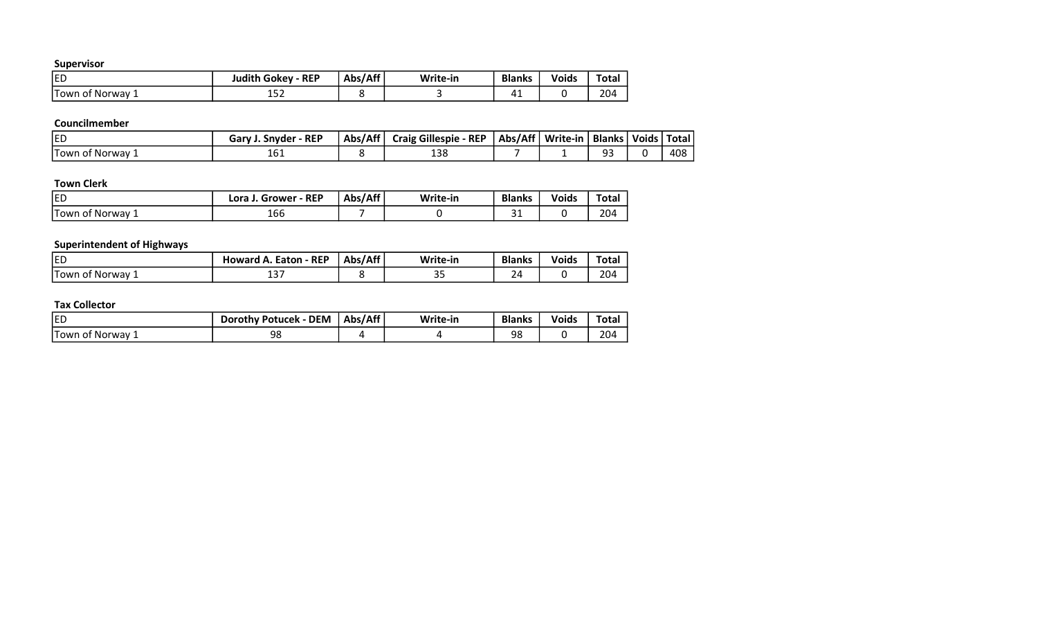| <b>IED</b>       | <b>REP</b><br>Judith Gokey · | Abs/Aff | Write-in | <b>Blanks</b> | <b>Voids</b> | Tota. |
|------------------|------------------------------|---------|----------|---------------|--------------|-------|
| . Town of Norway | ᅩJム                          |         |          | π<br>. .      |              | 204   |

# Councilmember

| EC                    | $\cdot$ REP<br>Gary<br>. Snvder | ∴/Δff<br>Abs. | Craig Gillespie - REP | Abs/Aff | Write-in | <b>Blanks   Voids  </b> | Total |
|-----------------------|---------------------------------|---------------|-----------------------|---------|----------|-------------------------|-------|
| <b>Town of Norway</b> | TOT                             |               | າຕິດ<br>ᅭ             |         |          | ۵۵<br>--                | 408   |

# Town Clerk

| <b>ED</b>                  | - REP<br>Lora<br>Grower | Abs/Aff | Write-in | <b>Blanks</b> | <b>Voids</b> | Total |
|----------------------------|-------------------------|---------|----------|---------------|--------------|-------|
| <b>Town of</b><br>: Norway | 166                     |         |          | $\sim$<br>ັ   |              | 204   |

# Superintendent of Highways

| led            | Howard A. Eaton - REP | :/Aff<br>Abs | Write-in | <b>Blanks</b> | <b>Voids</b> | Total |
|----------------|-----------------------|--------------|----------|---------------|--------------|-------|
| Hown of Norway | ىد                    |              | --       | 24            |              | 204   |

| <b>IED</b>                    | $\lambda$ - DEM $\lambda$<br><b>Dorothy Potucek</b> | Abs/Aff | Write-in | <b>Blanks</b> | Voids | <b>Total</b> |
|-------------------------------|-----------------------------------------------------|---------|----------|---------------|-------|--------------|
| <b>Town</b><br>Norway<br>. ot | 98                                                  |         |          | 98            |       | 204          |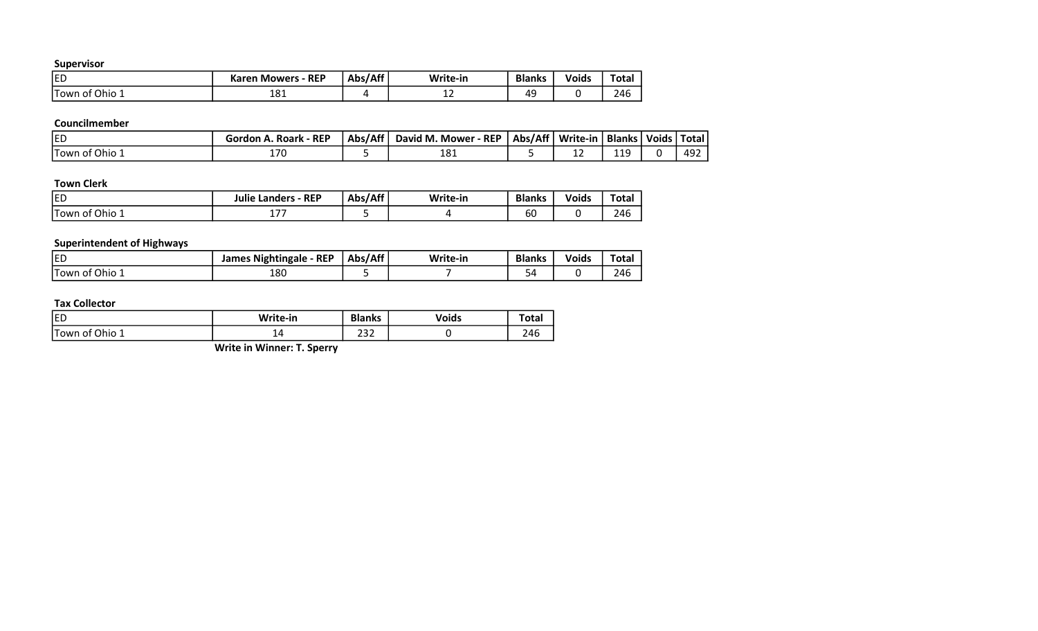| <b>JED</b>        | <b>Mowers - REP</b><br>Karen . | Abs/Aff | Write-in | <b>Blanks</b> | <b>Voids</b> | <b>Total</b> |
|-------------------|--------------------------------|---------|----------|---------------|--------------|--------------|
| Ohio 1<br>Town of | 10.<br>ᅩᆼᅩ                     |         | <u>_</u> | ΔC            |              | 246          |

# Councilmember

| <b>ED</b>                  | $-$ REP<br>Roark<br>Gor″<br>don | Abs/Aff | $-$ REP<br>d M.<br>Mower<br>David . | Abs/Aff   Write-in | <b>Blanks</b>          | Voids | ' Total |
|----------------------------|---------------------------------|---------|-------------------------------------|--------------------|------------------------|-------|---------|
| <b>'Town</b><br>Ohio<br>0T | $\neg$<br>⊥/∪                   |         | 181                                 | <u>_</u>           | .1 <sub>f</sub><br>--- |       | 492     |

# Town Clerk

| <b>IED</b>                             | .<br>Landers - REP<br>Julie  | :/Aff<br>Abs/ | Write-in | <b>Blanks</b> | Voids | Total |
|----------------------------------------|------------------------------|---------------|----------|---------------|-------|-------|
| <b>ITown of</b><br>f Ohio <sub>→</sub> | $\cdot$ $ -$<br>. <i>. .</i> |               |          | ьυ            |       | 246   |

# Superintendent of Highways

| <b>IED</b>                             | James Nightingale - REP | Abs/Aff | Write-in | <b>Blanks</b>       | <b>Voids</b> | <b>Total</b> |
|----------------------------------------|-------------------------|---------|----------|---------------------|--------------|--------------|
| <b>Town</b><br><sup>c</sup> Ohio<br>ОT | 180                     |         |          | $\overline{ }$<br>Ö |              | 246          |

### Tax Collector

| <b>IED</b>       | Write-in        | <b>Blanks</b>                       | /oids | ┖⌒∔⌒<br>ι υια. |
|------------------|-----------------|-------------------------------------|-------|----------------|
| Ohio 1<br>own of | <u>.</u><br>- 1 | $\sim$ $\sim$ $\sim$<br>ے ت<br>____ |       | ว 4 6<br>24 C  |

Write in Winner: T. Sperry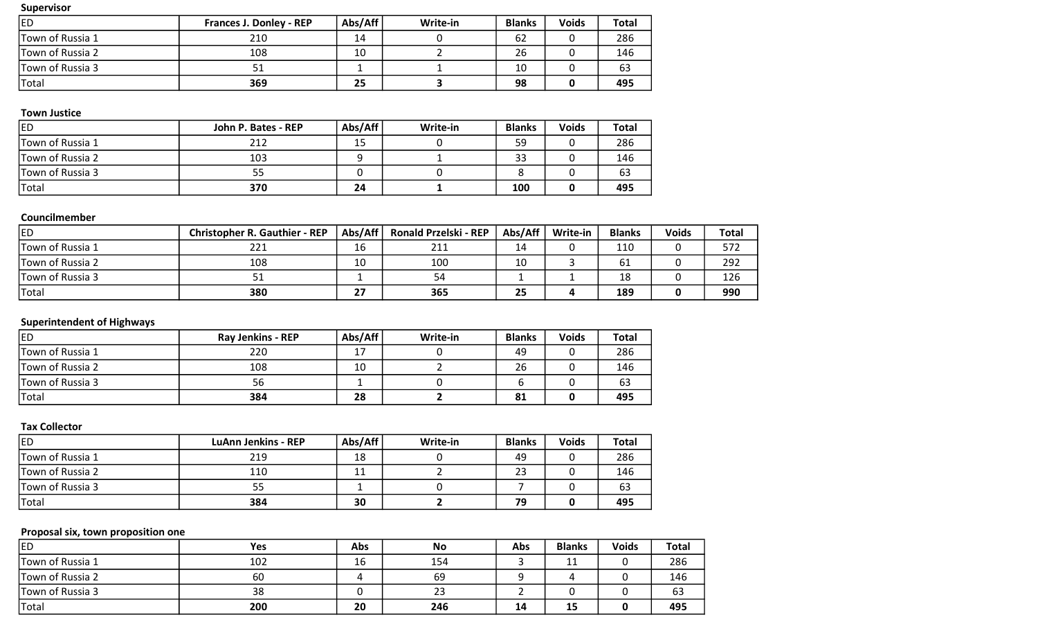| led              | <b>Frances J. Donley - REP</b> | Abs/Aff | Write-in | <b>Blanks</b> | <b>Voids</b> | Total |
|------------------|--------------------------------|---------|----------|---------------|--------------|-------|
| Town of Russia 1 | 210                            | 14      |          | 62            |              | 286   |
| Town of Russia 2 | 108                            | 10      |          | 26            |              | 146   |
| Town of Russia 3 | 51                             |         |          | 10            |              | 63    |
| Total            | 369                            | 25      |          | 98            |              | 495   |

### Town Justice

| <b>ED</b>        | John P. Bates - REP | Abs/Aff | Write-in | <b>Blanks</b> | <b>Voids</b> | <b>Total</b> |
|------------------|---------------------|---------|----------|---------------|--------------|--------------|
| Town of Russia 1 | 212                 | 15      |          | 59            |              | 286          |
| Town of Russia 2 | 103                 |         |          | 33            |              | 146          |
| Town of Russia 3 | 55                  |         |          |               |              | 63           |
| Total            | 370                 | 24      |          | 100           |              | 495          |

# Councilmember

| led              | <b>Christopher R. Gauthier - REP</b> | Abs/Aff | <b>Ronald Przelski - REP</b> | Abs/Aff | Write-in | <b>Blanks</b> | <b>Voids</b> | <b>Total</b> |
|------------------|--------------------------------------|---------|------------------------------|---------|----------|---------------|--------------|--------------|
| Town of Russia 1 | 221                                  | 16      | 211                          | 14      |          | 110           |              | 572          |
| Town of Russia 2 | 108                                  | 10      | 100                          | 10      |          | 61            |              | 292          |
| Town of Russia 3 |                                      |         | 54                           |         |          | 18            |              | 126          |
| Total            | 380                                  | 27      | 365                          | 25      |          | 189           |              | 990          |

# Superintendent of Highways

| <b>ED</b>        | <b>Ray Jenkins - REP</b> | Abs/Aff | Write-in | <b>Blanks</b> | <b>Voids</b> | <b>Total</b> |
|------------------|--------------------------|---------|----------|---------------|--------------|--------------|
| Town of Russia 1 | 220                      | 17      |          | 49            |              | 286          |
| Town of Russia 2 | 108                      | 10      |          | 26            |              | 146          |
| Town of Russia 3 | 56                       |         |          |               |              | 63           |
| Total            | 384                      | 28      |          | 81            |              | 495          |

### Tax Collector

| led              | <b>LuAnn Jenkins - REP</b> | Abs/Aff | Write-in | <b>Blanks</b> | <b>Voids</b> | <b>Total</b> |
|------------------|----------------------------|---------|----------|---------------|--------------|--------------|
| Town of Russia 1 | 219                        | 18      |          | 49            |              | 286          |
| Town of Russia 2 | 110                        | 11      |          | 23            |              | 146          |
| Town of Russia 3 | 55                         |         |          |               |              | 63           |
| Total            | 384                        | 30      |          | 79            |              | 495          |

# Proposal six, town proposition one

| <b>IED</b>       | Yes | Abs | <b>No</b> | Abs | <b>Blanks</b> | <b>Voids</b> | <b>Total</b> |
|------------------|-----|-----|-----------|-----|---------------|--------------|--------------|
| Town of Russia 1 | 102 | 16  | 154       |     | 11            |              | 286          |
| Town of Russia 2 | 60  |     | 69        |     |               |              | 146          |
| Town of Russia 3 | 38  |     | 23        |     |               |              | 63           |
| <b>Total</b>     | 200 | 20  | 246       | 14  | 15            |              | 495          |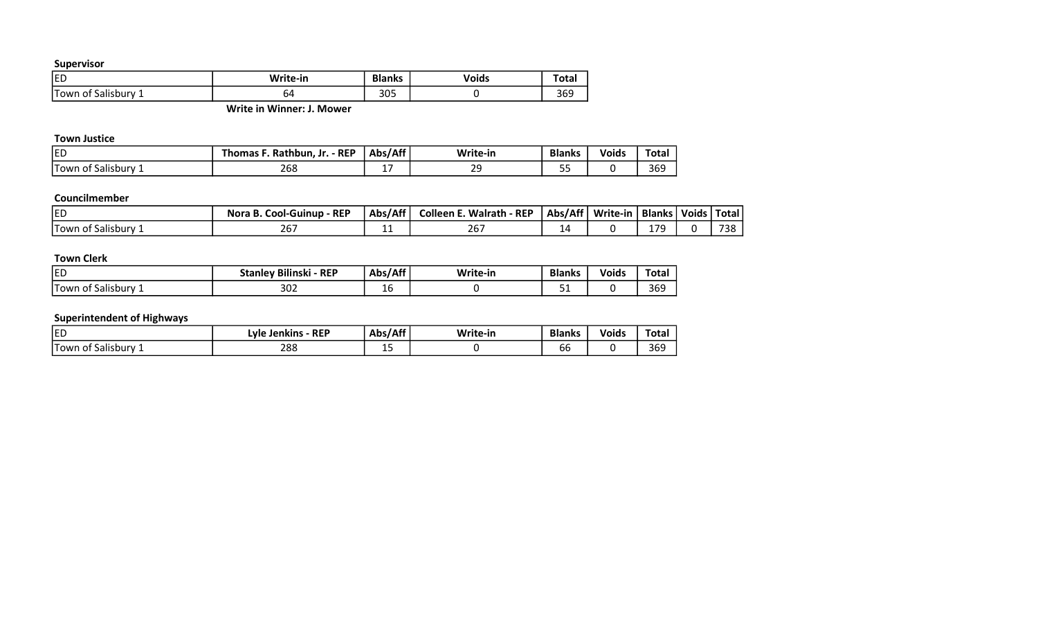| <b>IED</b>                     | Write-in | <b>Blanks</b> | <b>Voids</b> | 'ULG. |
|--------------------------------|----------|---------------|--------------|-------|
| IΤ<br>' own<br>Salisbury<br>ΩŤ | 04       | 305           |              | JUJ   |

Write in Winner: J. Mower

#### Town Justice

| EC                                 | <b>REP</b><br>Rathbur<br>omas<br>۱'n. | /∆ff<br>- -<br>Δhς.<br>, טר | Write-in            | <b>Blanks</b> | <b>Voids</b> | Total |
|------------------------------------|---------------------------------------|-----------------------------|---------------------|---------------|--------------|-------|
| . .<br>Salisbury<br>⊥l 0wr<br>. ot | 268                                   | . –<br>. .                  | $\mathcal{L}$<br>-- | $- -$<br>--   |              | 369   |

# Councilmember

| <b>ED</b>                     | <b>REP</b><br>-Guinup<br>Nora<br>Cool·<br>D. | Abs/Aff | <b>Colleen F</b><br>$\cdot$ - REP<br>Walrath | Abs/Aff <sup>1</sup> | Write-in | <b>Blanks</b> | Voids, | <b>Total</b> |
|-------------------------------|----------------------------------------------|---------|----------------------------------------------|----------------------|----------|---------------|--------|--------------|
| $\cdot$<br>'Town<br>Salisburv | $\sim$ $\sim$ $\sim$<br>ZO.                  | .       | 267                                          | ⊥≃                   |          | 17C           |        | 738          |

# Town Clerk

| <b>ED</b>                                   | <b>REP</b><br>.<br>$7 + \sim$<br>Bilinski | $1$ $\wedge$ ff<br>- -<br><b>Ahc</b><br>nw | Write-in | <b>Blanks</b> | .<br>. .<br>Void: | Total      |
|---------------------------------------------|-------------------------------------------|--------------------------------------------|----------|---------------|-------------------|------------|
| $\cdot$<br>'-<br>Salisburv<br>l own<br>וח ו | ∼∩ר<br>3UZ                                | -<br>ᅩᄔ                                    |          | - -           |                   | 200<br>369 |

# Superintendent of Highways

| ED                                           | <b>REP</b><br>.vle<br><b>Jenkins</b> | .<br>- -<br>∴Abs/A | Write-in | <b>Blanks</b> | Voids | Total |
|----------------------------------------------|--------------------------------------|--------------------|----------|---------------|-------|-------|
| .<br>--<br><b>Salisbury</b><br>. I owr<br>O1 | 288                                  | . –<br>--          |          | - -<br>bb     |       | 369   |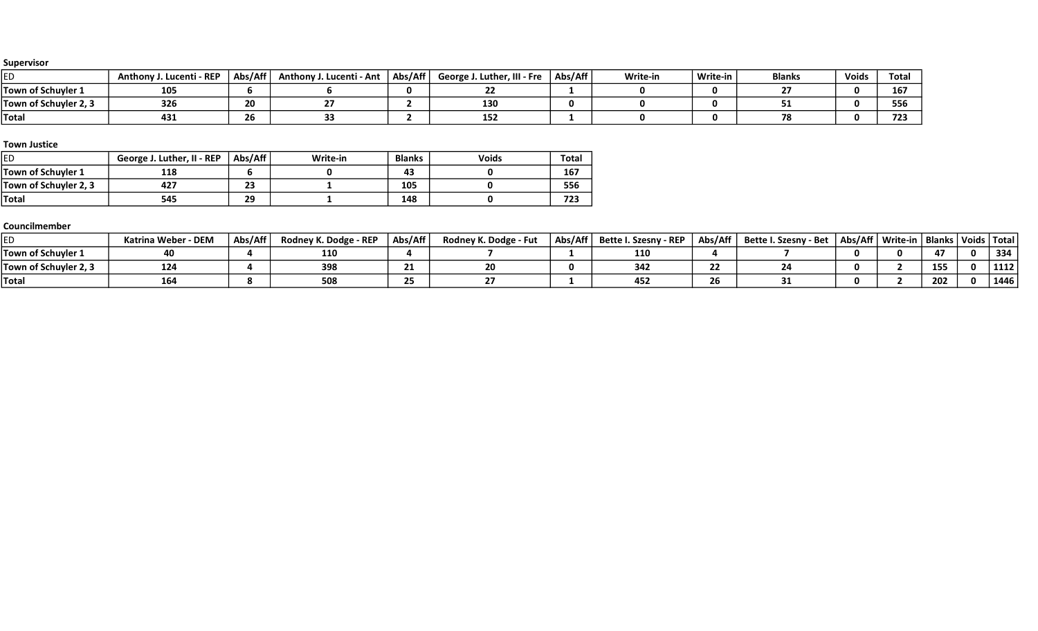| ED                         | Lucenti - REP<br>Anthony | Abs/Aff   | Anthony J. Lucenti - Ant | Abs/Aff | e J. Luther, III - Fre<br>George | Abs/Aff | Write-in | Write-in | <b>Blanks</b> | Voids | Total             |
|----------------------------|--------------------------|-----------|--------------------------|---------|----------------------------------|---------|----------|----------|---------------|-------|-------------------|
| Town of Schuyler 1         | 105                      |           |                          |         |                                  |         |          |          |               |       | 167               |
| .<br>Town of Schuyler 2, 3 | 326                      | 20        |                          |         | 130                              |         |          |          | --            |       | ---<br><b>JJ1</b> |
| Total                      | 431                      | --<br>Zb. |                          |         | - - -<br>ᆦᆦ                      |         |          |          | 78            |       | $-$<br>723        |

#### Town Justice

| ED                    | George J. Luther, II - REP | Abs/Aff   | Write-in | <b>Blanks</b> | <b>Voids</b> | Total |
|-----------------------|----------------------------|-----------|----------|---------------|--------------|-------|
| Town of Schuvler 1    | 118                        |           |          | 43            |              | 167   |
| Town of Schuyler 2, 3 | 427                        | ר ר<br>23 |          | 105           |              | 556   |
| <b>Total</b>          | 545                        | 29        |          | 148           |              | 723   |

### Councilmember

|                       | Katrina Weber - DEM | Abs/Aff | Rodney K. Dodge - REP | Abs/Aff | Rodney K. Dodge - Fut | Abs/Aff | Bette I. Szesny - REP | Abs/Aff丨 | Bette I. Szesny - Bet | Abs/Aff   Write-in | Blanks   Voids   Total |      |
|-----------------------|---------------------|---------|-----------------------|---------|-----------------------|---------|-----------------------|----------|-----------------------|--------------------|------------------------|------|
| Town of Schuyler 1    | 40                  |         | 110                   |         |                       |         | 110                   |          |                       |                    | - -                    | 334  |
| Town of Schuyler 2, 3 | 124                 |         | 398                   |         |                       |         |                       |          |                       |                    | 155                    | 1112 |
| <b>Total</b>          | 164                 |         | 508                   |         |                       |         | 45£                   | ۷b       |                       |                    | 202                    | 1446 |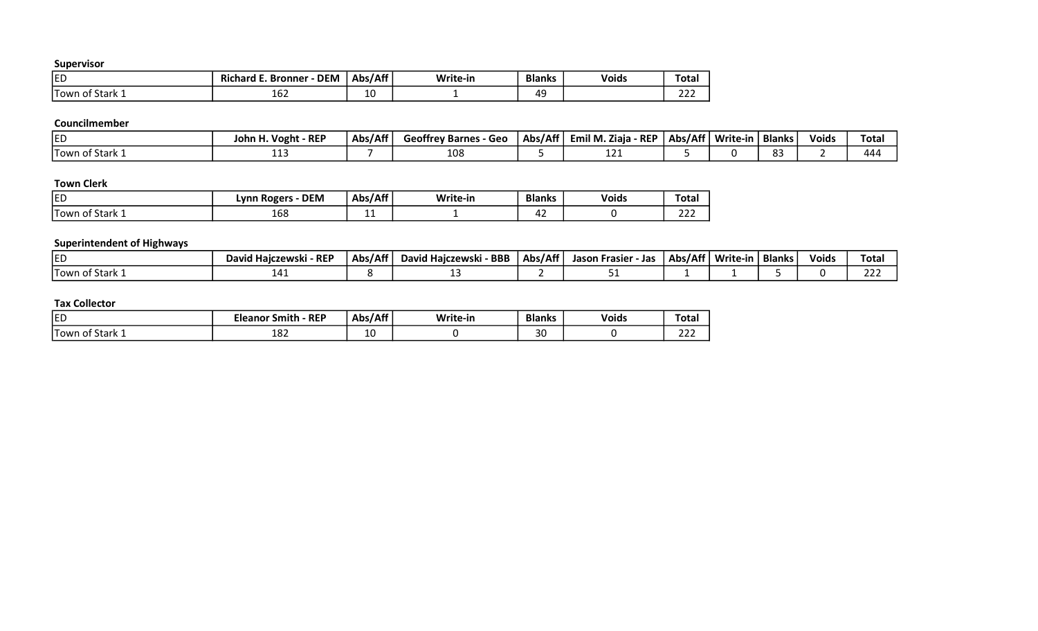| <b>IED</b>                     | <b>DEM</b><br>. .<br>Richard E.<br>. Bronner | Abs/Aff | Write-in | <b>Blanks</b> | <b>Voids</b> | Tota <sub>1</sub> |
|--------------------------------|----------------------------------------------|---------|----------|---------------|--------------|-------------------|
| . –<br>.<br>Stark 1<br>Town of | $\sim$ $\sim$<br>16Z                         | 10      |          | AC<br>. .     |              | $\sim$<br>---     |

# Councilmember

| ᄃ               | $\cdot$ REP<br>'' Voght<br>John H. | Abs/Aff | <br><b>Geoffrey Barnes</b><br>Geo | Abs/Aff | - REP<br>Emil M. Ziaja | Abs/Aff | Write-in | <b>Blanks</b> | .<br>Voids | Tota |
|-----------------|------------------------------------|---------|-----------------------------------|---------|------------------------|---------|----------|---------------|------------|------|
| Town of Stark 1 | .                                  |         | 108                               |         | ---                    |         |          | . റ           |            | 444  |

# Town Clerk

| <b>ED</b>                                              | <b>DEM</b><br>. KODAL-<br>vnn | .<br>, Abs/Af* | Write-in | <b>Blanks</b> | <b>Voids</b> | Tota.                       |
|--------------------------------------------------------|-------------------------------|----------------|----------|---------------|--------------|-----------------------------|
| ı —<br>$\sim$ $\sim$ $\sim$<br>۔ Stark<br>⊥l 0wr<br>01 | $\sim$<br>108                 | . .            |          | 4<br>᠇᠘       |              | $\sim$ $\sim$ $\sim$<br>--- |

# Superintendent of Highways

| ied                        | id Haiczewski - REP<br>David ' | Abs/Aff | - BBB<br>David Haiczewski | Abs/Aff | Jason Frasier<br>- Jar | Abs/Aff | Write-in | <b>Blanks</b> | Voids | Tota          |
|----------------------------|--------------------------------|---------|---------------------------|---------|------------------------|---------|----------|---------------|-------|---------------|
| ່າ of Stark ⊥<br>' Town of | л.<br>14 J                     |         |                           |         |                        |         |          |               |       | $\sim$<br>بےے |

| <b>IED</b>                      | $-$ REP<br>.<br>smith<br>Eleanor | $\Delta$ hc/ $\Delta$ ff'<br>nw<br>. רור<br>. | Write-in | <b>Blanks</b> | <b>Voids</b> | $\overline{\phantom{a}}$<br>⊺otal |
|---------------------------------|----------------------------------|-----------------------------------------------|----------|---------------|--------------|-----------------------------------|
| . .<br>Stark 1<br>l own<br>. of | റി<br>고ㅇ스                        | $\sim$<br>ᅭ                                   |          | $\sim$<br>υc  |              | $\sim$<br>ᅩᅩ                      |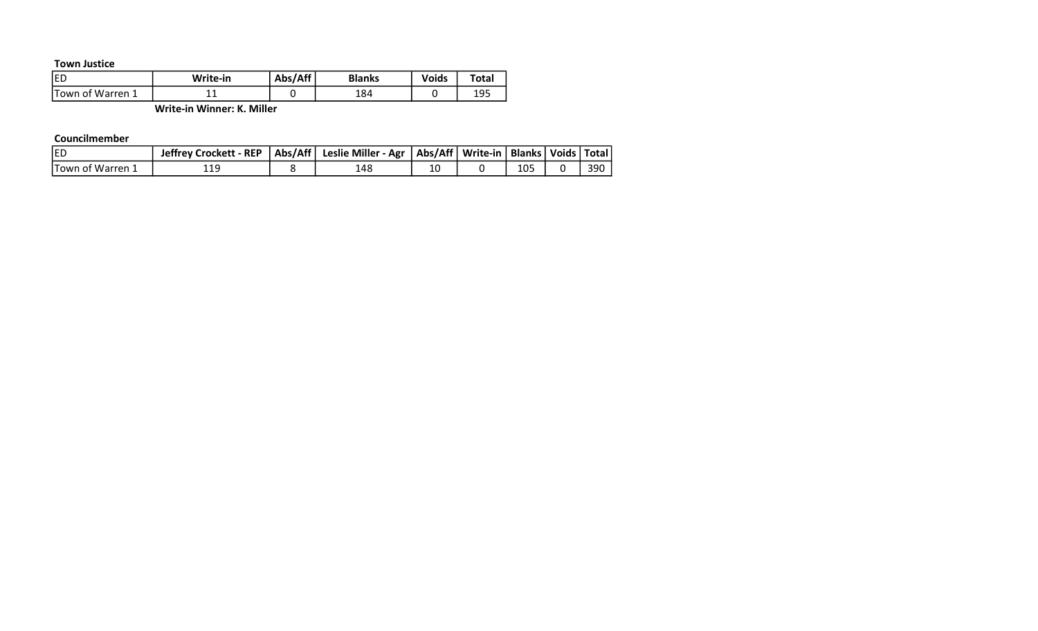#### Town Justice

| ED                | Write-in | Abs/Aff | <b>Blanks</b> | Voids | Total |
|-------------------|----------|---------|---------------|-------|-------|
| 'Town of Warren 1 | -- --    |         | 184           |       | ∸ → → |

Write-in Winner: K. Miller

#### Councilmember

| <b>IED</b>        | Jeffrey Crockett - REP   Abs/Aff   Leslie Miller - Agr   Abs/Aff   Write-in   Blanks   Voids   Total |     |    |     |     |
|-------------------|------------------------------------------------------------------------------------------------------|-----|----|-----|-----|
| lTown of Warren 2 | 119                                                                                                  | 148 | 10 | 105 | 390 |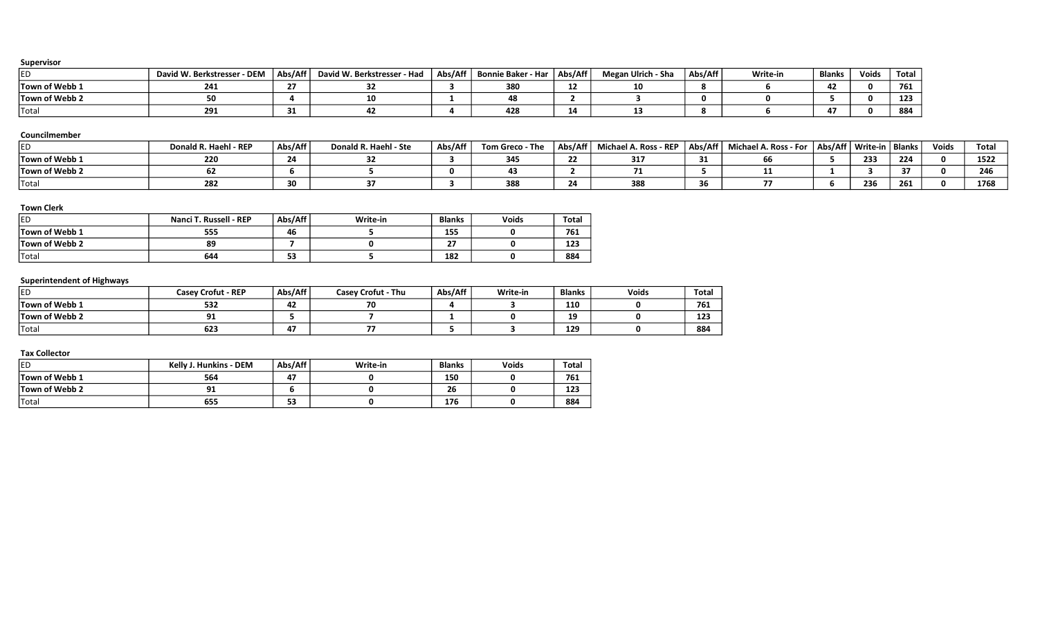| ED.                               | David W. Berkstresser - DEM   | Abs/Aff                 | David W. Berkstresser - Had | Abs/Aff                 | Bonnie Baker - Har      | Abs/Aff        | Megan Ulrich - Sha    | Abs/Aff      | Write-in              | <b>Blanks</b> | <b>Voids</b>                | Total |              |  |
|-----------------------------------|-------------------------------|-------------------------|-----------------------------|-------------------------|-------------------------|----------------|-----------------------|--------------|-----------------------|---------------|-----------------------------|-------|--------------|--|
| Town of Webb 1                    | 241                           | 27                      | 32                          | 3                       | 380                     | 12             | 10                    | 8            | 6                     | 42            | 0                           | 761   |              |  |
| Town of Webb 2                    | 50                            |                         | 10                          | 1                       | 48                      | $\overline{2}$ | 3                     | $\mathbf 0$  | 0                     | 5             | 0                           | 123   |              |  |
| Total                             | 291                           | 31                      | 42                          |                         | 428                     | 14             | 13                    | 8            | 6                     | 47            | $\mathbf{0}$                | 884   |              |  |
| Councilmember                     |                               |                         |                             |                         |                         |                |                       |              |                       |               |                             |       |              |  |
| led.                              | Donald R. Haehl - REP         | Abs/Aff                 | Donald R. Haehl - Ste       | Abs/Aff                 | Tom Greco - The         | Abs/Aff        | Michael A. Ross - REP | Abs/Aff      | Michael A. Ross - For |               | Abs/Aff   Write-in   Blanks |       | <b>Voids</b> |  |
| Town of Webb 1                    | 220                           | 24                      | 32                          | $\mathbf{3}$            | 345                     | 22             | 317                   | 31           | 66                    | 5             | 233                         | 224   | $\mathbf 0$  |  |
| Town of Webb 2                    | 62                            | 6                       | 5                           | $\mathbf 0$             | 43                      | $\overline{2}$ | 71                    | 5            | 11                    |               | з                           | 37    | $\mathbf 0$  |  |
| Total                             | 282                           | 30 <sub>2</sub>         | 37                          | $\overline{\mathbf{3}}$ | 388                     | 24             | 388                   | 36           | 77                    | 6             | 236                         | 261   | $\mathbf 0$  |  |
| Town of Webb 1                    | Nanci T. Russell - REP<br>555 | Abs/Aff<br>46           | Write-in<br>5               | <b>Blanks</b><br>155    | Voids<br>$\mathbf 0$    | Total<br>761   |                       |              |                       |               |                             |       |              |  |
| <b>Town Clerk</b><br>ED.          |                               |                         |                             |                         |                         |                |                       |              |                       |               |                             |       |              |  |
| Town of Webb 2                    | 89                            | $\overline{\mathbf{z}}$ | $\Omega$                    | 27                      | 0                       | 123            |                       |              |                       |               |                             |       |              |  |
| Total                             | 644                           | 53                      |                             | 182                     | $\mathbf 0$             | 884            |                       |              |                       |               |                             |       |              |  |
| <b>Superintendent of Highways</b> |                               |                         |                             |                         |                         |                |                       |              |                       |               |                             |       |              |  |
| ED                                | <b>Casey Crofut - REP</b>     | Abs/Aff                 | <b>Casey Crofut - Thu</b>   | Abs/Aff                 | Write-in                | <b>Blanks</b>  | Voids                 | <b>Total</b> |                       |               |                             |       |              |  |
| Town of Webb 1                    | 532                           | 42                      | 70                          | 4                       | 3                       | 110            | 0                     | 761          |                       |               |                             |       |              |  |
| Town of Webb 2                    | 91                            | 5                       | $\overline{ }$              | 1                       | $\mathbf 0$             | 19             | $\mathbf 0$           | 123          |                       |               |                             |       |              |  |
|                                   | 623                           | 47                      | 77                          | 5                       | $\overline{\mathbf{3}}$ | 129            | $\mathbf 0$           | 884          |                       |               |                             |       |              |  |

| .              |                               |         |          |               |              |              |  |  |  |  |
|----------------|-------------------------------|---------|----------|---------------|--------------|--------------|--|--|--|--|
| <b>ED</b>      | <b>Kelly J. Hunkins - DEM</b> | Abs/Aff | Write-in | <b>Blanks</b> | <b>Voids</b> | <b>Total</b> |  |  |  |  |
| Town of Webb 1 | 564                           | 47      |          | 150           |              | 761          |  |  |  |  |
| Town of Webb 2 | 91                            |         |          | 26            |              | 123          |  |  |  |  |
| 'Total         | 655                           | 53      |          | 176           |              | 884          |  |  |  |  |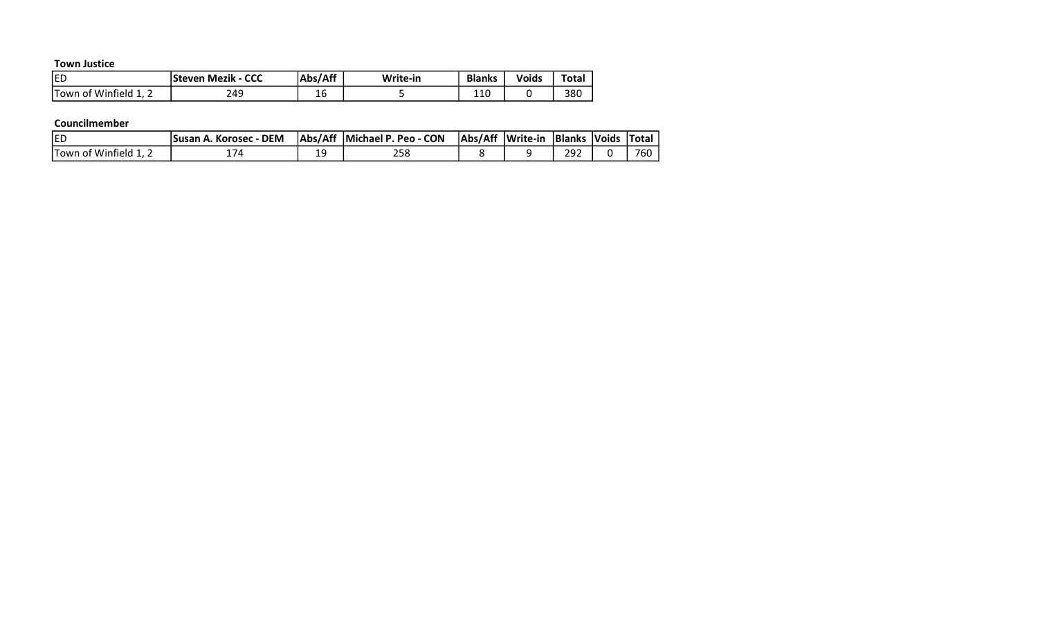Town Justice

| <b>IED</b>                        | <b>Steven Mezik - CCC</b> | Abs/Aff | Write-in | <b>Blanks</b> | Voids | <b>Total</b> |
|-----------------------------------|---------------------------|---------|----------|---------------|-------|--------------|
| ITown of<br>Winfield .<br><b></b> | 249                       | Τp      |          | 11 O<br>⊥⊥∪   |       | 38C          |

#### Councilmember

| <b>IED</b>              | - DEM<br>. Korosec | ∣Abs/Aff | Michael P. Peo - CON | Abs/Aff | Write-in | <b>Blanks</b> | <i><b>Noids</b></i> | <b>Total</b> |
|-------------------------|--------------------|----------|----------------------|---------|----------|---------------|---------------------|--------------|
| : Winfield .<br>Hown of |                    | ۱C<br>-- | 0د∠                  |         |          | 292           |                     | 760          |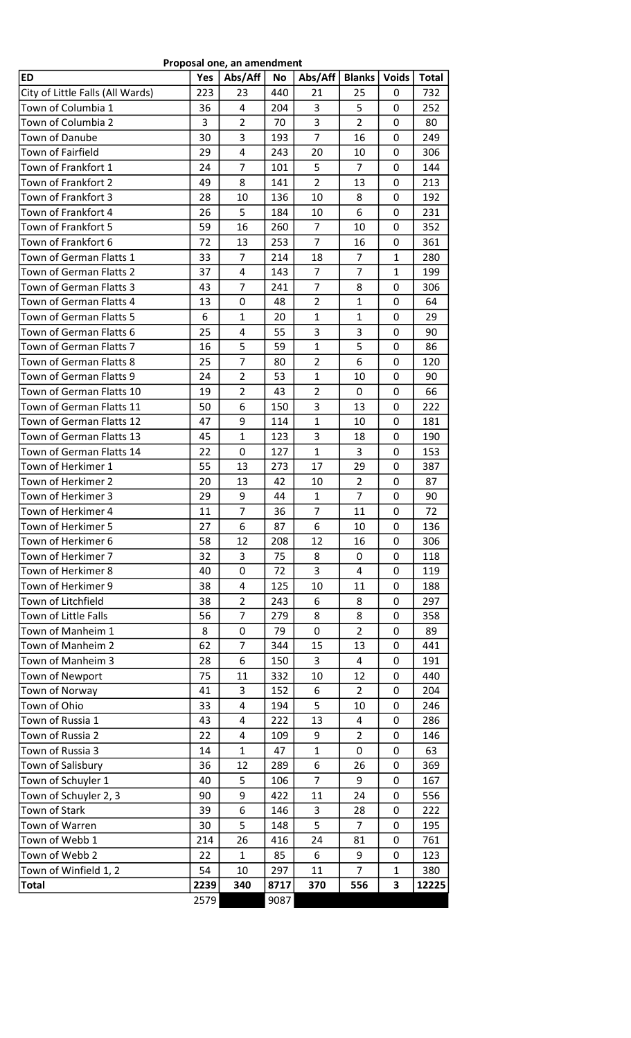| Proposal one, an amendment       |      |                |           |                |                |              |              |  |  |  |  |
|----------------------------------|------|----------------|-----------|----------------|----------------|--------------|--------------|--|--|--|--|
| <b>ED</b>                        | Yes  | Abs/Aff        | <b>No</b> | Abs/Aff        | <b>Blanks</b>  | <b>Voids</b> | <b>Total</b> |  |  |  |  |
| City of Little Falls (All Wards) | 223  | 23             | 440       | 21             | 25             | 0            | 732          |  |  |  |  |
| Town of Columbia 1               | 36   | 4              | 204       | 3              | 5              | 0            | 252          |  |  |  |  |
| Town of Columbia 2               | 3    | $\overline{2}$ | 70        | 3              | $\overline{2}$ | 0            | 80           |  |  |  |  |
| Town of Danube                   | 30   | 3              | 193       | $\overline{7}$ | 16             | 0            | 249          |  |  |  |  |
| Town of Fairfield                | 29   | 4              | 243       | 20             | 10             | 0            | 306          |  |  |  |  |
| Town of Frankfort 1              | 24   | $\overline{7}$ | 101       | 5              | $\overline{7}$ | 0            | 144          |  |  |  |  |
| Town of Frankfort 2              | 49   | 8              | 141       | $\overline{2}$ | 13             | 0            | 213          |  |  |  |  |
| Town of Frankfort 3              | 28   | 10             | 136       | 10             | 8              | 0            | 192          |  |  |  |  |
| Town of Frankfort 4              | 26   | 5              | 184       | 10             | 6              | 0            | 231          |  |  |  |  |
| Town of Frankfort 5              | 59   | 16             | 260       | $\overline{7}$ | 10             | 0            | 352          |  |  |  |  |
| Town of Frankfort 6              | 72   | 13             | 253       | $\overline{7}$ | 16             | 0            | 361          |  |  |  |  |
| Town of German Flatts 1          | 33   | $\overline{7}$ | 214       | 18             | $\overline{7}$ | 1            | 280          |  |  |  |  |
| Town of German Flatts 2          | 37   | 4              | 143       | $\overline{7}$ | $\overline{7}$ | 1            | 199          |  |  |  |  |
| Town of German Flatts 3          | 43   | 7              | 241       | $\overline{7}$ | 8              | 0            | 306          |  |  |  |  |
| Town of German Flatts 4          | 13   | 0              | 48        | $\overline{2}$ | $\mathbf{1}$   | 0            | 64           |  |  |  |  |
| Town of German Flatts 5          | 6    | $\mathbf{1}$   | 20        | $\mathbf{1}$   | 1              | 0            | 29           |  |  |  |  |
| Town of German Flatts 6          | 25   | 4              | 55        | 3              | 3              | 0            | 90           |  |  |  |  |
| Town of German Flatts 7          | 16   | 5              | 59        | $\mathbf{1}$   | 5              | 0            | 86           |  |  |  |  |
| Town of German Flatts 8          | 25   | $\overline{7}$ | 80        | $\overline{2}$ | 6              | 0            | 120          |  |  |  |  |
| Town of German Flatts 9          | 24   | $\overline{2}$ | 53        | $\mathbf{1}$   | 10             | 0            | 90           |  |  |  |  |
| Town of German Flatts 10         | 19   | $\overline{2}$ | 43        | $\overline{2}$ | 0              | 0            | 66           |  |  |  |  |
| Town of German Flatts 11         | 50   | 6              | 150       | 3              | 13             | 0            | 222          |  |  |  |  |
| Town of German Flatts 12         | 47   | 9              | 114       | $\mathbf{1}$   | 10             | 0            | 181          |  |  |  |  |
| Town of German Flatts 13         | 45   | $\mathbf{1}$   | 123       | 3              | 18             | 0            | 190          |  |  |  |  |
| Town of German Flatts 14         | 22   | 0              | 127       | 1              | 3              | 0            | 153          |  |  |  |  |
| Town of Herkimer 1               | 55   | 13             | 273       | 17             | 29             | 0            | 387          |  |  |  |  |
| Town of Herkimer 2               | 20   | 13             | 42        | 10             | $\overline{2}$ | 0            | 87           |  |  |  |  |
| Town of Herkimer 3               | 29   | 9              | 44        | 1              | $\overline{7}$ | 0            | 90           |  |  |  |  |
| Town of Herkimer 4               | 11   | $\overline{7}$ | 36        | $\overline{7}$ | 11             | 0            | 72           |  |  |  |  |
| Town of Herkimer 5               | 27   | 6              | 87        | 6              | 10             | 0            | 136          |  |  |  |  |
| Town of Herkimer 6               | 58   | 12             | 208       | 12             | 16             | 0            | 306          |  |  |  |  |
| Town of Herkimer 7               | 32   | 3              | 75        | 8              | 0              | 0            | 118          |  |  |  |  |
| Town of Herkimer 8               | 40   | 0              | 72        | 3              | $\overline{4}$ | 0            | 119          |  |  |  |  |
| Town of Herkimer 9               | 38   | 4              | 125       | 10             | 11             | 0            | 188          |  |  |  |  |
| Town of Litchfield               | 38   | $\overline{2}$ | 243       | 6              | 8              | 0            | 297          |  |  |  |  |
| Town of Little Falls             | 56   | $\overline{7}$ | 279       | 8              | 8              | 0            | 358          |  |  |  |  |
| Town of Manheim 1                | 8    | 0              | 79        | 0              | $\overline{2}$ | 0            | 89           |  |  |  |  |
| Town of Manheim 2                | 62   | $\overline{7}$ | 344       | 15             | 13             | 0            | 441          |  |  |  |  |
| Town of Manheim 3                | 28   | 6              | 150       | 3              | $\overline{4}$ | 0            | 191          |  |  |  |  |
| Town of Newport                  | 75   | 11             | 332       | 10             | 12             | 0            | 440          |  |  |  |  |
| Town of Norway                   | 41   | 3              | 152       | 6              | $\overline{2}$ | 0            | 204          |  |  |  |  |
| Town of Ohio                     | 33   | 4              | 194       | 5              | 10             | 0            | 246          |  |  |  |  |
| Town of Russia 1                 | 43   | 4              | 222       | 13             | 4              | 0            | 286          |  |  |  |  |
| Town of Russia 2                 | 22   | 4              | 109       | 9              | $\overline{2}$ | 0            | 146          |  |  |  |  |
| Town of Russia 3                 | 14   | $\mathbf{1}$   | 47        | $\mathbf{1}$   | 0              | 0            | 63           |  |  |  |  |
| Town of Salisbury                | 36   | 12             | 289       | 6              | 26             | 0            | 369          |  |  |  |  |
| Town of Schuyler 1               | 40   | 5              | 106       | 7              | 9              | 0            | 167          |  |  |  |  |
| Town of Schuyler 2, 3            | 90   | 9              | 422       | 11             | 24             | 0            | 556          |  |  |  |  |
| Town of Stark                    | 39   | 6              | 146       | 3              | 28             | 0            | 222          |  |  |  |  |
| Town of Warren                   | 30   | 5              | 148       | 5              | $\overline{7}$ | 0            | 195          |  |  |  |  |
| Town of Webb 1                   | 214  | 26             | 416       | 24             | 81             | 0            | 761          |  |  |  |  |
| Town of Webb 2                   | 22   | $\mathbf{1}$   | 85        | 6              | 9              | 0            | 123          |  |  |  |  |
| Town of Winfield 1, 2            | 54   | 10             | 297       | 11             | $\overline{7}$ | 1            | 380          |  |  |  |  |
| <b>Total</b>                     | 2239 | 340            | 8717      | 370            | 556            | 3            | 12225        |  |  |  |  |
|                                  | 2579 |                | 9087      |                |                |              |              |  |  |  |  |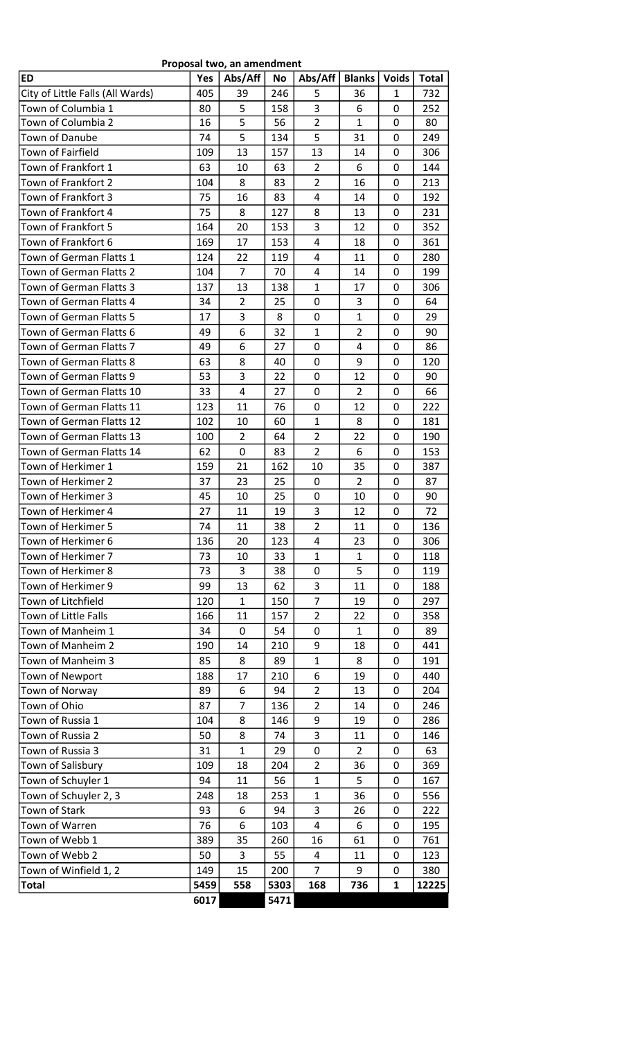| Proposal two, an amendment       |           |                |             |                     |                |                   |              |  |  |  |
|----------------------------------|-----------|----------------|-------------|---------------------|----------------|-------------------|--------------|--|--|--|
| <b>ED</b>                        | Yes       | Abs/Aff        | No          | Abs/Aff             | <b>Blanks</b>  | <b>Voids</b>      | <b>Total</b> |  |  |  |
| City of Little Falls (All Wards) | 405       | 39             | 246         | 5                   | 36             | 1                 | 732          |  |  |  |
| Town of Columbia 1               | 80        | 5              | 158         | 3                   | 6              | 0                 | 252          |  |  |  |
| Town of Columbia 2               | 16        | 5              | 56          | $\overline{2}$      | $\mathbf{1}$   | 0                 | 80           |  |  |  |
| Town of Danube                   | 74        | 5              | 134         | 5                   | 31             | 0                 | 249          |  |  |  |
| <b>Town of Fairfield</b>         | 109       | 13             | 157         | 13                  | 14             | 0                 | 306          |  |  |  |
| Town of Frankfort 1              | 63        | 10             | 63          | 2                   | 6              | 0                 | 144          |  |  |  |
| Town of Frankfort 2              | 104       | 8              | 83          | $\overline{2}$      | 16             | 0                 | 213          |  |  |  |
| Town of Frankfort 3              | 75        | 16             | 83          | 4                   | 14             | 0                 | 192          |  |  |  |
| Town of Frankfort 4              | 75        | 8              | 127         | 8                   | 13             | 0                 | 231          |  |  |  |
| Town of Frankfort 5              | 164       | 20             | 153         | 3                   | 12             | 0                 | 352          |  |  |  |
| Town of Frankfort 6              | 169       | 17             | 153         | 4                   | 18             | 0                 | 361          |  |  |  |
| Town of German Flatts 1          | 124       | 22             | 119         | 4                   | 11             | 0                 | 280          |  |  |  |
| Town of German Flatts 2          | 104       | $\overline{7}$ | 70          | 4                   | 14             | 0                 | 199          |  |  |  |
| Town of German Flatts 3          | 137       | 13             | 138         | 1                   | 17             | 0                 | 306          |  |  |  |
| Town of German Flatts 4          | 34        | $\overline{2}$ | 25          | 0                   | 3              | 0                 | 64           |  |  |  |
| Town of German Flatts 5          | 17        | 3              | 8           | 0                   | $\mathbf{1}$   | 0                 | 29           |  |  |  |
| Town of German Flatts 6          | 49        | 6              | 32          | $\mathbf{1}$        | $\overline{2}$ | 0                 | 90           |  |  |  |
| Town of German Flatts 7          | 49        | 6              | 27          | 0                   | 4              | 0                 | 86           |  |  |  |
| Town of German Flatts 8          | 63        | 8              | 40          | 0                   | 9              | 0                 | 120          |  |  |  |
| Town of German Flatts 9          | 53        | 3              | 22          | 0                   | 12             | 0                 | 90           |  |  |  |
| Town of German Flatts 10         | 33        | 4              | 27          | 0                   | $\overline{2}$ | 0                 | 66           |  |  |  |
| Town of German Flatts 11         | 123       | 11             | 76          | 0                   | 12             | 0                 | 222          |  |  |  |
| Town of German Flatts 12         | 102       | 10             | 60          | $\mathbf{1}$        | 8              | 0                 | 181          |  |  |  |
| Town of German Flatts 13         | 100       | $\overline{2}$ | 64          | $\overline{2}$      | 22             | 0                 | 190          |  |  |  |
| Town of German Flatts 14         | 62        | 0              | 83          | $\overline{2}$      | 6              | 0                 | 153          |  |  |  |
| Town of Herkimer 1               | 159       | 21             | 162         | 10                  | 35             | 0                 | 387          |  |  |  |
| Town of Herkimer 2               | 37        | 23             | 25          | 0                   | 2              | 0                 | 87           |  |  |  |
| Town of Herkimer 3               | 45        | 10             | 25          | 0                   | 10             | 0                 | 90           |  |  |  |
| Town of Herkimer 4               | 27        | 11             | 19          | 3                   | 12             | 0                 | 72           |  |  |  |
| Town of Herkimer 5               | 74        | 11             | 38          | 2                   | 11             | 0                 | 136          |  |  |  |
| Town of Herkimer 6               | 136       | 20             | 123         | 4                   | 23             | 0                 | 306          |  |  |  |
| Town of Herkimer 7               | 73        | 10             | 33          | $\mathbf{1}$        | $\mathbf{1}$   | 0                 | 118          |  |  |  |
| Town of Herkimer 8               | 73        | 3              | 38          | 0                   | 5              | 0                 | 119          |  |  |  |
| Town of Herkimer 9               | 99        | 13             | 62          | 3                   | 11             | 0                 | 188          |  |  |  |
| Town of Litchfield               | 120       | 1              | 150         | 7                   | 19             | 0                 | 297          |  |  |  |
| Town of Little Falls             | 166       | 11             | 157         | $\overline{2}$      | 22             | 0                 | 358          |  |  |  |
| Town of Manheim 1                | 34        | 0              | 54          | 0                   | $\mathbf{1}$   | 0                 | 89           |  |  |  |
| Town of Manheim 2                | 190       | 14             | 210         | 9                   | 18             | 0                 | 441          |  |  |  |
| Town of Manheim 3                | 85        | 8              | 89          | $\mathbf{1}$        | 8              | 0                 | 191          |  |  |  |
| Town of Newport                  | 188       | 17             | 210         | 6                   | 19             | 0                 | 440          |  |  |  |
| Town of Norway                   | 89        | 6              | 94          | $\overline{2}$      | 13             | 0                 | 204          |  |  |  |
| Town of Ohio                     | 87        | 7              | 136         | $\overline{2}$      | 14             | 0                 | 246          |  |  |  |
| Town of Russia 1                 | 104       | 8              | 146         | 9                   | 19             | 0                 | 286          |  |  |  |
| Town of Russia 2                 | 50        | 8              | 74          | 3                   | 11             | 0                 | 146          |  |  |  |
| Town of Russia 3                 | 31        | $\mathbf{1}$   | 29          | 0                   | $\overline{2}$ | 0                 | 63           |  |  |  |
| Town of Salisbury                | 109       | 18             | 204         | $\overline{2}$      | 36<br>5        | 0                 | 369          |  |  |  |
| Town of Schuyler 1               | 94        | 11             | 56          | $\mathbf{1}$        |                | 0                 | 167          |  |  |  |
| Town of Schuyler 2, 3            | 248       | 18             | 253         | $\mathbf{1}$        | 36             | 0                 | 556          |  |  |  |
| Town of Stark                    | 93        | 6<br>6         | 94          | 3                   | 26             | 0                 | 222          |  |  |  |
| Town of Warren                   | 76        |                | 103         | 4                   | 6              | 0                 | 195          |  |  |  |
| Town of Webb 1                   | 389       | 35             | 260         | 16                  | 61             | 0                 | 761          |  |  |  |
| Town of Webb 2                   | 50<br>149 | 3<br>15        | 55          | 4<br>$\overline{7}$ | 11<br>9        | 0                 | 123          |  |  |  |
| Town of Winfield 1, 2<br>Total   | 5459      | 558            | 200<br>5303 | 168                 | 736            | 0<br>$\mathbf{1}$ | 380<br>12225 |  |  |  |
|                                  | 6017      |                | 5471        |                     |                |                   |              |  |  |  |
|                                  |           |                |             |                     |                |                   |              |  |  |  |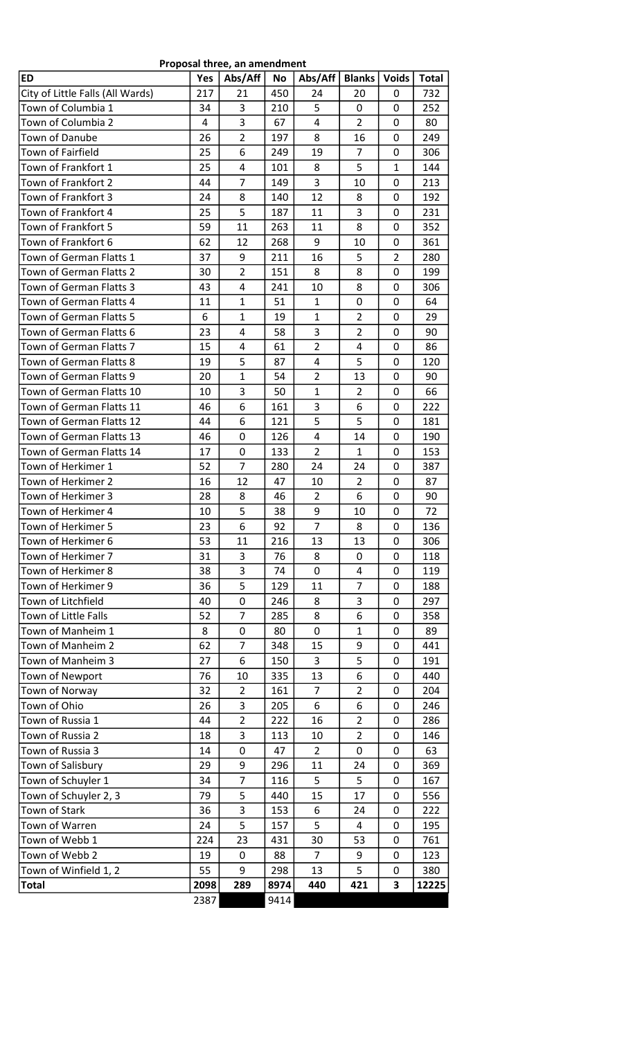| Proposal three, an amendment |  |
|------------------------------|--|
|------------------------------|--|

| <b>ED</b>                                          | Yes      | Abs/Aff             | No         | Abs/Aff           | <b>Blanks</b>                    | <b>Voids</b> | <b>Total</b> |
|----------------------------------------------------|----------|---------------------|------------|-------------------|----------------------------------|--------------|--------------|
| City of Little Falls (All Wards)                   | 217      | 21                  | 450        | 24                | 20                               | 0            | 732          |
| Town of Columbia 1                                 | 34       | 3                   | 210        | 5                 | 0                                | 0            | 252          |
| Town of Columbia 2                                 | 4        | 3                   | 67         | 4                 | $\overline{2}$                   | 0            | 80           |
| Town of Danube                                     | 26       | $\overline{2}$      | 197        | 8                 | 16                               | 0            | 249          |
| Town of Fairfield                                  | 25       | 6                   | 249        | 19                | $\overline{7}$                   | 0            | 306          |
| Town of Frankfort 1                                | 25       | 4                   | 101        | 8                 | 5                                | 1            | 144          |
| Town of Frankfort 2                                | 44       | $\overline{7}$      | 149        | 3                 | 10                               | 0            | 213          |
| Town of Frankfort 3                                | 24       | 8                   | 140        | 12                | 8                                | 0            | 192          |
| Town of Frankfort 4                                | 25       | 5                   | 187        | 11                | 3                                | 0            | 231          |
| Town of Frankfort 5                                | 59       | 11                  | 263        | 11                | 8                                | 0            | 352          |
| Town of Frankfort 6                                | 62       | 12                  | 268        | 9                 | 10                               | 0            | 361          |
| Town of German Flatts 1                            | 37       | 9                   | 211        | 16                | 5                                | 2            | 280          |
| Town of German Flatts 2                            | 30       | $\overline{2}$      | 151        | 8                 | 8                                | 0            | 199          |
| Town of German Flatts 3                            | 43       | 4                   | 241        | 10                | 8                                | 0            | 306          |
| Town of German Flatts 4                            | 11       | 1                   | 51         | $\mathbf{1}$      | 0                                | 0            | 64           |
| Town of German Flatts 5                            | 6        | $\mathbf 1$         | 19         | $\mathbf{1}$<br>3 | $\overline{2}$<br>$\overline{2}$ | 0            | 29           |
| Town of German Flatts 6                            | 23       | 4<br>4              | 58         | $\overline{2}$    |                                  | 0            | 90           |
| Town of German Flatts 7<br>Town of German Flatts 8 | 15<br>19 | 5                   | 61<br>87   | 4                 | 4<br>5                           | 0<br>0       | 86<br>120    |
| Town of German Flatts 9                            | 20       | $\mathbf{1}$        | 54         | $\overline{2}$    | 13                               | 0            | 90           |
| Town of German Flatts 10                           | 10       | 3                   | 50         | $\mathbf{1}$      | $\overline{2}$                   | 0            | 66           |
| Town of German Flatts 11                           | 46       | 6                   | 161        | 3                 | 6                                | 0            | 222          |
| Town of German Flatts 12                           | 44       | 6                   | 121        | 5                 | 5                                | 0            | 181          |
| Town of German Flatts 13                           | 46       | 0                   | 126        | 4                 | 14                               | 0            | 190          |
| Town of German Flatts 14                           | 17       | 0                   | 133        | $\overline{2}$    | $\mathbf{1}$                     | 0            | 153          |
| Town of Herkimer 1                                 | 52       | $\overline{7}$      | 280        | 24                | 24                               | 0            | 387          |
| Town of Herkimer 2                                 | 16       | 12                  | 47         | 10                | $\overline{2}$                   | 0            | 87           |
| Town of Herkimer 3                                 | 28       | 8                   | 46         | 2                 | 6                                | 0            | 90           |
| Town of Herkimer 4                                 | 10       | 5                   | 38         | 9                 | 10                               | 0            | 72           |
| Town of Herkimer 5                                 | 23       | 6                   | 92         | $\overline{7}$    | 8                                | 0            | 136          |
| Town of Herkimer 6                                 | 53       | 11                  | 216        | 13                | 13                               | 0            | 306          |
| Town of Herkimer 7                                 | 31       | 3                   | 76         | 8                 | 0                                | 0            | 118          |
| Town of Herkimer 8                                 | 38       | 3                   | 74         | 0                 | 4                                | 0            | 119          |
| Town of Herkimer 9                                 | 36       | 5                   | 129        | 11                | 7                                | 0            | 188          |
| Town of Litchfield                                 | 40       | 0                   | 246        | 8                 | 3                                | 0            | 297          |
| Town of Little Falls                               | 52       | $\overline{7}$      | 285        | 8                 | 6                                | 0            | 358          |
| Town of Manheim 1                                  | 8        | 0                   | 80         | 0                 | $\mathbf{1}$                     | 0            | 89           |
| Town of Manheim 2                                  | 62       | $\overline{7}$      | 348        | 15                | 9                                | 0            | 441          |
| Town of Manheim 3                                  | 27       | 6                   | 150        | 3                 | 5                                | 0            | 191          |
| Town of Newport                                    | 76       | 10                  | 335        | 13                | 6                                | 0            | 440          |
| Town of Norway                                     | 32       | $\overline{2}$      | 161        | 7                 | $\overline{2}$                   | 0            | 204          |
| Town of Ohio                                       | 26       | 3                   | 205        | 6                 | 6                                | 0            | 246          |
| Town of Russia 1                                   | 44       | $\overline{2}$      | 222        | 16                | $\overline{2}$                   | 0            | 286          |
| Town of Russia 2                                   | 18       | 3                   | 113        | 10                | $\overline{2}$                   | 0            | 146          |
| Town of Russia 3                                   | 14       | 0                   | 47         | $\overline{2}$    | 0                                | 0            | 63           |
| Town of Salisbury                                  | 29       | 9<br>$\overline{7}$ | 296        | 11                | 24                               | 0            | 369          |
| Town of Schuyler 1<br>Town of Schuyler 2, 3        | 34<br>79 | 5                   | 116<br>440 | 5<br>15           | 5<br>17                          | 0<br>0       | 167<br>556   |
| Town of Stark                                      | 36       | 3                   | 153        | 6                 | 24                               | 0            | 222          |
| Town of Warren                                     | 24       | 5                   | 157        | 5                 | 4                                | 0            | 195          |
| Town of Webb 1                                     | 224      | 23                  | 431        | 30                | 53                               | 0            | 761          |
| Town of Webb 2                                     | 19       | 0                   | 88         | 7                 | 9                                | 0            | 123          |
| Town of Winfield 1, 2                              | 55       | 9                   | 298        | 13                | 5                                | 0            | 380          |
| <b>Total</b>                                       | 2098     | 289                 | 8974       | 440               | 421                              | 3            | 12225        |
|                                                    | 2387     |                     | 9414       |                   |                                  |              |              |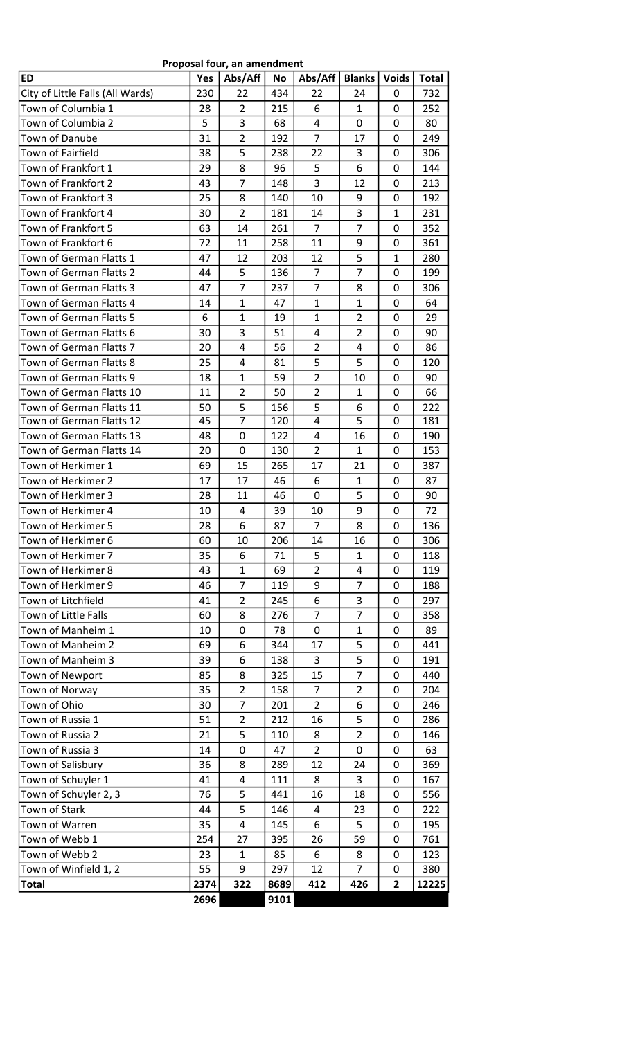| City of Little Falls (All Wards)<br>230<br>22<br>434<br>22<br>24<br>0<br>Town of Columbia 1<br>$\overline{2}$<br>6<br>$\mathbf{1}$<br>28<br>215<br>0<br>3<br>5<br>4<br>0<br>Town of Columbia 2<br>68<br>0<br>$\overline{2}$<br>Town of Danube<br>31<br>192<br>7<br>17<br>0<br>5<br>Town of Fairfield<br>38<br>238<br>22<br>3<br>0<br>8<br>6<br>Town of Frankfort 1<br>5<br>29<br>96<br>0<br>$\overline{7}$<br>3<br>Town of Frankfort 2<br>43<br>148<br>12<br>0<br>8<br>Town of Frankfort 3<br>9<br>25<br>140<br>10<br>0<br>Town of Frankfort 4<br>$\overline{2}$<br>3<br>30<br>181<br>14<br>1<br>$\overline{7}$<br>$\overline{7}$<br>Town of Frankfort 5<br>63<br>14<br>261<br>0<br>9<br>Town of Frankfort 6<br>72<br>258<br>11<br>11<br>0<br>5<br>Town of German Flatts 1<br>47<br>12<br>203<br>12<br>$\mathbf{1}$<br>$\overline{7}$<br>5<br>$\overline{7}$<br>Town of German Flatts 2<br>44<br>136<br>0<br>$\overline{7}$<br>$\overline{7}$<br>8<br>Town of German Flatts 3<br>47<br>237<br>0<br>$\mathbf{1}$<br>$\mathbf{1}$<br>Town of German Flatts 4<br>14<br>47<br>$\mathbf{1}$<br>64<br>0<br>$\mathbf{1}$<br>$\overline{2}$<br>Town of German Flatts 5<br>6<br>19<br>$\mathbf{1}$<br>29<br>0<br>3<br>51<br>$\overline{2}$<br>Town of German Flatts 6<br>30<br>4<br>90<br>0<br>4<br>56<br>Town of German Flatts 7<br>20<br>$\overline{2}$<br>86<br>4<br>0<br>5<br>5<br>25<br>4<br>Town of German Flatts 8<br>81<br>0<br>$\overline{2}$<br>$\mathbf{1}$<br>59<br>Town of German Flatts 9<br>18<br>10<br>90<br>0<br>$\overline{2}$<br>$\overline{2}$<br>$\mathbf{1}$<br>Town of German Flatts 10<br>11<br>50<br>0<br>5<br>5<br>Town of German Flatts 11<br>156<br>6<br>50<br>0<br>$\overline{7}$<br>5<br>4<br>Town of German Flatts 12<br>45<br>120<br>0<br>Town of German Flatts 13<br>48<br>0<br>122<br>4<br>16<br>0<br>0<br>$\overline{2}$<br>$\mathbf{1}$<br>Town of German Flatts 14<br>20<br>130<br>0<br>Town of Herkimer 1<br>69<br>15<br>265<br>17<br>21<br>0<br>Town of Herkimer 2<br>17<br>6<br>17<br>46<br>$\mathbf{1}$<br>0<br>87<br>5<br>Town of Herkimer 3<br>28<br>46<br>$\mathbf{0}$<br>90<br>11<br>0<br>Town of Herkimer 4<br>4<br>9<br>72<br>10<br>39<br>10<br>0<br>6<br>$\overline{7}$<br>8<br>Town of Herkimer 5<br>28<br>87<br>0<br>Town of Herkimer 6<br>60<br>10<br>206<br>14<br>16<br>0<br>Town of Herkimer 7<br>6<br>71<br>5<br>35<br>$\mathbf{1}$<br>0<br>Town of Herkimer 8<br>43<br>1<br>$\overline{2}$<br>69<br>4<br>0<br>$\overline{7}$<br>Town of Herkimer 9<br>9<br>$\overline{7}$<br>188<br>46<br>119<br>0<br>$\overline{2}$<br>6<br>3<br>Town of Litchfield<br>41<br>245<br>297<br>0<br>$\overline{7}$<br>$\overline{7}$<br>Town of Little Falls<br>8<br>60<br>276<br>0<br>358<br>Town of Manheim 1<br>0<br>$\mathbf{1}$<br>10<br>78<br>0<br>89<br>0<br>Town of Manheim 2<br>6<br>5<br>69<br>344<br>17<br>441<br>0<br>5<br>Town of Manheim 3<br>6<br>3<br>191<br>39<br>138<br>0<br>7<br>8<br>Town of Newport<br>85<br>325<br>15<br>440<br>0<br>$\overline{2}$<br>$\overline{7}$<br>Town of Norway<br>35<br>158<br>$\overline{2}$<br>204<br>0<br>$\overline{7}$<br>Town of Ohio<br>$\overline{2}$<br>6<br>30<br>201<br>0<br>246<br>5<br>Town of Russia 1<br>51<br>$\overline{2}$<br>286<br>212<br>16<br>0<br>5<br>$\overline{2}$<br>Town of Russia 2<br>8<br>0<br>21<br>110<br>146<br>Town of Russia 3<br>0<br>47<br>$\overline{2}$<br>0<br>63<br>14<br>0<br>Town of Salisbury<br>8<br>289<br>36<br>12<br>24<br>0<br>369<br>Town of Schuyler 1<br>4<br>3<br>41<br>111<br>8<br>0<br>167<br>5<br>Town of Schuyler 2, 3<br>76<br>441<br>16<br>18<br>0<br>556<br>5<br>Town of Stark<br>146<br>44<br>4<br>23<br>0<br>222<br>Town of Warren<br>4<br>5<br>35<br>145<br>6<br>195<br>0<br>Town of Webb 1<br>27<br>761<br>254<br>395<br>26<br>59<br>0<br>Town of Webb 2<br>85<br>123<br>23<br>1<br>6<br>8<br>0<br>9<br>$\overline{7}$<br>55<br>Town of Winfield 1, 2<br>297<br>12<br>380<br>0<br>2374<br>322<br><b>Total</b><br>8689<br>412<br>426<br>$\mathbf{2}$<br>12225 | <b>ED</b> | Yes  | Abs/Aff | No   | Abs/Aff | <b>Blanks</b> | <b>Voids</b> | <b>Total</b> |
|---------------------------------------------------------------------------------------------------------------------------------------------------------------------------------------------------------------------------------------------------------------------------------------------------------------------------------------------------------------------------------------------------------------------------------------------------------------------------------------------------------------------------------------------------------------------------------------------------------------------------------------------------------------------------------------------------------------------------------------------------------------------------------------------------------------------------------------------------------------------------------------------------------------------------------------------------------------------------------------------------------------------------------------------------------------------------------------------------------------------------------------------------------------------------------------------------------------------------------------------------------------------------------------------------------------------------------------------------------------------------------------------------------------------------------------------------------------------------------------------------------------------------------------------------------------------------------------------------------------------------------------------------------------------------------------------------------------------------------------------------------------------------------------------------------------------------------------------------------------------------------------------------------------------------------------------------------------------------------------------------------------------------------------------------------------------------------------------------------------------------------------------------------------------------------------------------------------------------------------------------------------------------------------------------------------------------------------------------------------------------------------------------------------------------------------------------------------------------------------------------------------------------------------------------------------------------------------------------------------------------------------------------------------------------------------------------------------------------------------------------------------------------------------------------------------------------------------------------------------------------------------------------------------------------------------------------------------------------------------------------------------------------------------------------------------------------------------------------------------------------------------------------------------------------------------------------------------------------------------------------------------------------------------------------------------------------------------------------------------------------------------------------------------------------------------------------------------------------------------------------------------------------------------------------------------------------------------------------------------------------------------------------------------------------------------------------------------------------------------------------------------------------------------------------------------------------------------------------------------------------------------------------------------------------------------------------------------------------------------------------------|-----------|------|---------|------|---------|---------------|--------------|--------------|
|                                                                                                                                                                                                                                                                                                                                                                                                                                                                                                                                                                                                                                                                                                                                                                                                                                                                                                                                                                                                                                                                                                                                                                                                                                                                                                                                                                                                                                                                                                                                                                                                                                                                                                                                                                                                                                                                                                                                                                                                                                                                                                                                                                                                                                                                                                                                                                                                                                                                                                                                                                                                                                                                                                                                                                                                                                                                                                                                                                                                                                                                                                                                                                                                                                                                                                                                                                                                                                                                                                                                                                                                                                                                                                                                                                                                                                                                                                                                                                                                         |           |      |         |      |         |               |              | 732          |
|                                                                                                                                                                                                                                                                                                                                                                                                                                                                                                                                                                                                                                                                                                                                                                                                                                                                                                                                                                                                                                                                                                                                                                                                                                                                                                                                                                                                                                                                                                                                                                                                                                                                                                                                                                                                                                                                                                                                                                                                                                                                                                                                                                                                                                                                                                                                                                                                                                                                                                                                                                                                                                                                                                                                                                                                                                                                                                                                                                                                                                                                                                                                                                                                                                                                                                                                                                                                                                                                                                                                                                                                                                                                                                                                                                                                                                                                                                                                                                                                         |           |      |         |      |         |               |              | 252          |
|                                                                                                                                                                                                                                                                                                                                                                                                                                                                                                                                                                                                                                                                                                                                                                                                                                                                                                                                                                                                                                                                                                                                                                                                                                                                                                                                                                                                                                                                                                                                                                                                                                                                                                                                                                                                                                                                                                                                                                                                                                                                                                                                                                                                                                                                                                                                                                                                                                                                                                                                                                                                                                                                                                                                                                                                                                                                                                                                                                                                                                                                                                                                                                                                                                                                                                                                                                                                                                                                                                                                                                                                                                                                                                                                                                                                                                                                                                                                                                                                         |           |      |         |      |         |               |              | 80           |
|                                                                                                                                                                                                                                                                                                                                                                                                                                                                                                                                                                                                                                                                                                                                                                                                                                                                                                                                                                                                                                                                                                                                                                                                                                                                                                                                                                                                                                                                                                                                                                                                                                                                                                                                                                                                                                                                                                                                                                                                                                                                                                                                                                                                                                                                                                                                                                                                                                                                                                                                                                                                                                                                                                                                                                                                                                                                                                                                                                                                                                                                                                                                                                                                                                                                                                                                                                                                                                                                                                                                                                                                                                                                                                                                                                                                                                                                                                                                                                                                         |           |      |         |      |         |               |              | 249          |
|                                                                                                                                                                                                                                                                                                                                                                                                                                                                                                                                                                                                                                                                                                                                                                                                                                                                                                                                                                                                                                                                                                                                                                                                                                                                                                                                                                                                                                                                                                                                                                                                                                                                                                                                                                                                                                                                                                                                                                                                                                                                                                                                                                                                                                                                                                                                                                                                                                                                                                                                                                                                                                                                                                                                                                                                                                                                                                                                                                                                                                                                                                                                                                                                                                                                                                                                                                                                                                                                                                                                                                                                                                                                                                                                                                                                                                                                                                                                                                                                         |           |      |         |      |         |               |              | 306          |
|                                                                                                                                                                                                                                                                                                                                                                                                                                                                                                                                                                                                                                                                                                                                                                                                                                                                                                                                                                                                                                                                                                                                                                                                                                                                                                                                                                                                                                                                                                                                                                                                                                                                                                                                                                                                                                                                                                                                                                                                                                                                                                                                                                                                                                                                                                                                                                                                                                                                                                                                                                                                                                                                                                                                                                                                                                                                                                                                                                                                                                                                                                                                                                                                                                                                                                                                                                                                                                                                                                                                                                                                                                                                                                                                                                                                                                                                                                                                                                                                         |           |      |         |      |         |               |              | 144          |
|                                                                                                                                                                                                                                                                                                                                                                                                                                                                                                                                                                                                                                                                                                                                                                                                                                                                                                                                                                                                                                                                                                                                                                                                                                                                                                                                                                                                                                                                                                                                                                                                                                                                                                                                                                                                                                                                                                                                                                                                                                                                                                                                                                                                                                                                                                                                                                                                                                                                                                                                                                                                                                                                                                                                                                                                                                                                                                                                                                                                                                                                                                                                                                                                                                                                                                                                                                                                                                                                                                                                                                                                                                                                                                                                                                                                                                                                                                                                                                                                         |           |      |         |      |         |               |              | 213          |
|                                                                                                                                                                                                                                                                                                                                                                                                                                                                                                                                                                                                                                                                                                                                                                                                                                                                                                                                                                                                                                                                                                                                                                                                                                                                                                                                                                                                                                                                                                                                                                                                                                                                                                                                                                                                                                                                                                                                                                                                                                                                                                                                                                                                                                                                                                                                                                                                                                                                                                                                                                                                                                                                                                                                                                                                                                                                                                                                                                                                                                                                                                                                                                                                                                                                                                                                                                                                                                                                                                                                                                                                                                                                                                                                                                                                                                                                                                                                                                                                         |           |      |         |      |         |               |              | 192          |
|                                                                                                                                                                                                                                                                                                                                                                                                                                                                                                                                                                                                                                                                                                                                                                                                                                                                                                                                                                                                                                                                                                                                                                                                                                                                                                                                                                                                                                                                                                                                                                                                                                                                                                                                                                                                                                                                                                                                                                                                                                                                                                                                                                                                                                                                                                                                                                                                                                                                                                                                                                                                                                                                                                                                                                                                                                                                                                                                                                                                                                                                                                                                                                                                                                                                                                                                                                                                                                                                                                                                                                                                                                                                                                                                                                                                                                                                                                                                                                                                         |           |      |         |      |         |               |              | 231          |
|                                                                                                                                                                                                                                                                                                                                                                                                                                                                                                                                                                                                                                                                                                                                                                                                                                                                                                                                                                                                                                                                                                                                                                                                                                                                                                                                                                                                                                                                                                                                                                                                                                                                                                                                                                                                                                                                                                                                                                                                                                                                                                                                                                                                                                                                                                                                                                                                                                                                                                                                                                                                                                                                                                                                                                                                                                                                                                                                                                                                                                                                                                                                                                                                                                                                                                                                                                                                                                                                                                                                                                                                                                                                                                                                                                                                                                                                                                                                                                                                         |           |      |         |      |         |               |              | 352          |
|                                                                                                                                                                                                                                                                                                                                                                                                                                                                                                                                                                                                                                                                                                                                                                                                                                                                                                                                                                                                                                                                                                                                                                                                                                                                                                                                                                                                                                                                                                                                                                                                                                                                                                                                                                                                                                                                                                                                                                                                                                                                                                                                                                                                                                                                                                                                                                                                                                                                                                                                                                                                                                                                                                                                                                                                                                                                                                                                                                                                                                                                                                                                                                                                                                                                                                                                                                                                                                                                                                                                                                                                                                                                                                                                                                                                                                                                                                                                                                                                         |           |      |         |      |         |               |              | 361          |
|                                                                                                                                                                                                                                                                                                                                                                                                                                                                                                                                                                                                                                                                                                                                                                                                                                                                                                                                                                                                                                                                                                                                                                                                                                                                                                                                                                                                                                                                                                                                                                                                                                                                                                                                                                                                                                                                                                                                                                                                                                                                                                                                                                                                                                                                                                                                                                                                                                                                                                                                                                                                                                                                                                                                                                                                                                                                                                                                                                                                                                                                                                                                                                                                                                                                                                                                                                                                                                                                                                                                                                                                                                                                                                                                                                                                                                                                                                                                                                                                         |           |      |         |      |         |               |              | 280          |
|                                                                                                                                                                                                                                                                                                                                                                                                                                                                                                                                                                                                                                                                                                                                                                                                                                                                                                                                                                                                                                                                                                                                                                                                                                                                                                                                                                                                                                                                                                                                                                                                                                                                                                                                                                                                                                                                                                                                                                                                                                                                                                                                                                                                                                                                                                                                                                                                                                                                                                                                                                                                                                                                                                                                                                                                                                                                                                                                                                                                                                                                                                                                                                                                                                                                                                                                                                                                                                                                                                                                                                                                                                                                                                                                                                                                                                                                                                                                                                                                         |           |      |         |      |         |               |              | 199          |
|                                                                                                                                                                                                                                                                                                                                                                                                                                                                                                                                                                                                                                                                                                                                                                                                                                                                                                                                                                                                                                                                                                                                                                                                                                                                                                                                                                                                                                                                                                                                                                                                                                                                                                                                                                                                                                                                                                                                                                                                                                                                                                                                                                                                                                                                                                                                                                                                                                                                                                                                                                                                                                                                                                                                                                                                                                                                                                                                                                                                                                                                                                                                                                                                                                                                                                                                                                                                                                                                                                                                                                                                                                                                                                                                                                                                                                                                                                                                                                                                         |           |      |         |      |         |               |              | 306          |
|                                                                                                                                                                                                                                                                                                                                                                                                                                                                                                                                                                                                                                                                                                                                                                                                                                                                                                                                                                                                                                                                                                                                                                                                                                                                                                                                                                                                                                                                                                                                                                                                                                                                                                                                                                                                                                                                                                                                                                                                                                                                                                                                                                                                                                                                                                                                                                                                                                                                                                                                                                                                                                                                                                                                                                                                                                                                                                                                                                                                                                                                                                                                                                                                                                                                                                                                                                                                                                                                                                                                                                                                                                                                                                                                                                                                                                                                                                                                                                                                         |           |      |         |      |         |               |              |              |
|                                                                                                                                                                                                                                                                                                                                                                                                                                                                                                                                                                                                                                                                                                                                                                                                                                                                                                                                                                                                                                                                                                                                                                                                                                                                                                                                                                                                                                                                                                                                                                                                                                                                                                                                                                                                                                                                                                                                                                                                                                                                                                                                                                                                                                                                                                                                                                                                                                                                                                                                                                                                                                                                                                                                                                                                                                                                                                                                                                                                                                                                                                                                                                                                                                                                                                                                                                                                                                                                                                                                                                                                                                                                                                                                                                                                                                                                                                                                                                                                         |           |      |         |      |         |               |              |              |
|                                                                                                                                                                                                                                                                                                                                                                                                                                                                                                                                                                                                                                                                                                                                                                                                                                                                                                                                                                                                                                                                                                                                                                                                                                                                                                                                                                                                                                                                                                                                                                                                                                                                                                                                                                                                                                                                                                                                                                                                                                                                                                                                                                                                                                                                                                                                                                                                                                                                                                                                                                                                                                                                                                                                                                                                                                                                                                                                                                                                                                                                                                                                                                                                                                                                                                                                                                                                                                                                                                                                                                                                                                                                                                                                                                                                                                                                                                                                                                                                         |           |      |         |      |         |               |              |              |
|                                                                                                                                                                                                                                                                                                                                                                                                                                                                                                                                                                                                                                                                                                                                                                                                                                                                                                                                                                                                                                                                                                                                                                                                                                                                                                                                                                                                                                                                                                                                                                                                                                                                                                                                                                                                                                                                                                                                                                                                                                                                                                                                                                                                                                                                                                                                                                                                                                                                                                                                                                                                                                                                                                                                                                                                                                                                                                                                                                                                                                                                                                                                                                                                                                                                                                                                                                                                                                                                                                                                                                                                                                                                                                                                                                                                                                                                                                                                                                                                         |           |      |         |      |         |               |              |              |
|                                                                                                                                                                                                                                                                                                                                                                                                                                                                                                                                                                                                                                                                                                                                                                                                                                                                                                                                                                                                                                                                                                                                                                                                                                                                                                                                                                                                                                                                                                                                                                                                                                                                                                                                                                                                                                                                                                                                                                                                                                                                                                                                                                                                                                                                                                                                                                                                                                                                                                                                                                                                                                                                                                                                                                                                                                                                                                                                                                                                                                                                                                                                                                                                                                                                                                                                                                                                                                                                                                                                                                                                                                                                                                                                                                                                                                                                                                                                                                                                         |           |      |         |      |         |               |              | 120          |
|                                                                                                                                                                                                                                                                                                                                                                                                                                                                                                                                                                                                                                                                                                                                                                                                                                                                                                                                                                                                                                                                                                                                                                                                                                                                                                                                                                                                                                                                                                                                                                                                                                                                                                                                                                                                                                                                                                                                                                                                                                                                                                                                                                                                                                                                                                                                                                                                                                                                                                                                                                                                                                                                                                                                                                                                                                                                                                                                                                                                                                                                                                                                                                                                                                                                                                                                                                                                                                                                                                                                                                                                                                                                                                                                                                                                                                                                                                                                                                                                         |           |      |         |      |         |               |              |              |
|                                                                                                                                                                                                                                                                                                                                                                                                                                                                                                                                                                                                                                                                                                                                                                                                                                                                                                                                                                                                                                                                                                                                                                                                                                                                                                                                                                                                                                                                                                                                                                                                                                                                                                                                                                                                                                                                                                                                                                                                                                                                                                                                                                                                                                                                                                                                                                                                                                                                                                                                                                                                                                                                                                                                                                                                                                                                                                                                                                                                                                                                                                                                                                                                                                                                                                                                                                                                                                                                                                                                                                                                                                                                                                                                                                                                                                                                                                                                                                                                         |           |      |         |      |         |               |              | 66           |
|                                                                                                                                                                                                                                                                                                                                                                                                                                                                                                                                                                                                                                                                                                                                                                                                                                                                                                                                                                                                                                                                                                                                                                                                                                                                                                                                                                                                                                                                                                                                                                                                                                                                                                                                                                                                                                                                                                                                                                                                                                                                                                                                                                                                                                                                                                                                                                                                                                                                                                                                                                                                                                                                                                                                                                                                                                                                                                                                                                                                                                                                                                                                                                                                                                                                                                                                                                                                                                                                                                                                                                                                                                                                                                                                                                                                                                                                                                                                                                                                         |           |      |         |      |         |               |              | 222          |
|                                                                                                                                                                                                                                                                                                                                                                                                                                                                                                                                                                                                                                                                                                                                                                                                                                                                                                                                                                                                                                                                                                                                                                                                                                                                                                                                                                                                                                                                                                                                                                                                                                                                                                                                                                                                                                                                                                                                                                                                                                                                                                                                                                                                                                                                                                                                                                                                                                                                                                                                                                                                                                                                                                                                                                                                                                                                                                                                                                                                                                                                                                                                                                                                                                                                                                                                                                                                                                                                                                                                                                                                                                                                                                                                                                                                                                                                                                                                                                                                         |           |      |         |      |         |               |              | 181          |
|                                                                                                                                                                                                                                                                                                                                                                                                                                                                                                                                                                                                                                                                                                                                                                                                                                                                                                                                                                                                                                                                                                                                                                                                                                                                                                                                                                                                                                                                                                                                                                                                                                                                                                                                                                                                                                                                                                                                                                                                                                                                                                                                                                                                                                                                                                                                                                                                                                                                                                                                                                                                                                                                                                                                                                                                                                                                                                                                                                                                                                                                                                                                                                                                                                                                                                                                                                                                                                                                                                                                                                                                                                                                                                                                                                                                                                                                                                                                                                                                         |           |      |         |      |         |               |              | 190          |
|                                                                                                                                                                                                                                                                                                                                                                                                                                                                                                                                                                                                                                                                                                                                                                                                                                                                                                                                                                                                                                                                                                                                                                                                                                                                                                                                                                                                                                                                                                                                                                                                                                                                                                                                                                                                                                                                                                                                                                                                                                                                                                                                                                                                                                                                                                                                                                                                                                                                                                                                                                                                                                                                                                                                                                                                                                                                                                                                                                                                                                                                                                                                                                                                                                                                                                                                                                                                                                                                                                                                                                                                                                                                                                                                                                                                                                                                                                                                                                                                         |           |      |         |      |         |               |              | 153          |
|                                                                                                                                                                                                                                                                                                                                                                                                                                                                                                                                                                                                                                                                                                                                                                                                                                                                                                                                                                                                                                                                                                                                                                                                                                                                                                                                                                                                                                                                                                                                                                                                                                                                                                                                                                                                                                                                                                                                                                                                                                                                                                                                                                                                                                                                                                                                                                                                                                                                                                                                                                                                                                                                                                                                                                                                                                                                                                                                                                                                                                                                                                                                                                                                                                                                                                                                                                                                                                                                                                                                                                                                                                                                                                                                                                                                                                                                                                                                                                                                         |           |      |         |      |         |               |              | 387          |
|                                                                                                                                                                                                                                                                                                                                                                                                                                                                                                                                                                                                                                                                                                                                                                                                                                                                                                                                                                                                                                                                                                                                                                                                                                                                                                                                                                                                                                                                                                                                                                                                                                                                                                                                                                                                                                                                                                                                                                                                                                                                                                                                                                                                                                                                                                                                                                                                                                                                                                                                                                                                                                                                                                                                                                                                                                                                                                                                                                                                                                                                                                                                                                                                                                                                                                                                                                                                                                                                                                                                                                                                                                                                                                                                                                                                                                                                                                                                                                                                         |           |      |         |      |         |               |              |              |
|                                                                                                                                                                                                                                                                                                                                                                                                                                                                                                                                                                                                                                                                                                                                                                                                                                                                                                                                                                                                                                                                                                                                                                                                                                                                                                                                                                                                                                                                                                                                                                                                                                                                                                                                                                                                                                                                                                                                                                                                                                                                                                                                                                                                                                                                                                                                                                                                                                                                                                                                                                                                                                                                                                                                                                                                                                                                                                                                                                                                                                                                                                                                                                                                                                                                                                                                                                                                                                                                                                                                                                                                                                                                                                                                                                                                                                                                                                                                                                                                         |           |      |         |      |         |               |              |              |
|                                                                                                                                                                                                                                                                                                                                                                                                                                                                                                                                                                                                                                                                                                                                                                                                                                                                                                                                                                                                                                                                                                                                                                                                                                                                                                                                                                                                                                                                                                                                                                                                                                                                                                                                                                                                                                                                                                                                                                                                                                                                                                                                                                                                                                                                                                                                                                                                                                                                                                                                                                                                                                                                                                                                                                                                                                                                                                                                                                                                                                                                                                                                                                                                                                                                                                                                                                                                                                                                                                                                                                                                                                                                                                                                                                                                                                                                                                                                                                                                         |           |      |         |      |         |               |              |              |
|                                                                                                                                                                                                                                                                                                                                                                                                                                                                                                                                                                                                                                                                                                                                                                                                                                                                                                                                                                                                                                                                                                                                                                                                                                                                                                                                                                                                                                                                                                                                                                                                                                                                                                                                                                                                                                                                                                                                                                                                                                                                                                                                                                                                                                                                                                                                                                                                                                                                                                                                                                                                                                                                                                                                                                                                                                                                                                                                                                                                                                                                                                                                                                                                                                                                                                                                                                                                                                                                                                                                                                                                                                                                                                                                                                                                                                                                                                                                                                                                         |           |      |         |      |         |               |              | 136          |
|                                                                                                                                                                                                                                                                                                                                                                                                                                                                                                                                                                                                                                                                                                                                                                                                                                                                                                                                                                                                                                                                                                                                                                                                                                                                                                                                                                                                                                                                                                                                                                                                                                                                                                                                                                                                                                                                                                                                                                                                                                                                                                                                                                                                                                                                                                                                                                                                                                                                                                                                                                                                                                                                                                                                                                                                                                                                                                                                                                                                                                                                                                                                                                                                                                                                                                                                                                                                                                                                                                                                                                                                                                                                                                                                                                                                                                                                                                                                                                                                         |           |      |         |      |         |               |              | 306          |
|                                                                                                                                                                                                                                                                                                                                                                                                                                                                                                                                                                                                                                                                                                                                                                                                                                                                                                                                                                                                                                                                                                                                                                                                                                                                                                                                                                                                                                                                                                                                                                                                                                                                                                                                                                                                                                                                                                                                                                                                                                                                                                                                                                                                                                                                                                                                                                                                                                                                                                                                                                                                                                                                                                                                                                                                                                                                                                                                                                                                                                                                                                                                                                                                                                                                                                                                                                                                                                                                                                                                                                                                                                                                                                                                                                                                                                                                                                                                                                                                         |           |      |         |      |         |               |              | 118          |
|                                                                                                                                                                                                                                                                                                                                                                                                                                                                                                                                                                                                                                                                                                                                                                                                                                                                                                                                                                                                                                                                                                                                                                                                                                                                                                                                                                                                                                                                                                                                                                                                                                                                                                                                                                                                                                                                                                                                                                                                                                                                                                                                                                                                                                                                                                                                                                                                                                                                                                                                                                                                                                                                                                                                                                                                                                                                                                                                                                                                                                                                                                                                                                                                                                                                                                                                                                                                                                                                                                                                                                                                                                                                                                                                                                                                                                                                                                                                                                                                         |           |      |         |      |         |               |              | 119          |
|                                                                                                                                                                                                                                                                                                                                                                                                                                                                                                                                                                                                                                                                                                                                                                                                                                                                                                                                                                                                                                                                                                                                                                                                                                                                                                                                                                                                                                                                                                                                                                                                                                                                                                                                                                                                                                                                                                                                                                                                                                                                                                                                                                                                                                                                                                                                                                                                                                                                                                                                                                                                                                                                                                                                                                                                                                                                                                                                                                                                                                                                                                                                                                                                                                                                                                                                                                                                                                                                                                                                                                                                                                                                                                                                                                                                                                                                                                                                                                                                         |           |      |         |      |         |               |              |              |
|                                                                                                                                                                                                                                                                                                                                                                                                                                                                                                                                                                                                                                                                                                                                                                                                                                                                                                                                                                                                                                                                                                                                                                                                                                                                                                                                                                                                                                                                                                                                                                                                                                                                                                                                                                                                                                                                                                                                                                                                                                                                                                                                                                                                                                                                                                                                                                                                                                                                                                                                                                                                                                                                                                                                                                                                                                                                                                                                                                                                                                                                                                                                                                                                                                                                                                                                                                                                                                                                                                                                                                                                                                                                                                                                                                                                                                                                                                                                                                                                         |           |      |         |      |         |               |              |              |
|                                                                                                                                                                                                                                                                                                                                                                                                                                                                                                                                                                                                                                                                                                                                                                                                                                                                                                                                                                                                                                                                                                                                                                                                                                                                                                                                                                                                                                                                                                                                                                                                                                                                                                                                                                                                                                                                                                                                                                                                                                                                                                                                                                                                                                                                                                                                                                                                                                                                                                                                                                                                                                                                                                                                                                                                                                                                                                                                                                                                                                                                                                                                                                                                                                                                                                                                                                                                                                                                                                                                                                                                                                                                                                                                                                                                                                                                                                                                                                                                         |           |      |         |      |         |               |              |              |
|                                                                                                                                                                                                                                                                                                                                                                                                                                                                                                                                                                                                                                                                                                                                                                                                                                                                                                                                                                                                                                                                                                                                                                                                                                                                                                                                                                                                                                                                                                                                                                                                                                                                                                                                                                                                                                                                                                                                                                                                                                                                                                                                                                                                                                                                                                                                                                                                                                                                                                                                                                                                                                                                                                                                                                                                                                                                                                                                                                                                                                                                                                                                                                                                                                                                                                                                                                                                                                                                                                                                                                                                                                                                                                                                                                                                                                                                                                                                                                                                         |           |      |         |      |         |               |              |              |
|                                                                                                                                                                                                                                                                                                                                                                                                                                                                                                                                                                                                                                                                                                                                                                                                                                                                                                                                                                                                                                                                                                                                                                                                                                                                                                                                                                                                                                                                                                                                                                                                                                                                                                                                                                                                                                                                                                                                                                                                                                                                                                                                                                                                                                                                                                                                                                                                                                                                                                                                                                                                                                                                                                                                                                                                                                                                                                                                                                                                                                                                                                                                                                                                                                                                                                                                                                                                                                                                                                                                                                                                                                                                                                                                                                                                                                                                                                                                                                                                         |           |      |         |      |         |               |              |              |
|                                                                                                                                                                                                                                                                                                                                                                                                                                                                                                                                                                                                                                                                                                                                                                                                                                                                                                                                                                                                                                                                                                                                                                                                                                                                                                                                                                                                                                                                                                                                                                                                                                                                                                                                                                                                                                                                                                                                                                                                                                                                                                                                                                                                                                                                                                                                                                                                                                                                                                                                                                                                                                                                                                                                                                                                                                                                                                                                                                                                                                                                                                                                                                                                                                                                                                                                                                                                                                                                                                                                                                                                                                                                                                                                                                                                                                                                                                                                                                                                         |           |      |         |      |         |               |              |              |
|                                                                                                                                                                                                                                                                                                                                                                                                                                                                                                                                                                                                                                                                                                                                                                                                                                                                                                                                                                                                                                                                                                                                                                                                                                                                                                                                                                                                                                                                                                                                                                                                                                                                                                                                                                                                                                                                                                                                                                                                                                                                                                                                                                                                                                                                                                                                                                                                                                                                                                                                                                                                                                                                                                                                                                                                                                                                                                                                                                                                                                                                                                                                                                                                                                                                                                                                                                                                                                                                                                                                                                                                                                                                                                                                                                                                                                                                                                                                                                                                         |           |      |         |      |         |               |              |              |
|                                                                                                                                                                                                                                                                                                                                                                                                                                                                                                                                                                                                                                                                                                                                                                                                                                                                                                                                                                                                                                                                                                                                                                                                                                                                                                                                                                                                                                                                                                                                                                                                                                                                                                                                                                                                                                                                                                                                                                                                                                                                                                                                                                                                                                                                                                                                                                                                                                                                                                                                                                                                                                                                                                                                                                                                                                                                                                                                                                                                                                                                                                                                                                                                                                                                                                                                                                                                                                                                                                                                                                                                                                                                                                                                                                                                                                                                                                                                                                                                         |           |      |         |      |         |               |              |              |
|                                                                                                                                                                                                                                                                                                                                                                                                                                                                                                                                                                                                                                                                                                                                                                                                                                                                                                                                                                                                                                                                                                                                                                                                                                                                                                                                                                                                                                                                                                                                                                                                                                                                                                                                                                                                                                                                                                                                                                                                                                                                                                                                                                                                                                                                                                                                                                                                                                                                                                                                                                                                                                                                                                                                                                                                                                                                                                                                                                                                                                                                                                                                                                                                                                                                                                                                                                                                                                                                                                                                                                                                                                                                                                                                                                                                                                                                                                                                                                                                         |           |      |         |      |         |               |              |              |
|                                                                                                                                                                                                                                                                                                                                                                                                                                                                                                                                                                                                                                                                                                                                                                                                                                                                                                                                                                                                                                                                                                                                                                                                                                                                                                                                                                                                                                                                                                                                                                                                                                                                                                                                                                                                                                                                                                                                                                                                                                                                                                                                                                                                                                                                                                                                                                                                                                                                                                                                                                                                                                                                                                                                                                                                                                                                                                                                                                                                                                                                                                                                                                                                                                                                                                                                                                                                                                                                                                                                                                                                                                                                                                                                                                                                                                                                                                                                                                                                         |           |      |         |      |         |               |              |              |
|                                                                                                                                                                                                                                                                                                                                                                                                                                                                                                                                                                                                                                                                                                                                                                                                                                                                                                                                                                                                                                                                                                                                                                                                                                                                                                                                                                                                                                                                                                                                                                                                                                                                                                                                                                                                                                                                                                                                                                                                                                                                                                                                                                                                                                                                                                                                                                                                                                                                                                                                                                                                                                                                                                                                                                                                                                                                                                                                                                                                                                                                                                                                                                                                                                                                                                                                                                                                                                                                                                                                                                                                                                                                                                                                                                                                                                                                                                                                                                                                         |           |      |         |      |         |               |              |              |
|                                                                                                                                                                                                                                                                                                                                                                                                                                                                                                                                                                                                                                                                                                                                                                                                                                                                                                                                                                                                                                                                                                                                                                                                                                                                                                                                                                                                                                                                                                                                                                                                                                                                                                                                                                                                                                                                                                                                                                                                                                                                                                                                                                                                                                                                                                                                                                                                                                                                                                                                                                                                                                                                                                                                                                                                                                                                                                                                                                                                                                                                                                                                                                                                                                                                                                                                                                                                                                                                                                                                                                                                                                                                                                                                                                                                                                                                                                                                                                                                         |           |      |         |      |         |               |              |              |
|                                                                                                                                                                                                                                                                                                                                                                                                                                                                                                                                                                                                                                                                                                                                                                                                                                                                                                                                                                                                                                                                                                                                                                                                                                                                                                                                                                                                                                                                                                                                                                                                                                                                                                                                                                                                                                                                                                                                                                                                                                                                                                                                                                                                                                                                                                                                                                                                                                                                                                                                                                                                                                                                                                                                                                                                                                                                                                                                                                                                                                                                                                                                                                                                                                                                                                                                                                                                                                                                                                                                                                                                                                                                                                                                                                                                                                                                                                                                                                                                         |           |      |         |      |         |               |              |              |
|                                                                                                                                                                                                                                                                                                                                                                                                                                                                                                                                                                                                                                                                                                                                                                                                                                                                                                                                                                                                                                                                                                                                                                                                                                                                                                                                                                                                                                                                                                                                                                                                                                                                                                                                                                                                                                                                                                                                                                                                                                                                                                                                                                                                                                                                                                                                                                                                                                                                                                                                                                                                                                                                                                                                                                                                                                                                                                                                                                                                                                                                                                                                                                                                                                                                                                                                                                                                                                                                                                                                                                                                                                                                                                                                                                                                                                                                                                                                                                                                         |           |      |         |      |         |               |              |              |
|                                                                                                                                                                                                                                                                                                                                                                                                                                                                                                                                                                                                                                                                                                                                                                                                                                                                                                                                                                                                                                                                                                                                                                                                                                                                                                                                                                                                                                                                                                                                                                                                                                                                                                                                                                                                                                                                                                                                                                                                                                                                                                                                                                                                                                                                                                                                                                                                                                                                                                                                                                                                                                                                                                                                                                                                                                                                                                                                                                                                                                                                                                                                                                                                                                                                                                                                                                                                                                                                                                                                                                                                                                                                                                                                                                                                                                                                                                                                                                                                         |           |      |         |      |         |               |              |              |
|                                                                                                                                                                                                                                                                                                                                                                                                                                                                                                                                                                                                                                                                                                                                                                                                                                                                                                                                                                                                                                                                                                                                                                                                                                                                                                                                                                                                                                                                                                                                                                                                                                                                                                                                                                                                                                                                                                                                                                                                                                                                                                                                                                                                                                                                                                                                                                                                                                                                                                                                                                                                                                                                                                                                                                                                                                                                                                                                                                                                                                                                                                                                                                                                                                                                                                                                                                                                                                                                                                                                                                                                                                                                                                                                                                                                                                                                                                                                                                                                         |           |      |         |      |         |               |              |              |
|                                                                                                                                                                                                                                                                                                                                                                                                                                                                                                                                                                                                                                                                                                                                                                                                                                                                                                                                                                                                                                                                                                                                                                                                                                                                                                                                                                                                                                                                                                                                                                                                                                                                                                                                                                                                                                                                                                                                                                                                                                                                                                                                                                                                                                                                                                                                                                                                                                                                                                                                                                                                                                                                                                                                                                                                                                                                                                                                                                                                                                                                                                                                                                                                                                                                                                                                                                                                                                                                                                                                                                                                                                                                                                                                                                                                                                                                                                                                                                                                         |           |      |         |      |         |               |              |              |
|                                                                                                                                                                                                                                                                                                                                                                                                                                                                                                                                                                                                                                                                                                                                                                                                                                                                                                                                                                                                                                                                                                                                                                                                                                                                                                                                                                                                                                                                                                                                                                                                                                                                                                                                                                                                                                                                                                                                                                                                                                                                                                                                                                                                                                                                                                                                                                                                                                                                                                                                                                                                                                                                                                                                                                                                                                                                                                                                                                                                                                                                                                                                                                                                                                                                                                                                                                                                                                                                                                                                                                                                                                                                                                                                                                                                                                                                                                                                                                                                         |           |      |         |      |         |               |              |              |
|                                                                                                                                                                                                                                                                                                                                                                                                                                                                                                                                                                                                                                                                                                                                                                                                                                                                                                                                                                                                                                                                                                                                                                                                                                                                                                                                                                                                                                                                                                                                                                                                                                                                                                                                                                                                                                                                                                                                                                                                                                                                                                                                                                                                                                                                                                                                                                                                                                                                                                                                                                                                                                                                                                                                                                                                                                                                                                                                                                                                                                                                                                                                                                                                                                                                                                                                                                                                                                                                                                                                                                                                                                                                                                                                                                                                                                                                                                                                                                                                         |           |      |         |      |         |               |              |              |
|                                                                                                                                                                                                                                                                                                                                                                                                                                                                                                                                                                                                                                                                                                                                                                                                                                                                                                                                                                                                                                                                                                                                                                                                                                                                                                                                                                                                                                                                                                                                                                                                                                                                                                                                                                                                                                                                                                                                                                                                                                                                                                                                                                                                                                                                                                                                                                                                                                                                                                                                                                                                                                                                                                                                                                                                                                                                                                                                                                                                                                                                                                                                                                                                                                                                                                                                                                                                                                                                                                                                                                                                                                                                                                                                                                                                                                                                                                                                                                                                         |           |      |         |      |         |               |              |              |
|                                                                                                                                                                                                                                                                                                                                                                                                                                                                                                                                                                                                                                                                                                                                                                                                                                                                                                                                                                                                                                                                                                                                                                                                                                                                                                                                                                                                                                                                                                                                                                                                                                                                                                                                                                                                                                                                                                                                                                                                                                                                                                                                                                                                                                                                                                                                                                                                                                                                                                                                                                                                                                                                                                                                                                                                                                                                                                                                                                                                                                                                                                                                                                                                                                                                                                                                                                                                                                                                                                                                                                                                                                                                                                                                                                                                                                                                                                                                                                                                         |           | 2696 |         | 9101 |         |               |              |              |